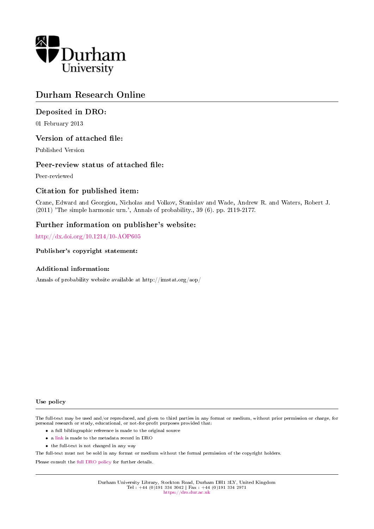

# Durham Research Online

# Deposited in DRO:

01 February 2013

# Version of attached file:

Published Version

# Peer-review status of attached file:

Peer-reviewed

# Citation for published item:

Crane, Edward and Georgiou, Nicholas and Volkov, Stanislav and Wade, Andrew R. and Waters, Robert J. (2011) 'The simple harmonic urn.', Annals of probability., 39 (6). pp. 2119-2177.

# Further information on publisher's website:

<http://dx.doi.org/10.1214/10-AOP605>

# Publisher's copyright statement:

### Additional information:

Annals of probability website available at http://imstat.org/aop/

#### Use policy

The full-text may be used and/or reproduced, and given to third parties in any format or medium, without prior permission or charge, for personal research or study, educational, or not-for-profit purposes provided that:

- a full bibliographic reference is made to the original source
- a [link](http://dro.dur.ac.uk/10487/) is made to the metadata record in DRO
- the full-text is not changed in any way

The full-text must not be sold in any format or medium without the formal permission of the copyright holders.

Please consult the [full DRO policy](https://dro.dur.ac.uk/policies/usepolicy.pdf) for further details.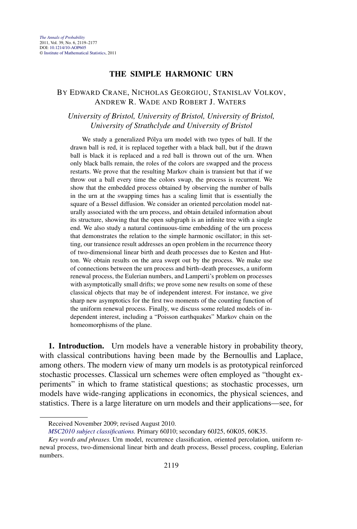# **THE SIMPLE HARMONIC URN**

# <span id="page-1-0"></span>BY EDWARD CRANE, NICHOLAS GEORGIOU, STANISLAV VOLKOV, ANDREW R. WADE AND ROBERT J. WATERS

# *University of Bristol, University of Bristol, University of Bristol, University of Strathclyde and University of Bristol*

We study a generalized Pólya urn model with two types of ball. If the drawn ball is red, it is replaced together with a black ball, but if the drawn ball is black it is replaced and a red ball is thrown out of the urn. When only black balls remain, the roles of the colors are swapped and the process restarts. We prove that the resulting Markov chain is transient but that if we throw out a ball every time the colors swap, the process is recurrent. We show that the embedded process obtained by observing the number of balls in the urn at the swapping times has a scaling limit that is essentially the square of a Bessel diffusion. We consider an oriented percolation model naturally associated with the urn process, and obtain detailed information about its structure, showing that the open subgraph is an infinite tree with a single end. We also study a natural continuous-time embedding of the urn process that demonstrates the relation to the simple harmonic oscillator; in this setting, our transience result addresses an open problem in the recurrence theory of two-dimensional linear birth and death processes due to Kesten and Hutton. We obtain results on the area swept out by the process. We make use of connections between the urn process and birth–death processes, a uniform renewal process, the Eulerian numbers, and Lamperti's problem on processes with asymptotically small drifts; we prove some new results on some of these classical objects that may be of independent interest. For instance, we give sharp new asymptotics for the first two moments of the counting function of the uniform renewal process. Finally, we discuss some related models of independent interest, including a "Poisson earthquakes" Markov chain on the homeomorphisms of the plane.

**1. Introduction.** Urn models have a venerable history in probability theory, with classical contributions having been made by the Bernoullis and Laplace, among others. The modern view of many urn models is as prototypical reinforced stochastic processes. Classical urn schemes were often employed as "thought experiments" in which to frame statistical questions; as stochastic processes, urn models have wide-ranging applications in economics, the physical sciences, and statistics. There is a large literature on urn models and their applications—see, for

Received November 2009; revised August 2010.

*[MSC2010 subject classifications.](http://www.ams.org/mathscinet/msc/msc2010.html)* Primary 60J10; secondary 60J25, 60K05, 60K35.

*Key words and phrases.* Urn model, recurrence classification, oriented percolation, uniform renewal process, two-dimensional linear birth and death process, Bessel process, coupling, Eulerian numbers.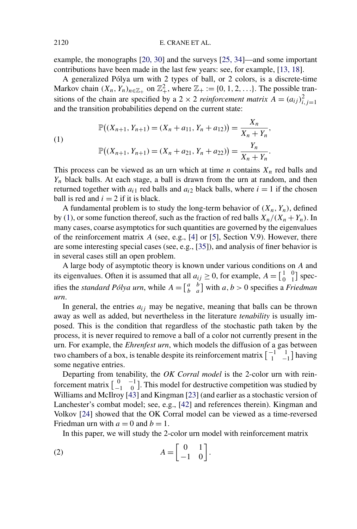<span id="page-2-0"></span>example, the monographs [\[20, 30\]](#page-58-0) and the surveys [\[25, 34\]](#page-58-0)—and some important contributions have been made in the last few years: see, for example, [\[13, 18\]](#page-58-0).

A generalized Pólya urn with 2 types of ball, or 2 colors, is a discrete-time Markov chain  $(X_n, Y_n)_{n \in \mathbb{Z}_+}$  on  $\mathbb{Z}_+^2$ , where  $\mathbb{Z}_+ := \{0, 1, 2, \ldots\}$ . The possible transitions of the chain are specified by a 2  $\times$  2 *reinforcement matrix*  $A = (a_{ij})_{i,j=1}^2$ and the transition probabilities depend on the current state:

(1)  
\n
$$
\mathbb{P}((X_{n+1}, Y_{n+1}) = (X_n + a_{11}, Y_n + a_{12})) = \frac{X_n}{X_n + Y_n},
$$
\n
$$
\mathbb{P}((X_{n+1}, Y_{n+1}) = (X_n + a_{21}, Y_n + a_{22})) = \frac{Y_n}{X_n + Y_n}.
$$

This process can be viewed as an urn which at time *n* contains  $X_n$  red balls and *Yn* black balls. At each stage, a ball is drawn from the urn at random, and then returned together with  $a_{i1}$  red balls and  $a_{i2}$  black balls, where  $i = 1$  if the chosen ball is red and  $i = 2$  if it is black.

A fundamental problem is to study the long-term behavior of  $(X_n, Y_n)$ , defined by (1), or some function thereof, such as the fraction of red balls  $X_n/(X_n + Y_n)$ . In many cases, coarse asymptotics for such quantities are governed by the eigenvalues of the reinforcement matrix *A* (see, e.g., [\[4\]](#page-57-0) or [\[5\]](#page-57-0), Section V.9). However, there are some interesting special cases (see, e.g., [\[35\]](#page-58-0)), and analysis of finer behavior is in several cases still an open problem.

A large body of asymptotic theory is known under various conditions on *A* and its eigenvalues. Often it is assumed that all  $a_{ij} \ge 0$ , for example,  $A = \begin{bmatrix} 1 \\ 0 \end{bmatrix}$ 0  $\binom{0}{1}$  specifies the *standard Pólya urn*, while  $A = \begin{bmatrix} a \\ b \end{bmatrix}$ *b*  $_{a}^{b}$ ] with *a*, *b* > 0 specifies a *Friedman urn*.

In general, the entries  $a_{ij}$  may be negative, meaning that balls can be thrown away as well as added, but nevertheless in the literature *tenability* is usually imposed. This is the condition that regardless of the stochastic path taken by the process, it is never required to remove a ball of a color not currently present in the urn. For example, the *Ehrenfest urn*, which models the diffusion of a gas between two chambers of a box, is tenable despite its reinforcement matrix  $\begin{bmatrix} -1 \\ 1 \end{bmatrix}$ 1  $\begin{bmatrix} 1 \\ -1 \end{bmatrix}$  having some negative entries.

Departing from tenability, the *OK Corral model* is the 2-color urn with reinforcement matrix  $\begin{bmatrix} 0 \\ -1 \end{bmatrix}$ −1  $\begin{bmatrix} 0 \\ 0 \end{bmatrix}$ . This model for destructive competition was studied by Williams and McIlroy [\[43\]](#page-59-0) and Kingman [\[23\]](#page-58-0) (and earlier as a stochastic version of Lanchester's combat model; see, e.g., [\[42\]](#page-59-0) and references therein). Kingman and Volkov [\[24\]](#page-58-0) showed that the OK Corral model can be viewed as a time-reversed Friedman urn with  $a = 0$  and  $b = 1$ .

In this paper, we will study the 2-color urn model with reinforcement matrix

$$
(2) \qquad \qquad A = \begin{bmatrix} 0 & 1 \\ -1 & 0 \end{bmatrix}.
$$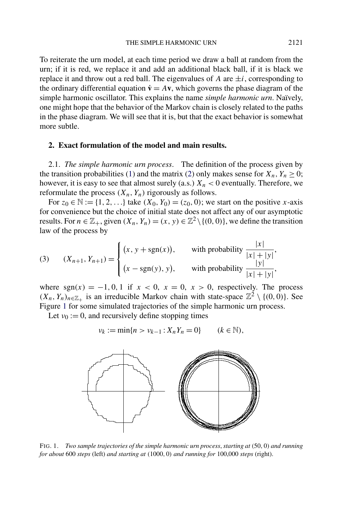<span id="page-3-0"></span>To reiterate the urn model, at each time period we draw a ball at random from the urn; if it is red, we replace it and add an additional black ball, if it is black we replace it and throw out a red ball. The eigenvalues of *A* are  $\pm i$ , corresponding to the ordinary differential equation  $\dot{\mathbf{v}} = A\mathbf{v}$ , which governs the phase diagram of the simple harmonic oscillator. This explains the name *simple harmonic urn*. Naïvely, one might hope that the behavior of the Markov chain is closely related to the paths in the phase diagram. We will see that it is, but that the exact behavior is somewhat more subtle.

### **2. Exact formulation of the model and main results.**

2.1. *The simple harmonic urn process*. The definition of the process given by the transition probabilities [\(1\)](#page-2-0) and the matrix [\(2\)](#page-2-0) only makes sense for  $X_n$ ,  $Y_n \ge 0$ ; however, it is easy to see that almost surely (a.s.)  $X_n < 0$  eventually. Therefore, we reformulate the process  $(X_n, Y_n)$  rigorously as follows.

For  $z_0 \in \mathbb{N} := \{1, 2, \ldots\}$  take  $(X_0, Y_0) = (z_0, 0)$ ; we start on the positive *x*-axis for convenience but the choice of initial state does not affect any of our asymptotic results. For  $n \in \mathbb{Z}_+$ , given  $(X_n, Y_n) = (x, y) \in \mathbb{Z}^2 \setminus \{(0, 0)\}\)$ , we define the transition law of the process by

(3) 
$$
(X_{n+1}, Y_{n+1}) = \begin{cases} (x, y + \text{sgn}(x)), & \text{with probability } \frac{|x|}{|x| + |y|}, \\ (x - \text{sgn}(y), y), & \text{with probability } \frac{|y|}{|x| + |y|}, \end{cases}
$$

where  $sgn(x) = -1, 0, 1$  if  $x < 0$ ,  $x = 0$ ,  $x > 0$ , respectively. The process *(X<sub>n</sub>, Y<sub>n</sub>)* $_{n∈\mathbb{Z}_+}$  is an irreducible Markov chain with state-space  $\mathbb{Z}^2 \setminus \{(0,0)\}$ . See Figure 1 for some simulated trajectories of the simple harmonic urn process.

Let  $v_0 := 0$ , and recursively define stopping times

$$
\nu_k := \min\{n > \nu_{k-1} : X_n Y_n = 0\} \qquad (k \in \mathbb{N}),
$$



FIG. 1. *Two sample trajectories of the simple harmonic urn process*, *starting at (*50*,* 0*) and running for about* 600 *steps* (left) *and starting at (*1000*,* 0*) and running for* 100,000 *steps* (right).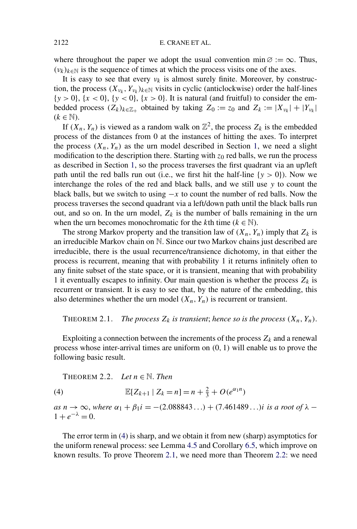<span id="page-4-0"></span>where throughout the paper we adopt the usual convention min  $\emptyset := \infty$ . Thus,  $(v_k)_{k \in \mathbb{N}}$  is the sequence of times at which the process visits one of the axes.

It is easy to see that every  $v_k$  is almost surely finite. Moreover, by construction, the process  $(X_{\nu_k}, Y_{\nu_k})_{k \in \mathbb{N}}$  visits in cyclic (anticlockwise) order the half-lines  $\{y > 0\}$ ,  $\{x < 0\}$ ,  $\{y < 0\}$ ,  $\{x > 0\}$ . It is natural (and fruitful) to consider the embedded process  $(Z_k)_{k \in \mathbb{Z}_+}$  obtained by taking  $Z_0 := z_0$  and  $Z_k := |X_{\nu_k}| + |Y_{\nu_k}|$  $(k \in \mathbb{N}).$ 

If  $(X_n, Y_n)$  is viewed as a random walk on  $\mathbb{Z}^2$ , the process  $Z_k$  is the embedded process of the distances from 0 at the instances of hitting the axes. To interpret the process  $(X_n, Y_n)$  as the urn model described in Section [1,](#page-1-0) we need a slight modification to the description there. Starting with  $z_0$  red balls, we run the process as described in Section [1,](#page-1-0) so the process traverses the first quadrant via an up/left path until the red balls run out (i.e., we first hit the half-line  $\{y > 0\}$ ). Now we interchange the roles of the red and black balls, and we still use *y* to count the black balls, but we switch to using −*x* to count the number of red balls. Now the process traverses the second quadrant via a left/down path until the black balls run out, and so on. In the urn model,  $Z_k$  is the number of balls remaining in the urn when the urn becomes monochromatic for the *k*th time ( $k \in \mathbb{N}$ ).

The strong Markov property and the transition law of  $(X_n, Y_n)$  imply that  $Z_k$  is an irreducible Markov chain on N. Since our two Markov chains just described are irreducible, there is the usual recurrence/transience dichotomy, in that either the process is recurrent, meaning that with probability 1 it returns infinitely often to any finite subset of the state space, or it is transient, meaning that with probability 1 it eventually escapes to infinity. Our main question is whether the process  $Z_k$  is recurrent or transient. It is easy to see that, by the nature of the embedding, this also determines whether the urn model  $(X_n, Y_n)$  is recurrent or transient.

THEOREM 2.1. *The process*  $Z_k$  *is transient*; *hence so is the process*  $(X_n, Y_n)$ *.* 

Exploiting a connection between the increments of the process  $Z_k$  and a renewal process whose inter-arrival times are uniform on *(*0*,* 1*)* will enable us to prove the following basic result.

THEOREM 2.2. *Let*  $n \in \mathbb{N}$ . *Then* 

(4) 
$$
\mathbb{E}[Z_{k+1} | Z_k = n] = n + \frac{2}{3} + O(e^{\alpha_1 n})
$$

 $as n \to \infty$ , where  $\alpha_1 + \beta_1 i = -(2.088843...) + (7.461489...)$ *i is a root of*  $\lambda$  −  $1 + e^{-\lambda} = 0.$ 

The error term in (4) is sharp, and we obtain it from new (sharp) asymptotics for the uniform renewal process: see Lemma [4.5](#page-22-0) and Corollary [6.5,](#page-28-0) which improve on known results. To prove Theorem 2.1, we need more than Theorem 2.2: we need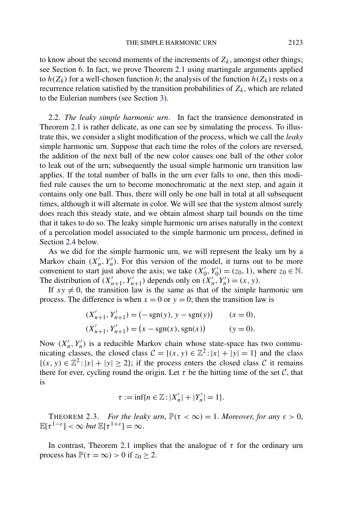<span id="page-5-0"></span>to know about the second moments of the increments of  $Z_k$ , amongst other things; see Section [6.](#page-25-0) In fact, we prove Theorem [2.1](#page-4-0) using martingale arguments applied to  $h(Z_k)$  for a well-chosen function h; the analysis of the function  $h(Z_k)$  rests on a recurrence relation satisfied by the transition probabilities of  $Z_k$ , which are related to the Eulerian numbers (see Section [3\)](#page-14-0).

2.2. *The leaky simple harmonic urn*. In fact the transience demonstrated in Theorem [2.1](#page-4-0) is rather delicate, as one can see by simulating the process. To illustrate this, we consider a slight modification of the process, which we call the *leaky* simple harmonic urn. Suppose that each time the roles of the colors are reversed, the addition of the next ball of the new color causes one ball of the other color to leak out of the urn; subsequently the usual simple harmonic urn transition law applies. If the total number of balls in the urn ever falls to one, then this modified rule causes the urn to become monochromatic at the next step, and again it contains only one ball. Thus, there will only be one ball in total at all subsequent times, although it will alternate in color. We will see that the system almost surely does reach this steady state, and we obtain almost sharp tail bounds on the time that it takes to do so. The leaky simple harmonic urn arises naturally in the context of a percolation model associated to the simple harmonic urn process, defined in Section [2.4](#page-9-0) below.

As we did for the simple harmonic urn, we will represent the leaky urn by a Markov chain  $(X'_n, Y'_n)$ . For this version of the model, it turns out to be more convenient to start just above the axis; we take  $(X'_0, Y'_0) = (z_0, 1)$ , where  $z_0 \in \mathbb{N}$ . The distribution of  $(X'_{n+1}, Y'_{n+1})$  depends only on  $(X'_n, Y'_n) = (x, y)$ .

If  $xy \neq 0$ , the transition law is the same as that of the simple harmonic urn process. The difference is when  $x = 0$  or  $y = 0$ ; then the transition law is

$$
(X'_{n+1}, Y'_{n+1}) = (-sgn(y), y - sgn(y)) \qquad (x = 0),
$$
  

$$
(X'_{n+1}, Y'_{n+1}) = (x - sgn(x), sgn(x)) \qquad (y = 0).
$$

Now  $(X'_n, Y'_n)$  is a reducible Markov chain whose state-space has two communicating classes, the closed class  $C = \{(x, y) \in \mathbb{Z}^2 : |x| + |y| = 1\}$  and the class  ${(x, y) \in \mathbb{Z}^2 : |x| + |y| \ge 2}$ ; if the process enters the closed class C it remains there for ever, cycling round the origin. Let  $\tau$  be the hitting time of the set  $\mathcal{C}$ , that is

$$
\tau := \inf \{ n \in \mathbb{Z} : |X'_n| + |Y'_n| = 1 \}.
$$

THEOREM 2.3. *For the leaky urn*,  $\mathbb{P}(\tau < \infty) = 1$ . *Moreover, for any*  $\varepsilon > 0$ ,  $\mathbb{E}[\tau^{1-\varepsilon}] < \infty$  *but*  $\mathbb{E}[\tau^{1+\varepsilon}] = \infty$ .

In contrast, Theorem [2.1](#page-4-0) implies that the analogue of  $\tau$  for the ordinary urn process has  $\mathbb{P}(\tau = \infty) > 0$  if  $z_0 \geq 2$ .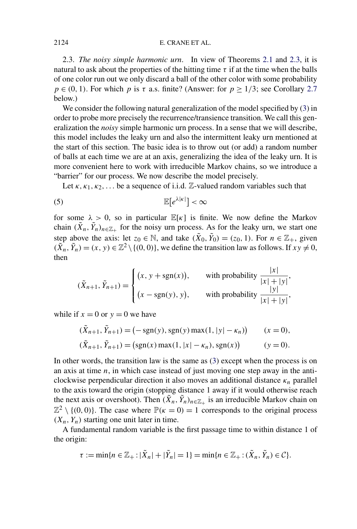#### <span id="page-6-0"></span>2124 E. CRANE ET AL.

2.3. *The noisy simple harmonic urn*. In view of Theorems [2.1](#page-4-0) and [2.3,](#page-5-0) it is natural to ask about the properties of the hitting time  $\tau$  if at the time when the balls of one color run out we only discard a ball of the other color with some probability  $p \in (0, 1)$ . For which *p* is *τ* a.s. finite? (Answer: for  $p \ge 1/3$ ; see Corollary [2.7](#page-8-0) below.)

We consider the following natural generalization of the model specified by [\(3\)](#page-3-0) in order to probe more precisely the recurrence/transience transition. We call this generalization the *noisy* simple harmonic urn process. In a sense that we will describe, this model includes the leaky urn and also the intermittent leaky urn mentioned at the start of this section. The basic idea is to throw out (or add) a random number of balls at each time we are at an axis, generalizing the idea of the leaky urn. It is more convenient here to work with irreducible Markov chains, so we introduce a "barrier" for our process. We now describe the model precisely.

Let  $\kappa, \kappa_1, \kappa_2, \ldots$  be a sequence of i.i.d.  $\mathbb{Z}$ -valued random variables such that

$$
\mathbb{E}[e^{\lambda|\kappa|}] < \infty
$$

for some  $\lambda > 0$ , so in particular  $\mathbb{E}[\kappa]$  is finite. We now define the Markov chain  $(\tilde{X}_n, \tilde{Y}_n)_{n \in \mathbb{Z}_+}$  for the noisy urn process. As for the leaky urn, we start one step above the axis: let  $z_0 \in \mathbb{N}$ , and take  $(\tilde{X}_0, \tilde{Y}_0) = (z_0, 1)$ . For  $n \in \mathbb{Z}_+$ , given  $(\tilde{X}_n, \tilde{Y}_n) = (x, y) \in \mathbb{Z}^2 \setminus \{(0, 0)\},$  we define the transition law as follows. If  $xy \neq 0$ , then

$$
(\tilde{X}_{n+1}, \tilde{Y}_{n+1}) = \begin{cases} (x, y + \text{sgn}(x)), & \text{with probability } \frac{|x|}{|x| + |y|}, \\ (x - \text{sgn}(y), y), & \text{with probability } \frac{|y|}{|x| + |y|}, \end{cases}
$$

while if  $x = 0$  or  $y = 0$  we have

$$
(\tilde{X}_{n+1}, \tilde{Y}_{n+1}) = (-\text{sgn}(y), \text{sgn}(y) \max(1, |y| - \kappa_n)) \qquad (x = 0),
$$
  

$$
(\tilde{X}_{n+1}, \tilde{Y}_{n+1}) = (\text{sgn}(x) \max(1, |x| - \kappa_n), \text{sgn}(x)) \qquad (y = 0).
$$

In other words, the transition law is the same as [\(3\)](#page-3-0) except when the process is on an axis at time *n*, in which case instead of just moving one step away in the anticlockwise perpendicular direction it also moves an additional distance *κn* parallel to the axis toward the origin (stopping distance 1 away if it would otherwise reach the next axis or overshoot). Then  $(\tilde{X}_n, \tilde{Y}_n)_{n \in \mathbb{Z}_+}$  is an irreducible Markov chain on  $\mathbb{Z}^2 \setminus \{(0,0)\}\.$  The case where  $\mathbb{P}(\kappa = 0) = 1$  corresponds to the original process  $(X_n, Y_n)$  starting one unit later in time.

A fundamental random variable is the first passage time to within distance 1 of the origin:

$$
\tau := \min\{n \in \mathbb{Z}_+ : |\tilde{X}_n| + |\tilde{Y}_n| = 1\} = \min\{n \in \mathbb{Z}_+ : (\tilde{X}_n, \tilde{Y}_n) \in \mathcal{C}\}.
$$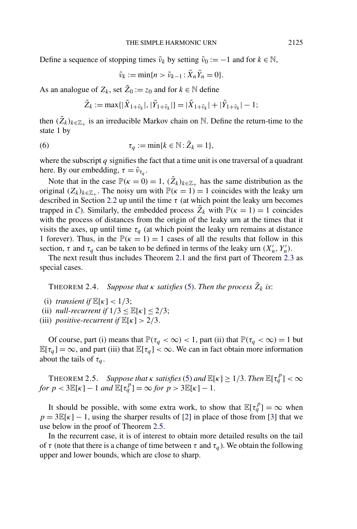<span id="page-7-0"></span>Define a sequence of stopping times  $\tilde{\nu}_k$  by setting  $\tilde{\nu}_0 := -1$  and for  $k \in \mathbb{N}$ ,

$$
\tilde{\nu}_k := \min\{n > \tilde{\nu}_{k-1} : \tilde{X}_n \tilde{Y}_n = 0\}.
$$

As an analogue of  $Z_k$ , set  $\tilde{Z}_0 := z_0$  and for  $k \in \mathbb{N}$  define

$$
\tilde{Z}_k := \max\{|\tilde{X}_{1+\tilde{\nu}_k}|, |\tilde{Y}_{1+\tilde{\nu}_k}|\} = |\tilde{X}_{1+\tilde{\nu}_k}| + |\tilde{Y}_{1+\tilde{\nu}_k}| - 1;
$$

then  $(\tilde{Z}_k)_{k \in \mathbb{Z}_+}$  is an irreducible Markov chain on N. Define the return-time to the state 1 by

(6) 
$$
\tau_q := \min\{k \in \mathbb{N} : \tilde{Z}_k = 1\},\
$$

where the subscript  $q$  signifies the fact that a time unit is one traversal of a quadrant here. By our embedding,  $\tau = \tilde{\nu}_{\tau_q}$ .

Note that in the case  $\mathbb{P}(\kappa = 0) = 1$ ,  $(\tilde{Z}_k)_{k \in \mathbb{Z}_+}$  has the same distribution as the original  $(Z_k)_{k \in \mathbb{Z}_+}$ . The noisy urn with  $\mathbb{P}(\kappa = 1) = 1$  coincides with the leaky urn described in Section [2.2](#page-5-0) up until the time  $\tau$  (at which point the leaky urn becomes trapped in C). Similarly, the embedded process  $Z_k$  with  $\mathbb{P}(\kappa = 1) = 1$  coincides with the process of distances from the origin of the leaky urn at the times that it visits the axes, up until time  $\tau_q$  (at which point the leaky urn remains at distance 1 forever). Thus, in the  $P(k = 1) = 1$  cases of all the results that follow in this section,  $\tau$  and  $\tau_q$  can be taken to be defined in terms of the leaky urn  $(X'_n, Y'_n)$ .

The next result thus includes Theorem [2.1](#page-4-0) and the first part of Theorem [2.3](#page-5-0) as special cases.

THEOREM 2.4. *Suppose that*  $\kappa$  *satisfies* [\(5\)](#page-6-0). *Then the process*  $\tilde{Z}_k$  *is*:

- (i) *transient if*  $\mathbb{E}[\kappa] < 1/3$ ;
- (ii) *null-recurrent if*  $1/3 \leq E[\kappa] \leq 2/3$ ;
- (iii) *positive-recurrent if*  $\mathbb{E}[\kappa] > 2/3$ .

Of course, part (i) means that  $\mathbb{P}(\tau_q < \infty) < 1$ , part (ii) that  $\mathbb{P}(\tau_q < \infty) = 1$  but  $\mathbb{E}[\tau_q] = \infty$ , and part (iii) that  $\mathbb{E}[\tau_q] < \infty$ . We can in fact obtain more information about the tails of  $\tau_q$ .

**THEOREM 2.5.** Suppose that  $\kappa$  satisfies [\(5\)](#page-6-0) and  $\mathbb{E}[\kappa] \geq 1/3$ . Then  $\mathbb{E}[\tau_q^p] < \infty$ *for*  $p < 3\mathbb{E}[\kappa] - 1$  *and*  $\mathbb{E}[\tau_q^p] = \infty$  *for*  $p > 3\mathbb{E}[\kappa] - 1$ .

It should be possible, with some extra work, to show that  $\mathbb{E}[\tau_q^p] = \infty$  when  $p = 3\mathbb{E}[\kappa] - 1$ , using the sharper results of [\[2\]](#page-57-0) in place of those from [\[3\]](#page-57-0) that we use below in the proof of Theorem 2.5.

In the recurrent case, it is of interest to obtain more detailed results on the tail of *τ* (note that there is a change of time between *τ* and  $τ<sub>q</sub>$ ). We obtain the following upper and lower bounds, which are close to sharp.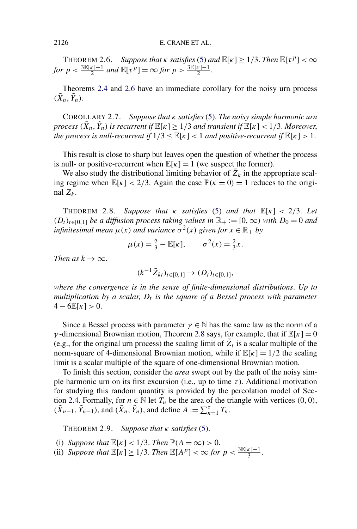<span id="page-8-0"></span>THEOREM 2.6. *Suppose that*  $\kappa$  *satisfies* [\(5\)](#page-6-0) *and*  $\mathbb{E}[\kappa] \ge 1/3$ *. Then*  $\mathbb{E}[\tau^p] < \infty$ *for*  $p < \frac{3 \mathbb{E}[k]-1}{2}$  *and*  $\mathbb{E}[\tau^p] = \infty$  *for*  $p > \frac{3 \mathbb{E}[k]-1}{2}$ .

Theorems [2.4](#page-7-0) and 2.6 have an immediate corollary for the noisy urn process  $(\tilde{X}_n, \tilde{Y}_n).$ 

COROLLARY 2.7. *Suppose that κ satisfies* [\(5\)](#page-6-0). *The noisy simple harmonic urn process*  $(\tilde{X}_n, \tilde{Y}_n)$  *is recurrent if*  $\mathbb{E}[\kappa] \geq 1/3$  *and transient if*  $\mathbb{E}[\kappa] < 1/3$ . Moreover, *the process is null-recurrent if*  $1/3 \leq E[k] < 1$  *and positive-recurrent if*  $E[k] > 1$ .

This result is close to sharp but leaves open the question of whether the process is null- or positive-recurrent when  $\mathbb{E}[\kappa] = 1$  (we suspect the former).

We also study the distributional limiting behavior of  $\tilde{Z}_k$  in the appropriate scaling regime when  $\mathbb{E}[\kappa] < 2/3$ . Again the case  $\mathbb{P}(\kappa = 0) = 1$  reduces to the original  $Z_k$ .

THEOREM 2.8. *Suppose that*  $\kappa$  *satisfies* [\(5\)](#page-6-0) *and that*  $\mathbb{E}[\kappa] < 2/3$ . Let  $(D<sub>t</sub>)<sub>t</sub>∈[0,1]$  *be a diffusion process taking values in*  $\mathbb{R}<sub>+</sub> := [0, ∞)$  *with*  $D<sub>0</sub> = 0$  *and infinitesimal mean*  $\mu(x)$  *and variance*  $\sigma^2(x)$  *given for*  $x \in \mathbb{R}_+$  *by* 

$$
\mu(x) = \frac{2}{3} - \mathbb{E}[\kappa], \qquad \sigma^2(x) = \frac{2}{3}x.
$$

*Then as*  $k \rightarrow \infty$ ,

$$
(k^{-1}\tilde{Z}_{kt})_{t\in[0,1]}\to (D_t)_{t\in[0,1]},
$$

*where the convergence is in the sense of finite-dimensional distributions*. *Up to multiplication by a scalar,*  $D_t$  *is the square of a Bessel process with parameter*  $4 - 6\mathbb{E}[\kappa] > 0.$ 

Since a Bessel process with parameter  $\gamma \in \mathbb{N}$  has the same law as the norm of a *γ* -dimensional Brownian motion, Theorem 2.8 says, for example, that if E[*κ*] = 0 (e.g., for the original urn process) the scaling limit of  $Z_t$  is a scalar multiple of the norm-square of 4-dimensional Brownian motion, while if  $\mathbb{E}[\kappa] = 1/2$  the scaling limit is a scalar multiple of the square of one-dimensional Brownian motion.

To finish this section, consider the *area* swept out by the path of the noisy simple harmonic urn on its first excursion (i.e., up to time *τ* ). Additional motivation for studying this random quantity is provided by the percolation model of Sec-tion [2.4.](#page-9-0) Formally, for  $n \in \mathbb{N}$  let  $T_n$  be the area of the triangle with vertices  $(0, 0)$ ,  $(\tilde{X}_{n-1}, \tilde{Y}_{n-1})$ , and  $(\tilde{X}_n, \tilde{Y}_n)$ , and define  $A := \sum_{n=1}^{\tau} T_n$ .

THEOREM 2.9. *Suppose that κ satisfies* [\(5\)](#page-6-0).

- (i) *Suppose that*  $\mathbb{E}[\kappa] < 1/3$ . *Then*  $\mathbb{P}(A = \infty) > 0$ .
- (ii) *Suppose that*  $\mathbb{E}[\kappa] \geq 1/3$ . *Then*  $\mathbb{E}[A^p] < \infty$  for  $p < \frac{3\mathbb{E}[\kappa]-1}{3}$ .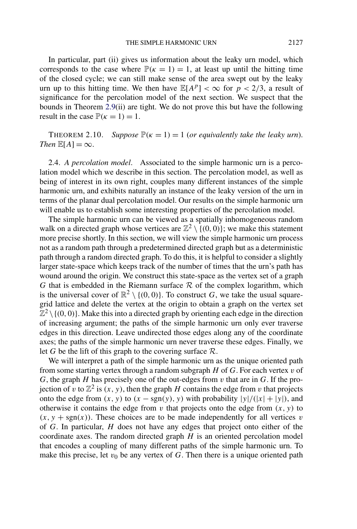<span id="page-9-0"></span>In particular, part (ii) gives us information about the leaky urn model, which corresponds to the case where  $\mathbb{P}(\kappa = 1) = 1$ , at least up until the hitting time of the closed cycle; we can still make sense of the area swept out by the leaky urn up to this hitting time. We then have  $\mathbb{E}[A^p] < \infty$  for  $p < 2/3$ , a result of significance for the percolation model of the next section. We suspect that the bounds in Theorem [2.9\(](#page-8-0)ii) are tight. We do not prove this but have the following result in the case  $\mathbb{P}(\kappa = 1) = 1$ .

THEOREM 2.10. *Suppose*  $\mathbb{P}(\kappa = 1) = 1$  (*or equivalently take the leaky urn*). *Then*  $\mathbb{E}[A] = \infty$ .

2.4. *A percolation model*. Associated to the simple harmonic urn is a percolation model which we describe in this section. The percolation model, as well as being of interest in its own right, couples many different instances of the simple harmonic urn, and exhibits naturally an instance of the leaky version of the urn in terms of the planar dual percolation model. Our results on the simple harmonic urn will enable us to establish some interesting properties of the percolation model.

The simple harmonic urn can be viewed as a spatially inhomogeneous random walk on a directed graph whose vertices are  $\mathbb{Z}^2 \setminus \{(0,0)\}$ ; we make this statement more precise shortly. In this section, we will view the simple harmonic urn process not as a random path through a predetermined directed graph but as a deterministic path through a random directed graph. To do this, it is helpful to consider a slightly larger state-space which keeps track of the number of times that the urn's path has wound around the origin. We construct this state-space as the vertex set of a graph *G* that is embedded in the Riemann surface  $R$  of the complex logarithm, which is the universal cover of  $\mathbb{R}^2 \setminus \{(0,0)\}$ . To construct *G*, we take the usual squaregrid lattice and delete the vertex at the origin to obtain a graph on the vertex set  $\mathbb{Z}^2 \setminus \{(0,0)\}\)$ . Make this into a directed graph by orienting each edge in the direction of increasing argument; the paths of the simple harmonic urn only ever traverse edges in this direction. Leave undirected those edges along any of the coordinate axes; the paths of the simple harmonic urn never traverse these edges. Finally, we let *G* be the lift of this graph to the covering surface R.

We will interpret a path of the simple harmonic urn as the unique oriented path from some starting vertex through a random subgraph *H* of *G*. For each vertex *v* of *G*, the graph *H* has precisely one of the out-edges from *v* that are in *G*. If the projection of *v* to  $\mathbb{Z}^2$  is  $(x, y)$ , then the graph *H* contains the edge from *v* that projects onto the edge from  $(x, y)$  to  $(x - \text{sgn}(y), y)$  with probability  $|y|/(|x| + |y|)$ , and otherwise it contains the edge from  $v$  that projects onto the edge from  $(x, y)$  to  $(x, y + \text{sgn}(x))$ . These choices are to be made independently for all vertices *v* of *G*. In particular, *H* does not have any edges that project onto either of the coordinate axes. The random directed graph *H* is an oriented percolation model that encodes a coupling of many different paths of the simple harmonic urn. To make this precise, let  $v_0$  be any vertex of *G*. Then there is a unique oriented path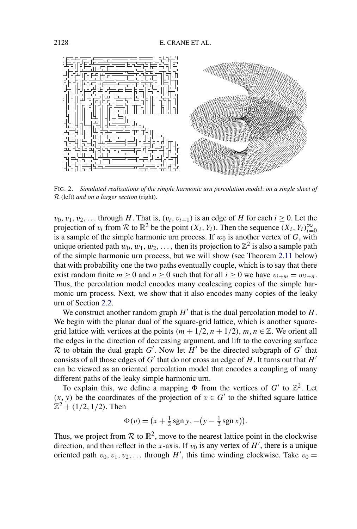

FIG. 2. *Simulated realizations of the simple harmonic urn percolation model*: *on a single sheet of* R (left) *and on a larger section* (right).

 $v_0, v_1, v_2, \ldots$  through *H*. That is,  $(v_i, v_{i+1})$  is an edge of *H* for each  $i \ge 0$ . Let the projection of *v<sub>i</sub>* from  $\mathcal R$  to  $\mathbb R^2$  be the point  $(X_i, Y_i)$ . Then the sequence  $(X_i, Y_i)_{i=0}^\infty$ is a sample of the simple harmonic urn process. If  $w_0$  is another vertex of *G*, with unique oriented path  $w_0, w_1, w_2, \ldots$ , then its projection to  $\mathbb{Z}^2$  is also a sample path of the simple harmonic urn process, but we will show (see Theorem [2.11](#page-11-0) below) that with probability one the two paths eventually couple, which is to say that there exist random finite  $m \ge 0$  and  $n \ge 0$  such that for all  $i \ge 0$  we have  $v_{i+m} = w_{i+n}$ . Thus, the percolation model encodes many coalescing copies of the simple harmonic urn process. Next, we show that it also encodes many copies of the leaky urn of Section [2.2.](#page-5-0)

We construct another random graph  $H'$  that is the dual percolation model to  $H$ . We begin with the planar dual of the square-grid lattice, which is another squaregrid lattice with vertices at the points  $(m + 1/2, n + 1/2), m, n \in \mathbb{Z}$ . We orient all the edges in the direction of decreasing argument, and lift to the covering surface  $R$  to obtain the dual graph  $G'$ . Now let  $H'$  be the directed subgraph of  $G'$  that consists of all those edges of  $G'$  that do not cross an edge of  $H$ . It turns out that  $H'$ can be viewed as an oriented percolation model that encodes a coupling of many different paths of the leaky simple harmonic urn.

To explain this, we define a mapping  $\Phi$  from the vertices of *G'* to  $\mathbb{Z}^2$ . Let  $(x, y)$  be the coordinates of the projection of  $v \in G'$  to the shifted square lattice  $\mathbb{Z}^2$  + (1/2*,* 1/2*)*. Then

$$
\Phi(v) = (x + \frac{1}{2} \operatorname{sgn} y, -(y - \frac{1}{2} \operatorname{sgn} x)).
$$

Thus, we project from  $\mathcal{R}$  to  $\mathbb{R}^2$ , move to the nearest lattice point in the clockwise direction, and then reflect in the *x*-axis. If  $v_0$  is any vertex of  $H'$ , there is a unique oriented path  $v_0, v_1, v_2, \ldots$  through *H'*, this time winding clockwise. Take  $v_0 =$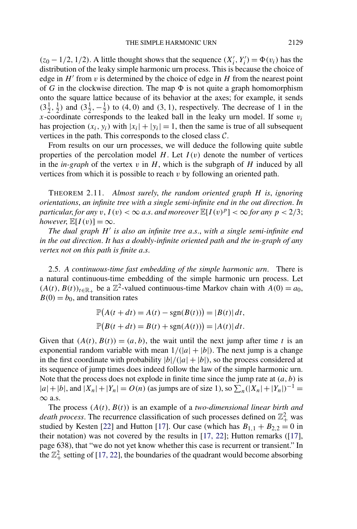<span id="page-11-0"></span> $(z_0 - 1/2, 1/2)$ . A little thought shows that the sequence  $(X'_i, Y'_i) = \Phi(v_i)$  has the distribution of the leaky simple harmonic urn process. This is because the choice of edge in  $H'$  from  $v$  is determined by the choice of edge in  $H$  from the nearest point of  $G$  in the clockwise direction. The map  $\Phi$  is not quite a graph homomorphism onto the square lattice because of its behavior at the axes; for example, it sends  $(3\frac{1}{2}, \frac{1}{2})$  and  $(3\frac{1}{2}, -\frac{1}{2})$  to  $(4, 0)$  and  $(3, 1)$ , respectively. The decrease of 1 in the *x*-coordinate corresponds to the leaked ball in the leaky urn model. If some  $v_i$ has projection  $(x_i, y_i)$  with  $|x_i| + |y_i| = 1$ , then the same is true of all subsequent vertices in the path. This corresponds to the closed class  $C$ .

From results on our urn processes, we will deduce the following quite subtle properties of the percolation model  $H$ . Let  $I(v)$  denote the number of vertices in the *in-graph* of the vertex *v* in *H*, which is the subgraph of *H* induced by all vertices from which it is possible to reach *v* by following an oriented path.

THEOREM 2.11. *Almost surely*, *the random oriented graph H is*, *ignoring orientations*, *an infinite tree with a single semi-infinite end in the out direction*. *In particular, for any*  $v$ ,  $I(v) < \infty$  *a.s. and moreover*  $\mathbb{E}[I(v)^p] < \infty$  *for any*  $p < 2/3$ ; *however*,  $\mathbb{E}[I(v)] = \infty$ .

*The dual graph H is also an infinite tree a*.*s*., *with a single semi-infinite end in the out direction*. *It has a doubly-infinite oriented path and the in-graph of any vertex not on this path is finite a*.*s*.

2.5. *A continuous-time fast embedding of the simple harmonic urn*. There is a natural continuous-time embedding of the simple harmonic urn process. Let  $(A(t), B(t))_{t \in \mathbb{R}_+}$  be a  $\mathbb{Z}^2$ -valued continuous-time Markov chain with  $A(0) = a_0$ ,  $B(0) = b_0$ , and transition rates

$$
\mathbb{P}(A(t+dt) = A(t) - \text{sgn}(B(t))) = |B(t)| dt,
$$
  

$$
\mathbb{P}(B(t+dt) = B(t) + \text{sgn}(A(t))) = |A(t)| dt.
$$

Given that  $(A(t), B(t)) = (a, b)$ , the wait until the next jump after time *t* is an exponential random variable with mean  $1/(|a|+|b|)$ . The next jump is a change in the first coordinate with probability  $|b|/(|a|+|b|)$ , so the process considered at its sequence of jump times does indeed follow the law of the simple harmonic urn. Note that the process does not explode in finite time since the jump rate at  $(a, b)$  is  $|a| + |b|$ , and  $|X_n| + |Y_n| = O(n)$  (as jumps are of size 1), so  $\sum_{n} (|X_n| + |Y_n|)^{-1} =$  $\infty$  a.s.

The process  $(A(t), B(t))$  is an example of a *two-dimensional linear birth and death process*. The recurrence classification of such processes defined on  $\mathbb{Z}_+^2$  was studied by Kesten [\[22\]](#page-58-0) and Hutton [\[17\]](#page-58-0). Our case (which has  $B_{1,1} + B_{2,2} = 0$  in their notation) was not covered by the results in [\[17, 22\]](#page-58-0); Hutton remarks ([\[17\]](#page-58-0), page 638), that "we do not yet know whether this case is recurrent or transient." In the  $\mathbb{Z}_+^2$  setting of [\[17, 22\]](#page-58-0), the boundaries of the quadrant would become absorbing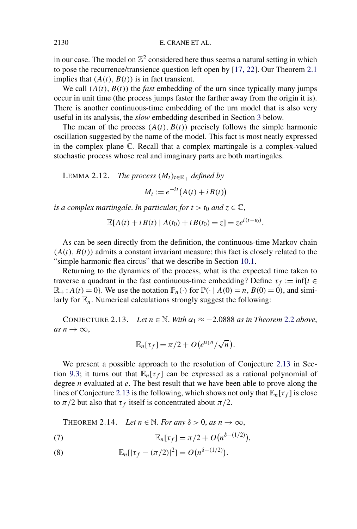<span id="page-12-0"></span>in our case. The model on  $\mathbb{Z}^2$  considered here thus seems a natural setting in which to pose the recurrence/transience question left open by [\[17, 22\]](#page-58-0). Our Theorem [2.1](#page-4-0) implies that  $(A(t), B(t))$  is in fact transient.

We call  $(A(t), B(t))$  the *fast* embedding of the urn since typically many jumps occur in unit time (the process jumps faster the farther away from the origin it is). There is another continuous-time embedding of the urn model that is also very useful in its analysis, the *slow* embedding described in Section [3](#page-14-0) below.

The mean of the process  $(A(t), B(t))$  precisely follows the simple harmonic oscillation suggested by the name of the model. This fact is most neatly expressed in the complex plane C. Recall that a complex martingale is a complex-valued stochastic process whose real and imaginary parts are both martingales.

LEMMA 2.12. *The process*  $(M_t)_{t \in \mathbb{R}_+}$  *defined by* 

$$
M_t := e^{-it} \big( A(t) + i B(t) \big)
$$

*is a complex martingale. In particular, for*  $t > t_0$  *and*  $z \in \mathbb{C}$ ,

$$
\mathbb{E}[A(t) + i B(t) | A(t_0) + i B(t_0) = z] = z e^{i(t - t_0)}.
$$

As can be seen directly from the definition, the continuous-time Markov chain  $(A(t), B(t))$  admits a constant invariant measure; this fact is closely related to the "simple harmonic flea circus" that we describe in Section [10.1.](#page-48-0)

Returning to the dynamics of the process, what is the expected time taken to traverse a quadrant in the fast continuous-time embedding? Define  $\tau_f := \inf\{t \in$  $\mathbb{R}_+$ :  $A(t) = 0$ . We use the notation  $\mathbb{P}_n(\cdot)$  for  $\mathbb{P}(\cdot | A(0) = n, B(0) = 0)$ , and similarly for  $\mathbb{E}_n$ . Numerical calculations strongly suggest the following:

CONJECTURE 2.13. *Let*  $n \in \mathbb{N}$ . *With*  $\alpha_1 \approx -2.0888$  *as in Theorem* [2.2](#page-4-0) *above*,  $as n \rightarrow \infty$ ,

$$
\mathbb{E}_n[\tau_f] = \pi/2 + O(e^{\alpha_1 n}/\sqrt{n}).
$$

We present a possible approach to the resolution of Conjecture 2.13 in Sec-tion [9.3;](#page-46-0) it turns out that  $\mathbb{E}_n[\tau_f]$  can be expressed as a rational polynomial of degree *n* evaluated at *e*. The best result that we have been able to prove along the lines of Conjecture 2.13 is the following, which shows not only that  $\mathbb{E}_n[\tau_f]$  is close to  $\pi/2$  but also that  $\tau_f$  itself is concentrated about  $\pi/2$ .

THEOREM 2.14. *Let*  $n \in \mathbb{N}$ . *For any*  $\delta > 0$ , *as*  $n \to \infty$ ,

(7) 
$$
\mathbb{E}_n[\tau_f] = \pi/2 + O(n^{\delta - (1/2)}),
$$

(8)  $\mathbb{E}_n[|\tau_f - (\pi/2)|^2] = O(n^{\delta - (1/2)}).$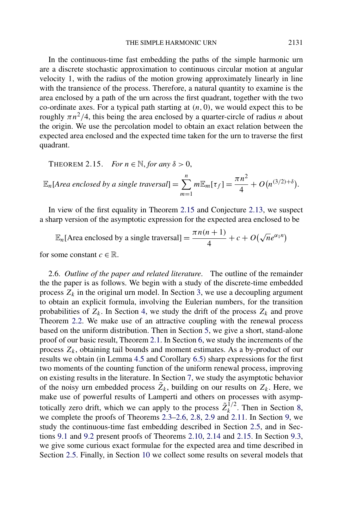<span id="page-13-0"></span>In the continuous-time fast embedding the paths of the simple harmonic urn are a discrete stochastic approximation to continuous circular motion at angular velocity 1, with the radius of the motion growing approximately linearly in line with the transience of the process. Therefore, a natural quantity to examine is the area enclosed by a path of the urn across the first quadrant, together with the two co-ordinate axes. For a typical path starting at  $(n, 0)$ , we would expect this to be roughly  $\pi n^2/4$ , this being the area enclosed by a quarter-circle of radius *n* about the origin. We use the percolation model to obtain an exact relation between the expected area enclosed and the expected time taken for the urn to traverse the first quadrant.

THEOREM 2.15. For 
$$
n \in \mathbb{N}
$$
, for any  $\delta > 0$ ,

$$
\mathbb{E}_n[Area\ enclosed\ by\ a\ single\ traversal] = \sum_{m=1}^n m \mathbb{E}_m[\tau_f] = \frac{\pi n^2}{4} + O(n^{(3/2)+\delta}).
$$

In view of the first equality in Theorem 2.15 and Conjecture [2.13,](#page-12-0) we suspect a sharp version of the asymptotic expression for the expected area enclosed to be

 $\mathbb{E}_n[\text{Area enclosed by a single traversal}] = \frac{\pi n(n+1)}{4} + c + O(\sqrt{n}e^{\alpha_1 n})$ 

for some constant  $c \in \mathbb{R}$ .

2.6. *Outline of the paper and related literature*. The outline of the remainder the the paper is as follows. We begin with a study of the discrete-time embedded process  $Z_k$  in the original urn model. In Section [3,](#page-14-0) we use a decoupling argument to obtain an explicit formula, involving the Eulerian numbers, for the transition probabilities of  $Z_k$ . In Section [4,](#page-20-0) we study the drift of the process  $Z_k$  and prove Theorem [2.2.](#page-4-0) We make use of an attractive coupling with the renewal process based on the uniform distribution. Then in Section [5,](#page-24-0) we give a short, stand-alone proof of our basic result, Theorem [2.1.](#page-4-0) In Section [6,](#page-25-0) we study the increments of the process  $Z_k$ , obtaining tail bounds and moment estimates. As a by-product of our results we obtain (in Lemma [4.5](#page-22-0) and Corollary [6.5\)](#page-28-0) sharp expressions for the first two moments of the counting function of the uniform renewal process, improving on existing results in the literature. In Section [7,](#page-28-0) we study the asymptotic behavior of the noisy urn embedded process  $\tilde{Z}_k$ , building on our results on  $Z_k$ . Here, we make use of powerful results of Lamperti and others on processes with asymptotically zero drift, which we can apply to the process  $\tilde{Z}_{k}^{\frac{1}{2}}$ . Then in Section [8,](#page-34-0) we complete the proofs of Theorems [2.3–](#page-5-0)[2.6,](#page-8-0) [2.8,](#page-8-0) [2.9](#page-8-0) and [2.11.](#page-11-0) In Section [9,](#page-41-0) we study the continuous-time fast embedding described in Section [2.5,](#page-11-0) and in Sections [9.1](#page-41-0) and [9.2](#page-44-0) present proofs of Theorems [2.10,](#page-9-0) [2.14](#page-12-0) and 2.15. In Section [9.3,](#page-46-0) we give some curious exact formulae for the expected area and time described in Section [2.5.](#page-11-0) Finally, in Section [10](#page-48-0) we collect some results on several models that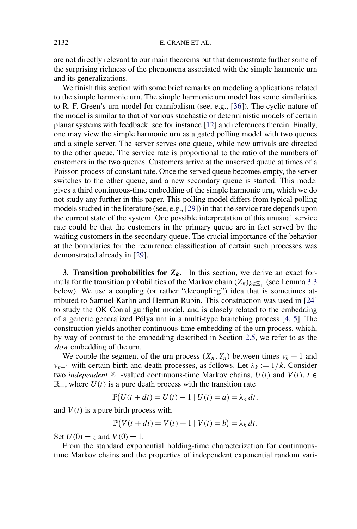<span id="page-14-0"></span>are not directly relevant to our main theorems but that demonstrate further some of the surprising richness of the phenomena associated with the simple harmonic urn and its generalizations.

We finish this section with some brief remarks on modeling applications related to the simple harmonic urn. The simple harmonic urn model has some similarities to R. F. Green's urn model for cannibalism (see, e.g., [\[36\]](#page-59-0)). The cyclic nature of the model is similar to that of various stochastic or deterministic models of certain planar systems with feedback: see for instance [\[12\]](#page-58-0) and references therein. Finally, one may view the simple harmonic urn as a gated polling model with two queues and a single server. The server serves one queue, while new arrivals are directed to the other queue. The service rate is proportional to the ratio of the numbers of customers in the two queues. Customers arrive at the unserved queue at times of a Poisson process of constant rate. Once the served queue becomes empty, the server switches to the other queue, and a new secondary queue is started. This model gives a third continuous-time embedding of the simple harmonic urn, which we do not study any further in this paper. This polling model differs from typical polling models studied in the literature (see, e.g., [\[29\]](#page-58-0)) in that the service rate depends upon the current state of the system. One possible interpretation of this unusual service rate could be that the customers in the primary queue are in fact served by the waiting customers in the secondary queue. The crucial importance of the behavior at the boundaries for the recurrence classification of certain such processes was demonstrated already in [\[29\]](#page-58-0).

**3. Transition probabilities for**  $Z_k$ **.** In this section, we derive an exact formula for the transition probabilities of the Markov chain  $(Z_k)_{k \in \mathbb{Z}_+}$  (see Lemma [3.3](#page-16-0) below). We use a coupling (or rather "decoupling") idea that is sometimes attributed to Samuel Karlin and Herman Rubin. This construction was used in [\[24\]](#page-58-0) to study the OK Corral gunfight model, and is closely related to the embedding of a generic generalized Pólya urn in a multi-type branching process [\[4, 5\]](#page-57-0). The construction yields another continuous-time embedding of the urn process, which, by way of contrast to the embedding described in Section [2.5,](#page-11-0) we refer to as the *slow* embedding of the urn.

We couple the segment of the urn process  $(X_n, Y_n)$  between times  $v_k + 1$  and *ν*<sub>k+1</sub> with certain birth and death processes, as follows. Let  $\lambda_k := 1/k$ . Consider two *independent*  $\mathbb{Z}_+$ -valued continuous-time Markov chains,  $U(t)$  and  $V(t)$ ,  $t \in$  $\mathbb{R}_+$ , where  $U(t)$  is a pure death process with the transition rate

$$
\mathbb{P}(U(t+dt) = U(t) - 1 | U(t) = a) = \lambda_a dt,
$$

and  $V(t)$  is a pure birth process with

$$
\mathbb{P}(V(t+dt) = V(t) + 1 | V(t) = b) = \lambda_b dt.
$$

Set  $U(0) = z$  and  $V(0) = 1$ .

From the standard exponential holding-time characterization for continuoustime Markov chains and the properties of independent exponential random vari-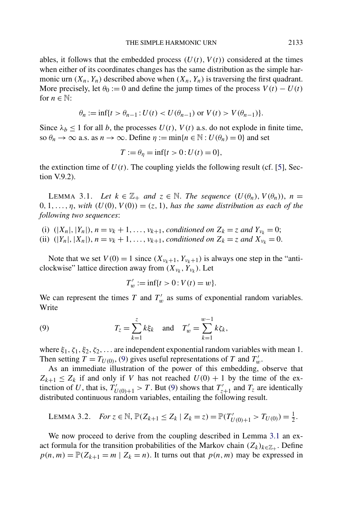<span id="page-15-0"></span>ables, it follows that the embedded process  $(U(t), V(t))$  considered at the times when either of its coordinates changes has the same distribution as the simple harmonic urn  $(X_n, Y_n)$  described above when  $(X_n, Y_n)$  is traversing the first quadrant. More precisely, let  $\theta_0 := 0$  and define the jump times of the process  $V(t) - U(t)$ for  $n \in \mathbb{N}$ :

$$
\theta_n := \inf\{t > \theta_{n-1} : U(t) < U(\theta_{n-1}) \text{ or } V(t) > V(\theta_{n-1})\}.
$$

Since  $\lambda_b \le 1$  for all *b*, the processes  $U(t)$ ,  $V(t)$  a.s. do not explode in finite time, so  $\theta_n \to \infty$  a.s. as  $n \to \infty$ . Define  $\eta := \min\{n \in \mathbb{N} : U(\theta_n) = 0\}$  and set

$$
T := \theta_{\eta} = \inf\{t > 0 : U(t) = 0\},\
$$

the extinction time of  $U(t)$ . The coupling yields the following result (cf. [\[5\]](#page-57-0), Section V.9.2).

**LEMMA** 3.1. Let  $k \in \mathbb{Z}_+$  and  $z \in \mathbb{N}$ . The sequence  $(U(\theta_n), V(\theta_n))$ ,  $n =$  $0, 1, \ldots, \eta$ , with  $(U(0), V(0)) = (z, 1)$ , has the same distribution as each of the *following two sequences*:

(i)  $(|X_n|, |Y_n|), n = v_k + 1, \ldots, v_{k+1}$ , *conditioned on*  $Z_k = z$  *and*  $Y_{v_k} = 0$ ; *(ii)*  $(|Y_n|, |X_n|), n = v_k + 1, \ldots, v_{k+1}$ , *conditioned on*  $Z_k = z$  *and*  $X_{v_k} = 0$ .

Note that we set  $V(0) = 1$  since  $(X_{\nu_k+1}, Y_{\nu_k+1})$  is always one step in the "anticlockwise" lattice direction away from  $(X_{\nu_k}, Y_{\nu_k})$ . Let

$$
T'_{w} := \inf\{t > 0 : V(t) = w\}.
$$

We can represent the times *T* and  $T_w$  as sums of exponential random variables. Write

(9) 
$$
T_z = \sum_{k=1}^{z} k \xi_k
$$
 and  $T'_w = \sum_{k=1}^{w-1} k \zeta_k$ ,

where  $\xi_1, \zeta_1, \xi_2, \zeta_2, \ldots$  are independent exponential random variables with mean 1. Then setting  $T = T_{U(0)}$ , (9) gives useful representations of *T* and  $T'_{w}$ .

As an immediate illustration of the power of this embedding, observe that  $Z_{k+1} \leq Z_k$  if and only if *V* has not reached  $U(0) + 1$  by the time of the extinction of *U*, that is,  $T'_{U(0)+1} > T$ . But (9) shows that  $T'_{z+1}$  and  $T_z$  are identically distributed continuous random variables, entailing the following result.

LEMMA 3.2. For 
$$
z \in \mathbb{N}
$$
,  $\mathbb{P}(Z_{k+1} \le Z_k | Z_k = z) = \mathbb{P}(T'_{U(0)+1} > T_{U(0)}) = \frac{1}{2}$ .

We now proceed to derive from the coupling described in Lemma 3.1 an exact formula for the transition probabilities of the Markov chain  $(Z_k)_{k \in \mathbb{Z}_+}$ . Define  $p(n,m) = \mathbb{P}(Z_{k+1} = m | Z_k = n)$ . It turns out that  $p(n,m)$  may be expressed in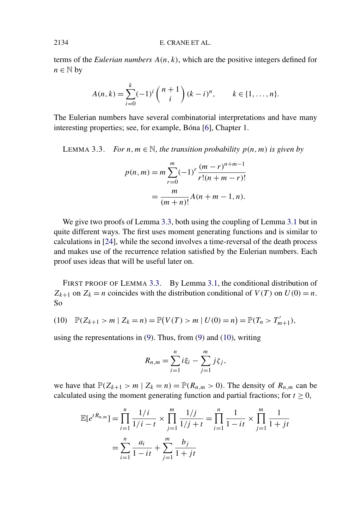<span id="page-16-0"></span>terms of the *Eulerian numbers*  $A(n, k)$ , which are the positive integers defined for  $n \in \mathbb{N}$  by

$$
A(n,k) = \sum_{i=0}^{k} (-1)^{i} {n+1 \choose i} (k-i)^{n}, \qquad k \in \{1, \ldots, n\}.
$$

The Eulerian numbers have several combinatorial interpretations and have many interesting properties; see, for example, Bóna [\[6\]](#page-57-0), Chapter 1.

LEMMA 3.3. *For*  $n, m \in \mathbb{N}$ , the transition probability  $p(n, m)$  is given by

$$
p(n, m) = m \sum_{r=0}^{m} (-1)^r \frac{(m-r)^{n+m-1}}{r!(n+m-r)!}
$$
  
= 
$$
\frac{m}{(m+n)!} A(n+m-1, n).
$$

We give two proofs of Lemma 3.3, both using the coupling of Lemma [3.1](#page-15-0) but in quite different ways. The first uses moment generating functions and is similar to calculations in [\[24\]](#page-58-0), while the second involves a time-reversal of the death process and makes use of the recurrence relation satisfied by the Eulerian numbers. Each proof uses ideas that will be useful later on.

FIRST PROOF OF LEMMA 3.3. By Lemma [3.1,](#page-15-0) the conditional distribution of  $Z_{k+1}$  on  $Z_k = n$  coincides with the distribution conditional of  $V(T)$  on  $U(0) = n$ . So

(10) 
$$
\mathbb{P}(Z_{k+1} > m \mid Z_k = n) = \mathbb{P}(V(T) > m \mid U(0) = n) = \mathbb{P}(T_n > T'_{m+1}),
$$

using the representations in [\(9\)](#page-15-0). Thus, from [\(9\)](#page-15-0) and (10), writing

$$
R_{n,m} = \sum_{i=1}^{n} i \xi_i - \sum_{j=1}^{m} j \zeta_j,
$$

we have that  $\mathbb{P}(Z_{k+1} > m \mid Z_k = n) = \mathbb{P}(R_{n,m} > 0)$ . The density of  $R_{n,m}$  can be calculated using the moment generating function and partial fractions; for  $t \geq 0$ ,

$$
\mathbb{E}[e^{tR_{n,m}}] = \prod_{i=1}^{n} \frac{1/i}{1/i - t} \times \prod_{j=1}^{m} \frac{1/j}{1/j + t} = \prod_{i=1}^{n} \frac{1}{1 - it} \times \prod_{j=1}^{m} \frac{1}{1 + jt}
$$

$$
= \sum_{i=1}^{n} \frac{a_i}{1 - it} + \sum_{j=1}^{m} \frac{b_j}{1 + jt}
$$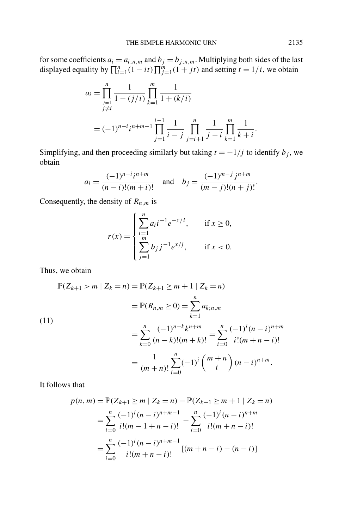<span id="page-17-0"></span>for some coefficients  $a_i = a_{i;n,m}$  and  $b_j = b_{j;n,m}$ . Multiplying both sides of the last displayed equality by  $\prod_{i=1}^{n} (1 - it) \prod_{j=1}^{m} (1 + it)$  and setting  $t = 1/i$ , we obtain

$$
a_i = \prod_{\substack{j=1 \ j \neq i}}^n \frac{1}{1 - (j/i)} \prod_{k=1}^m \frac{1}{1 + (k/i)}
$$
  
=  $(-1)^{n-i} i^{n+m-1} \prod_{j=1}^{i-1} \frac{1}{i - j} \prod_{j=i+1}^n \frac{1}{j - i} \prod_{k=1}^m \frac{1}{k+i}.$ 

Simplifying, and then proceeding similarly but taking  $t = -1/j$  to identify  $b_j$ , we obtain

$$
a_i = \frac{(-1)^{n-i} i^{n+m}}{(n-i)!(m+i)!} \quad \text{and} \quad b_j = \frac{(-1)^{m-j} j^{n+m}}{(m-j)!(n+j)!}.
$$

Consequently, the density of *Rn,m* is

$$
r(x) = \begin{cases} \sum_{i=1}^{n} a_i i^{-1} e^{-x/i}, & \text{if } x \ge 0, \\ \sum_{j=1}^{m} b_j j^{-1} e^{x/j}, & \text{if } x < 0. \end{cases}
$$

Thus, we obtain

$$
\mathbb{P}(Z_{k+1} > m \mid Z_k = n) = \mathbb{P}(Z_{k+1} \ge m+1 \mid Z_k = n)
$$
  
=  $\mathbb{P}(R_{n,m} \ge 0) = \sum_{k=1}^{n} a_{k;n,m}$   
11)  
=  $\sum_{k=0}^{n} \frac{(-1)^{n-k} k^{n+m}}{(n-k)!(m+k)!} = \sum_{i=0}^{n} \frac{(-1)^i (n-i)^{n+m}}{i!(m+n-i)!}$   
=  $\frac{1}{(m+n)!} \sum_{i=0}^{n} (-1)^i {m+n \choose i} (n-i)^{n+m}.$ 

It follows that

 $($ 

$$
p(n, m) = \mathbb{P}(Z_{k+1} \ge m \mid Z_k = n) - \mathbb{P}(Z_{k+1} \ge m + 1 \mid Z_k = n)
$$
  
= 
$$
\sum_{i=0}^{n} \frac{(-1)^i (n-i)^{n+m-1}}{i!(m-1+n-i)!} - \sum_{i=0}^{n} \frac{(-1)^i (n-i)^{n+m}}{i!(m+n-i)!}
$$
  
= 
$$
\sum_{i=0}^{n} \frac{(-1)^i (n-i)^{n+m-1}}{i!(m+n-i)!} [(m+n-i) - (n-i)]
$$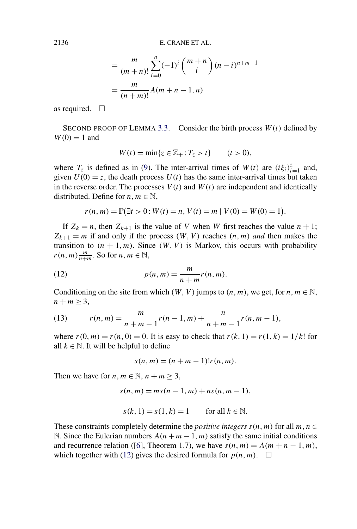<span id="page-18-0"></span>2136 E. CRANE ET AL.

$$
= \frac{m}{(m+n)!} \sum_{i=0}^{n} (-1)^{i} {m+n \choose i} (n-i)^{n+m-1}
$$

$$
= \frac{m}{(n+m)!} A(m+n-1, n)
$$

as required.  $\Box$ 

SECOND PROOF OF LEMMA [3.3.](#page-16-0) Consider the birth process  $W(t)$  defined by  $W(0) = 1$  and

$$
W(t) = \min\{z \in \mathbb{Z}_+ : T_z > t\} \qquad (t > 0),
$$

where  $T_z$  is defined as in [\(9\)](#page-15-0). The inter-arrival times of  $W(t)$  are  $(i\xi_i)_{i=1}^z$  and, given  $U(0) = z$ , the death process  $U(t)$  has the same inter-arrival times but taken in the reverse order. The processes  $V(t)$  and  $W(t)$  are independent and identically distributed. Define for  $n, m \in \mathbb{N}$ ,

$$
r(n, m) = \mathbb{P}(\exists t > 0 : W(t) = n, V(t) = m | V(0) = W(0) = 1).
$$

If  $Z_k = n$ , then  $Z_{k+1}$  is the value of *V* when *W* first reaches the value  $n + 1$ ;  $Z_{k+1} = m$  if and only if the process  $(W, V)$  reaches  $(n, m)$  *and* then makes the transition to  $(n + 1, m)$ . Since  $(W, V)$  is Markov, this occurs with probability  $r(n, m) \frac{m}{n+m}$ . So for  $n, m \in \mathbb{N}$ ,

(12) 
$$
p(n,m) = \frac{m}{n+m}r(n,m).
$$

Conditioning on the site from which *(W, V)* jumps to  $(n, m)$ , we get, for  $n, m \in \mathbb{N}$ ,  $n + m \geq 3$ ,

(13) 
$$
r(n,m) = \frac{m}{n+m-1}r(n-1,m) + \frac{n}{n+m-1}r(n,m-1),
$$

where  $r(0, m) = r(n, 0) = 0$ . It is easy to check that  $r(k, 1) = r(1, k) = 1/k!$  for all  $k \in \mathbb{N}$ . It will be helpful to define

$$
s(n, m) = (n + m - 1)!r(n, m).
$$

Then we have for *n*,  $m \in \mathbb{N}$ ,  $n + m \geq 3$ ,

$$
s(n, m) = ms(n - 1, m) + ns(n, m - 1),
$$

$$
s(k, 1) = s(1, k) = 1 \qquad \text{for all } k \in \mathbb{N}.
$$

These constraints completely determine the *positive integers*  $s(n, m)$  for all  $m, n \in$ N. Since the Eulerian numbers  $A(n + m - 1, m)$  satisfy the same initial conditions and recurrence relation ([\[6\]](#page-57-0), Theorem 1.7), we have  $s(n, m) = A(m + n - 1, m)$ , which together with (12) gives the desired formula for  $p(n, m)$ .  $\Box$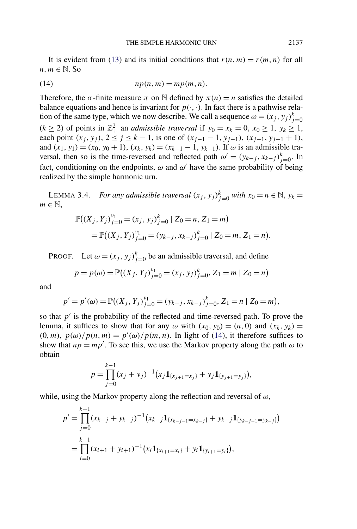<span id="page-19-0"></span>It is evident from [\(13\)](#page-18-0) and its initial conditions that  $r(n, m) = r(m, n)$  for all  $n, m \in \mathbb{N}$ . So

$$
(14) \t\t\t  $np(n,m) = mp(m,n).$
$$

Therefore, the  $\sigma$ -finite measure  $\pi$  on N defined by  $\pi(n) = n$  satisfies the detailed balance equations and hence is invariant for  $p(\cdot, \cdot)$ . In fact there is a pathwise relation of the same type, which we now describe. We call a sequence  $\omega = (x_j, y_j)_{j=0}^k$  $(k \ge 2)$  of points in  $\mathbb{Z}_+^2$  an *admissible traversal* if  $y_0 = x_k = 0$ ,  $x_0 \ge 1$ ,  $y_k \ge 1$ , each point  $(x_j, y_j)$ ,  $2 \le j \le k - 1$ , is one of  $(x_{j-1} - 1, y_{j-1})$ ,  $(x_{j-1}, y_{j-1} + 1)$ , and  $(x_1, y_1) = (x_0, y_0 + 1)$ ,  $(x_k, y_k) = (x_{k-1} - 1, y_{k-1})$ . If  $\omega$  is an admissible traversal, then so is the time-reversed and reflected path  $\omega' = (y_{k-j}, x_{k-j})_{j=0}^k$ . In fact, conditioning on the endpoints,  $\omega$  and  $\omega'$  have the same probability of being realized by the simple harmonic urn.

LEMMA 3.4. *For any admissible traversal*  $(x_j, y_j)_{j=0}^k$  *with*  $x_0 = n \in \mathbb{N}$ ,  $y_k =$  $m \in \mathbb{N}$ ,

$$
\mathbb{P}((X_j, Y_j)_{j=0}^{\nu_1} = (x_j, y_j)_{j=0}^k | Z_0 = n, Z_1 = m)
$$
  
= 
$$
\mathbb{P}((X_j, Y_j)_{j=0}^{\nu_1} = (y_{k-j}, x_{k-j})_{j=0}^k | Z_0 = m, Z_1 = n).
$$

PROOF. Let  $\omega = (x_j, y_j)_{j=0}^k$  be an admissible traversal, and define

$$
p = p(\omega) = \mathbb{P}((X_j, Y_j)_{j=0}^{\nu_1} = (x_j, y_j)_{j=0}^k, Z_1 = m | Z_0 = n)
$$

and

$$
p' = p'(\omega) = \mathbb{P}((X_j, Y_j)_{j=0}^{v_1} = (y_{k-j}, x_{k-j})_{j=0}^k, Z_1 = n | Z_0 = m),
$$

so that  $p'$  is the probability of the reflected and time-reversed path. To prove the lemma, it suffices to show that for any  $\omega$  with  $(x_0, y_0) = (n, 0)$  and  $(x_k, y_k) =$  $(0, m)$ ,  $p(\omega)/p(n, m) = p'(\omega)/p(m, n)$ . In light of (14), it therefore suffices to show that  $np = mp'$ . To see this, we use the Markov property along the path  $\omega$  to obtain

$$
p = \prod_{j=0}^{k-1} (x_j + y_j)^{-1} (x_j \mathbf{1}_{\{x_{j+1} = x_j\}} + y_j \mathbf{1}_{\{y_{j+1} = y_j\}}),
$$

while, using the Markov property along the reflection and reversal of *ω*,

$$
p' = \prod_{j=0}^{k-1} (x_{k-j} + y_{k-j})^{-1} (x_{k-j} \mathbf{1}_{\{x_{k-j-1} = x_{k-j}\}} + y_{k-j} \mathbf{1}_{\{y_{k-j-1} = y_{k-j}\}})
$$
  
= 
$$
\prod_{i=0}^{k-1} (x_{i+1} + y_{i+1})^{-1} (x_i \mathbf{1}_{\{x_{i+1} = x_i\}} + y_i \mathbf{1}_{\{y_{i+1} = y_i\}}),
$$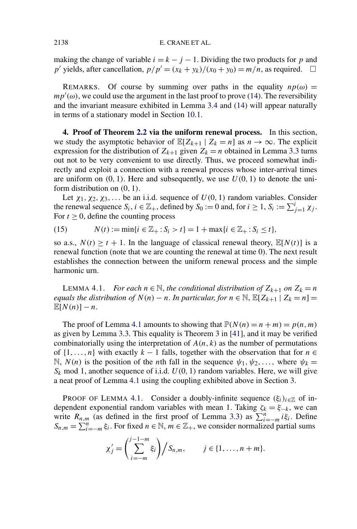<span id="page-20-0"></span>making the change of variable  $i = k - j - 1$ . Dividing the two products for p and *p'* yields, after cancellation,  $p/p' = (x_k + y_k)/(x_0 + y_0) = m/n$ , as required.  $\Box$ 

REMARKS. Of course by summing over paths in the equality  $np(\omega)$  =  $mp'(\omega)$ , we could use the argument in the last proof to prove [\(14\)](#page-19-0). The reversibility and the invariant measure exhibited in Lemma [3.4](#page-19-0) and [\(14\)](#page-19-0) will appear naturally in terms of a stationary model in Section [10.1.](#page-48-0)

**4. Proof of Theorem [2.2](#page-4-0) via the uniform renewal process.** In this section, we study the asymptotic behavior of  $\mathbb{E}[Z_{k+1} | Z_k = n]$  as  $n \to \infty$ . The explicit expression for the distribution of  $Z_{k+1}$  given  $Z_k = n$  obtained in Lemma [3.3](#page-16-0) turns out not to be very convenient to use directly. Thus, we proceed somewhat indirectly and exploit a connection with a renewal process whose inter-arrival times are uniform on  $(0, 1)$ . Here and subsequently, we use  $U(0, 1)$  to denote the uniform distribution on *(*0*,* 1*)*.

Let  $\chi_1, \chi_2, \chi_3, \ldots$  be an i.i.d. sequence of  $U(0, 1)$  random variables. Consider the renewal sequence  $S_i$ ,  $i \in \mathbb{Z}_+$ , defined by  $S_0 := 0$  and, for  $i \geq 1$ ,  $S_i := \sum_{j=1}^i \chi_j$ . For  $t \geq 0$ , define the counting process

(15) 
$$
N(t) := \min\{i \in \mathbb{Z}_+ : S_i > t\} = 1 + \max\{i \in \mathbb{Z}_+ : S_i \le t\},
$$

so a.s.,  $N(t) \ge t + 1$ . In the language of classical renewal theory,  $\mathbb{E}[N(t)]$  is a renewal function (note that we are counting the renewal at time 0). The next result establishes the connection between the uniform renewal process and the simple harmonic urn.

LEMMA 4.1. *For each*  $n \in \mathbb{N}$ , the conditional distribution of  $Z_{k+1}$  on  $Z_k = n$ *equals the distribution of*  $N(n) - n$ . *In particular, for*  $n \in \mathbb{N}$ ,  $\mathbb{E}[Z_{k+1} | Z_k = n] =$  $\mathbb{E}[N(n)] - n$ .

The proof of Lemma 4.1 amounts to showing that  $P(N(n) = n + m) = p(n, m)$ as given by Lemma [3.3.](#page-16-0) This equality is Theorem 3 in [\[41\]](#page-59-0), and it may be verified combinatorially using the interpretation of  $A(n, k)$  as the number of permutations of  $\{1, \ldots, n\}$  with exactly  $k - 1$  falls, together with the observation that for  $n \in$  $\mathbb{N}, N(n)$  is the position of the *n*th fall in the sequence  $\psi_1, \psi_2, \dots$ , where  $\psi_k =$  $S_k$  mod 1, another sequence of i.i.d.  $U(0, 1)$  random variables. Here, we will give a neat proof of Lemma 4.1 using the coupling exhibited above in Section [3.](#page-14-0)

PROOF OF LEMMA 4.1. Consider a doubly-infinite sequence  $(\xi_i)_{i \in \mathbb{Z}}$  of independent exponential random variables with mean 1. Taking  $\zeta_k = \xi_{-k}$ , we can write  $R_{n,m}$  (as defined in the first proof of Lemma [3.3\)](#page-16-0) as  $\sum_{i=-m}^{n} i\xi_i$ . Define  $S_{n,m} = \sum_{i=-m}^{n} \xi_i$ . For fixed  $n \in \mathbb{N}$ ,  $m \in \mathbb{Z}_+$ , we consider normalized partial sums

$$
\chi'_{j} = \left(\sum_{i=-m}^{j-1-m} \xi_{i}\right) / S_{n,m}, \qquad j \in \{1, ..., n+m\}.
$$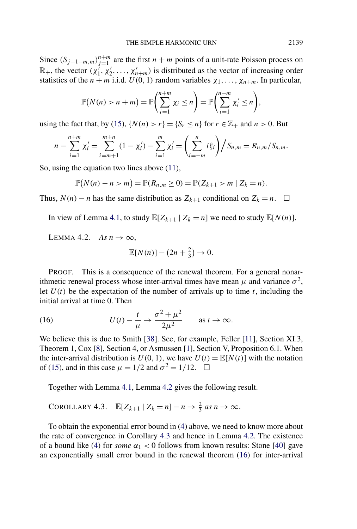<span id="page-21-0"></span>Since  $(S_{j-1-m,m})_{j=1}^{n+m}$  are the first *n* + *m* points of a unit-rate Poisson process on  $\mathbb{R}_+$ , the vector  $(\chi_1^{\gamma}, \chi_2^{\gamma}, \ldots, \chi_{n+m}^{\gamma})$  is distributed as the vector of increasing order statistics of the  $n + m$  i.i.d.  $U(0, 1)$  random variables  $\chi_1, \ldots, \chi_{n+m}$ . In particular,

$$
\mathbb{P}(N(n) > n+m) = \mathbb{P}\left(\sum_{i=1}^{n+m} \chi_i \leq n\right) = \mathbb{P}\left(\sum_{i=1}^{n+m} \chi'_i \leq n\right),
$$

using the fact that, by [\(15\)](#page-20-0),  $\{N(n) > r\} = \{S_r \le n\}$  for  $r \in \mathbb{Z}_+$  and  $n > 0$ . But

$$
n - \sum_{i=1}^{n+m} \chi'_i = \sum_{i=m+1}^{m+n} (1 - \chi'_i) - \sum_{i=1}^{m} \chi'_i = \left(\sum_{i=-m}^{n} i\xi_i\right) / S_{n,m} = R_{n,m} / S_{n,m}.
$$

So, using the equation two lines above [\(11\)](#page-17-0),

$$
\mathbb{P}(N(n) - n > m) = \mathbb{P}(R_{n,m} \ge 0) = \mathbb{P}(Z_{k+1} > m \mid Z_k = n).
$$

Thus,  $N(n) - n$  has the same distribution as  $Z_{k+1}$  conditional on  $Z_k = n$ .  $\Box$ 

In view of Lemma [4.1,](#page-20-0) to study  $\mathbb{E}[Z_{k+1} | Z_k = n]$  we need to study  $\mathbb{E}[N(n)]$ .

LEMMA 4.2.  $As n \rightarrow \infty$ ,

$$
\mathbb{E}[N(n)] - (2n + \frac{2}{3}) \to 0.
$$

PROOF. This is a consequence of the renewal theorem. For a general nonarithmetic renewal process whose inter-arrival times have mean *μ* and variance  $σ²$ , let  $U(t)$  be the expectation of the number of arrivals up to time  $t$ , including the initial arrival at time 0. Then

(16) 
$$
U(t) - \frac{t}{\mu} \to \frac{\sigma^2 + \mu^2}{2\mu^2} \quad \text{as } t \to \infty.
$$

We believe this is due to Smith [\[38\]](#page-59-0). See, for example, Feller [\[11\]](#page-57-0), Section XI.3, Theorem 1, Cox [\[8\]](#page-57-0), Section 4, or Asmussen [\[1\]](#page-57-0), Section V, Proposition 6.1. When the inter-arrival distribution is  $U(0, 1)$ , we have  $U(t) = \mathbb{E}[N(t)]$  with the notation of [\(15\)](#page-20-0), and in this case  $\mu = 1/2$  and  $\sigma^2 = 1/12$ .  $\Box$ 

Together with Lemma [4.1,](#page-20-0) Lemma 4.2 gives the following result.

COROLLARY 4.3. 
$$
\mathbb{E}[Z_{k+1} | Z_k = n] - n \to \frac{2}{3} \text{ as } n \to \infty.
$$

To obtain the exponential error bound in [\(4\)](#page-4-0) above, we need to know more about the rate of convergence in Corollary 4.3 and hence in Lemma 4.2. The existence of a bound like [\(4\)](#page-4-0) for *some*  $\alpha_1 < 0$  follows from known results: Stone [\[40\]](#page-59-0) gave an exponentially small error bound in the renewal theorem (16) for inter-arrival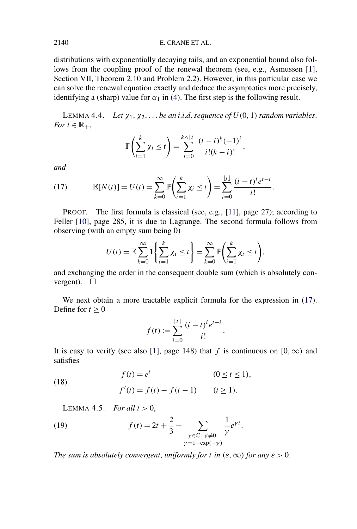distributions with exponentially decaying tails, and an exponential bound also follows from the coupling proof of the renewal theorem (see, e.g., Asmussen [\[1\]](#page-57-0), Section VII, Theorem 2.10 and Problem 2.2). However, in this particular case we can solve the renewal equation exactly and deduce the asymptotics more precisely, identifying a (sharp) value for  $\alpha_1$  in [\(4\)](#page-4-0). The first step is the following result.

LEMMA 4.4. *Let*  $\chi_1, \chi_2, \ldots$  *be an i.i.d. sequence of*  $U(0, 1)$  *random variables. For*  $t \in \mathbb{R}_+$ ,

$$
\mathbb{P}\left(\sum_{i=1}^k \chi_i \leq t\right) = \sum_{i=0}^{k \wedge \lfloor t \rfloor} \frac{(t-i)^k (-1)^i}{i!(k-i)!},
$$

*and*

(17) 
$$
\mathbb{E}[N(t)] = U(t) = \sum_{k=0}^{\infty} \mathbb{P}\left(\sum_{i=1}^{k} \chi_i \leq t\right) = \sum_{i=0}^{\lfloor t \rfloor} \frac{(i-t)^i e^{t-i}}{i!}.
$$

PROOF. The first formula is classical (see, e.g., [\[11\]](#page-57-0), page 27); according to Feller [\[10\]](#page-57-0), page 285, it is due to Lagrange. The second formula follows from observing (with an empty sum being 0)

$$
U(t) = \mathbb{E}\sum_{k=0}^{\infty} \mathbf{1} \left\{ \sum_{i=1}^{k} \chi_i \leq t \right\} = \sum_{k=0}^{\infty} \mathbb{P} \left( \sum_{i=1}^{k} \chi_i \leq t \right),
$$

and exchanging the order in the consequent double sum (which is absolutely convergent).  $\Box$ 

We next obtain a more tractable explicit formula for the expression in  $(17)$ . Define for  $t \geq 0$ 

$$
f(t) := \sum_{i=0}^{\lfloor t \rfloor} \frac{(i-t)^i e^{t-i}}{i!}.
$$

It is easy to verify (see also [\[1\]](#page-57-0), page 148) that *f* is continuous on  $[0, \infty)$  and satisfies

(18) 
$$
f(t) = e^{t} \qquad (0 \le t \le 1),
$$

$$
f'(t) = f(t) - f(t-1) \qquad (t \ge 1).
$$

LEMMA 4.5. *For all*  $t > 0$ ,

(19) 
$$
f(t) = 2t + \frac{2}{3} + \sum_{\substack{\gamma \in \mathbb{C} : \gamma \neq 0, \\ \gamma = 1 - \exp(-\gamma)}} \frac{1}{\gamma} e^{\gamma t}.
$$

*The sum is absolutely convergent, uniformly for <i>t in*  $(\varepsilon, \infty)$  *for any*  $\varepsilon > 0$ .

<span id="page-22-0"></span>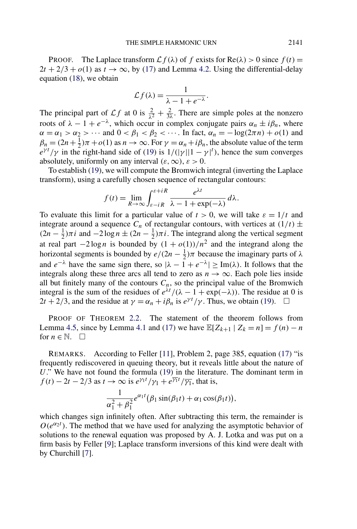**PROOF.** The Laplace transform  $\mathcal{L} f(\lambda)$  of f exists for  $Re(\lambda) > 0$  since  $f(t) =$  $2t + 2/3 + o(1)$  as  $t \to \infty$ , by [\(17\)](#page-22-0) and Lemma [4.2.](#page-21-0) Using the differential-delay equation [\(18\)](#page-22-0), we obtain

$$
\mathcal{L}f(\lambda) = \frac{1}{\lambda - 1 + e^{-\lambda}}.
$$

The principal part of  $\mathcal{L}f$  at 0 is  $\frac{2}{\lambda^2} + \frac{2}{3\lambda}$ . There are simple poles at the nonzero roots of  $\lambda - 1 + e^{-\lambda}$ , which occur in complex conjugate pairs  $\alpha_n \pm i\beta_n$ , where  $\alpha = \alpha_1 > \alpha_2 > \cdots$  and  $0 < \beta_1 < \beta_2 < \cdots$ . In fact,  $\alpha_n = -\log(2\pi n) + o(1)$  and  $\beta_n = (2n + \frac{1}{2})\pi + o(1)$  as  $n \to \infty$ . For  $\gamma = \alpha_n + i\beta_n$ , the absolute value of the term  $e^{\gamma t}/\gamma$  in the right-hand side of [\(19\)](#page-22-0) is  $1/(|\gamma||1 - \gamma|^t)$ , hence the sum converges absolutely, uniformly on any interval  $(\varepsilon, \infty)$ ,  $\varepsilon > 0$ .

To establish [\(19\)](#page-22-0), we will compute the Bromwich integral (inverting the Laplace transform), using a carefully chosen sequence of rectangular contours:

$$
f(t) = \lim_{R \to \infty} \int_{\varepsilon - iR}^{\varepsilon + iR} \frac{e^{\lambda t}}{\lambda - 1 + \exp(-\lambda)} d\lambda.
$$

To evaluate this limit for a particular value of  $t > 0$ , we will take  $\varepsilon = 1/t$  and integrate around a sequence  $C_n$  of rectangular contours, with vertices at  $(1/t) \pm$  $(2n - \frac{1}{2})\pi i$  and  $-2\log n \pm (2n - \frac{1}{2})\pi i$ . The integrand along the vertical segment at real part  $-2 \log n$  is bounded by  $(1 + o(1))/n^2$  and the integrand along the horizontal segments is bounded by  $e/(2n - \frac{1}{2})\pi$  because the imaginary parts of  $\lambda$ and  $e^{-\lambda}$  have the same sign there, so  $|\lambda - \overline{1} + e^{-\lambda}| \geq \text{Im}(\lambda)$ . It follows that the integrals along these three arcs all tend to zero as  $n \to \infty$ . Each pole lies inside all but finitely many of the contours  $C_n$ , so the principal value of the Bromwich integral is the sum of the residues of  $e^{\lambda t}/(\lambda - 1 + \exp(-\lambda))$ . The residue at 0 is 2*t* + 2/3, and the residue at  $\gamma = \alpha_n + i\beta_n$  is  $e^{\gamma t}/\gamma$ . Thus, we obtain [\(19\)](#page-22-0).  $\Box$ 

PROOF OF THEOREM [2.2.](#page-4-0) The statement of the theorem follows from Lemma [4.5,](#page-22-0) since by Lemma [4.1](#page-20-0) and [\(17\)](#page-22-0) we have  $\mathbb{E}[Z_{k+1} | Z_k = n] = f(n) - n$ for  $n \in \mathbb{N}$ .  $\Box$ 

REMARKS. According to Feller [\[11\]](#page-57-0), Problem 2, page 385, equation [\(17\)](#page-22-0) "is frequently rediscovered in queuing theory, but it reveals little about the nature of *U*." We have not found the formula [\(19\)](#page-22-0) in the literature. The dominant term in  $f(t) - 2t - 2/3$  as  $t \to \infty$  is  $e^{\gamma_1 t}/\gamma_1 + e^{\overline{\gamma_1}t}/\overline{\gamma_1}$ , that is,

$$
\frac{1}{\alpha_1^2+\beta_1^2}e^{\alpha_1t}(\beta_1\sin(\beta_1t)+\alpha_1\cos(\beta_1t)),
$$

which changes sign infinitely often. After subtracting this term, the remainder is  $O(e^{\alpha_2 t})$ . The method that we have used for analyzing the asymptotic behavior of solutions to the renewal equation was proposed by A. J. Lotka and was put on a firm basis by Feller [\[9\]](#page-57-0); Laplace transform inversions of this kind were dealt with by Churchill [\[7\]](#page-57-0).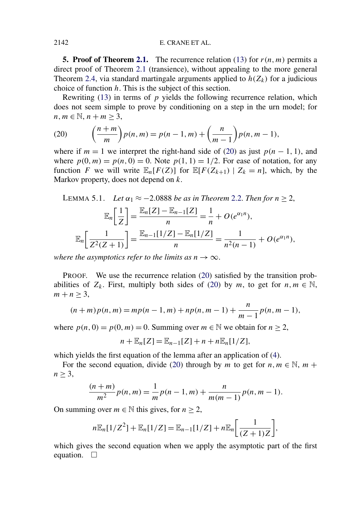#### <span id="page-24-0"></span>2142 E. CRANE ET AL.

**5. Proof of Theorem [2.1.](#page-4-0)** The recurrence relation [\(13\)](#page-18-0) for  $r(n, m)$  permits a direct proof of Theorem [2.1](#page-4-0) (transience), without appealing to the more general Theorem [2.4,](#page-7-0) via standard martingale arguments applied to  $h(Z_k)$  for a judicious choice of function *h*. This is the subject of this section.

Rewriting [\(13\)](#page-18-0) in terms of *p* yields the following recurrence relation, which does not seem simple to prove by conditioning on a step in the urn model; for  $n, m \in \mathbb{N}, n + m > 3,$ 

(20) 
$$
\left(\frac{n+m}{m}\right)p(n,m) = p(n-1,m) + \left(\frac{n}{m-1}\right)p(n,m-1),
$$

where if  $m = 1$  we interpret the right-hand side of (20) as just  $p(n - 1, 1)$ , and where  $p(0, m) = p(n, 0) = 0$ . Note  $p(1, 1) = 1/2$ . For ease of notation, for any function *F* we will write  $\mathbb{E}_n[F(Z)]$  for  $\mathbb{E}[F(Z_{k+1}) | Z_k = n]$ , which, by the Markov property, does not depend on *k*.

LEMMA 5.1. Let 
$$
\alpha_1 \approx -2.0888
$$
 be as in Theorem 2.2. Then for  $n \ge 2$ ,  
\n
$$
\mathbb{E}_n\left[\frac{1}{Z}\right] = \frac{\mathbb{E}_n[Z] - \mathbb{E}_{n-1}[Z]}{n} = \frac{1}{n} + O(e^{\alpha_1 n}),
$$
\n
$$
\mathbb{E}_n\left[\frac{1}{Z^2(Z+1)}\right] = \frac{\mathbb{E}_{n-1}[1/Z] - \mathbb{E}_n[1/Z]}{n} = \frac{1}{n^2(n-1)} + O(e^{\alpha_1 n}),
$$

*where the asymptotics refer to the limits as*  $n \rightarrow \infty$ .

PROOF. We use the recurrence relation (20) satisfied by the transition probabilities of  $Z_k$ . First, multiply both sides of (20) by *m*, to get for  $n, m \in \mathbb{N}$ ,  $m + n \geq 3$ ,

$$
(n+m)p(n,m) = mp(n-1,m) + np(n,m-1) + \frac{n}{m-1}p(n,m-1),
$$

where  $p(n, 0) = p(0, m) = 0$ . Summing over  $m \in \mathbb{N}$  we obtain for  $n \ge 2$ ,

$$
n+\mathbb{E}_n[Z]=\mathbb{E}_{n-1}[Z]+n+n\mathbb{E}_n[1/Z],
$$

which yields the first equation of the lemma after an application of [\(4\)](#page-4-0).

For the second equation, divide (20) through by *m* to get for  $n, m \in \mathbb{N}$ ,  $m +$  $n > 3$ ,

$$
\frac{(n+m)}{m^2}p(n,m) = \frac{1}{m}p(n-1,m) + \frac{n}{m(m-1)}p(n,m-1).
$$

On summing over  $m \in \mathbb{N}$  this gives, for  $n \geq 2$ ,

$$
n\mathbb{E}_n[1/Z^2] + \mathbb{E}_n[1/Z] = \mathbb{E}_{n-1}[1/Z] + n\mathbb{E}_n\bigg[\frac{1}{(Z+1)Z}\bigg],
$$

which gives the second equation when we apply the asymptotic part of the first equation.  $\square$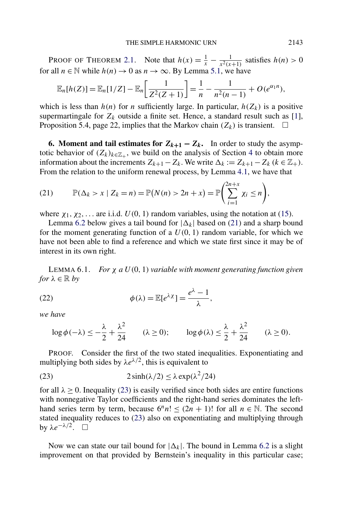<span id="page-25-0"></span>PROOF OF THEOREM [2.1.](#page-4-0) Note that  $h(x) = \frac{1}{x} - \frac{1}{x^2(x+1)}$  satisfies  $h(n) > 0$ for all  $n \in \mathbb{N}$  while  $h(n) \to 0$  as  $n \to \infty$ . By Lemma [5.1,](#page-24-0) we have

$$
\mathbb{E}_n[h(Z)] = \mathbb{E}_n[1/Z] - \mathbb{E}_n\left[\frac{1}{Z^2(Z+1)}\right] = \frac{1}{n} - \frac{1}{n^2(n-1)} + O(e^{\alpha_1 n}),
$$

which is less than  $h(n)$  for *n* sufficiently large. In particular,  $h(Z_k)$  is a positive supermartingale for  $Z_k$  outside a finite set. Hence, a standard result such as [\[1\]](#page-57-0), Proposition 5.4, page 22, implies that the Markov chain  $(Z_k)$  is transient.  $\Box$ 

**6. Moment and tail estimates for**  $Z_{k+1} - Z_k$ **.** In order to study the asymptotic behavior of  $(Z_k)_{k \in \mathbb{Z}_+}$ , we build on the analysis of Section [4](#page-20-0) to obtain more information about the increments  $Z_{k+1}-Z_k$ . We write  $\Delta_k := Z_{k+1}-Z_k$  ( $k \in \mathbb{Z}_+$ ). From the relation to the uniform renewal process, by Lemma [4.1,](#page-20-0) we have that

(21) 
$$
\mathbb{P}(\Delta_k > x \mid Z_k = n) = \mathbb{P}(N(n) > 2n + x) = \mathbb{P}\left(\sum_{i=1}^{2n+x} \chi_i \le n\right),
$$

where  $\chi_1, \chi_2, \ldots$  are i.i.d.  $U(0, 1)$  random variables, using the notation at [\(15\)](#page-20-0).

Lemma [6.2](#page-26-0) below gives a tail bound for  $|\Delta_k|$  based on (21) and a sharp bound for the moment generating function of a  $U(0, 1)$  random variable, for which we have not been able to find a reference and which we state first since it may be of interest in its own right.

LEMMA 6.1. *For χ a U(*0*,* 1*) variable with moment generating function given for*  $\lambda \in \mathbb{R}$  *by* 

(22) 
$$
\phi(\lambda) = \mathbb{E}[e^{\lambda \chi}] = \frac{e^{\lambda} - 1}{\lambda},
$$

*we have*

$$
\log \phi(-\lambda) \le -\frac{\lambda}{2} + \frac{\lambda^2}{24} \qquad (\lambda \ge 0); \qquad \log \phi(\lambda) \le \frac{\lambda}{2} + \frac{\lambda^2}{24} \qquad (\lambda \ge 0).
$$

PROOF. Consider the first of the two stated inequalities. Exponentiating and multiplying both sides by  $\lambda e^{\lambda/2}$ , this is equivalent to

(23) 
$$
2\sinh(\lambda/2) \leq \lambda \exp(\lambda^2/24)
$$

for all  $\lambda \geq 0$ . Inequality (23) is easily verified since both sides are entire functions with nonnegative Taylor coefficients and the right-hand series dominates the lefthand series term by term, because  $6^n n! \le (2n + 1)!$  for all  $n \in \mathbb{N}$ . The second stated inequality reduces to (23) also on exponentiating and multiplying through by  $\lambda e^{-\lambda/2}$ .  $\Box$ 

Now we can state our tail bound for  $|\Delta_k|$ . The bound in Lemma [6.2](#page-26-0) is a slight improvement on that provided by Bernstein's inequality in this particular case;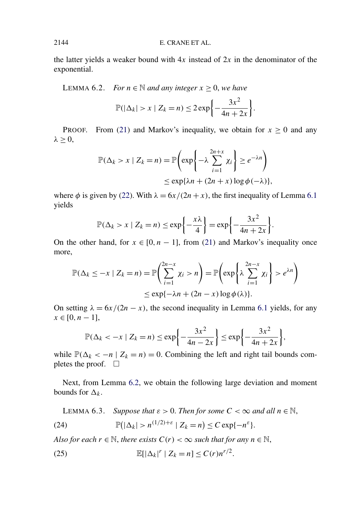<span id="page-26-0"></span>the latter yields a weaker bound with  $4x$  instead of  $2x$  in the denominator of the exponential.

LEMMA 6.2. *For*  $n \in \mathbb{N}$  *and any integer*  $x > 0$ *, we have* 

$$
\mathbb{P}(|\Delta_k| > x \mid Z_k = n) \leq 2 \exp\left\{-\frac{3x^2}{4n+2x}\right\}.
$$

PROOF. From [\(21\)](#page-25-0) and Markov's inequality, we obtain for  $x \ge 0$  and any *λ* ≥ 0,

$$
\mathbb{P}(\Delta_k > x \mid Z_k = n) = \mathbb{P}\left(\exp\left\{-\lambda \sum_{i=1}^{2n+x} \chi_i\right\} \ge e^{-\lambda n}\right)
$$
  

$$
\le \exp\{\lambda n + (2n+x)\log\phi(-\lambda)\},
$$

where  $\phi$  is given by [\(22\)](#page-25-0). With  $\lambda = 6x/(2n + x)$ , the first inequality of Lemma [6.1](#page-25-0) yields

$$
\mathbb{P}(\Delta_k > x \mid Z_k = n) \le \exp\left\{-\frac{x\lambda}{4}\right\} = \exp\left\{-\frac{3x^2}{4n+2x}\right\}.
$$

On the other hand, for  $x \in [0, n - 1]$ , from [\(21\)](#page-25-0) and Markov's inequality once more,

$$
\mathbb{P}(\Delta_k \leq -x \mid Z_k = n) = \mathbb{P}\left(\sum_{i=1}^{2n-x} \chi_i > n\right) = \mathbb{P}\left(\exp\left\{\lambda \sum_{i=1}^{2n-x} \chi_i\right\} > e^{\lambda n}\right)
$$
  

$$
\leq \exp\{-\lambda n + (2n-x)\log\phi(\lambda)\}.
$$

On setting  $\lambda = 6x/(2n - x)$ , the second inequality in Lemma [6.1](#page-25-0) yields, for any  $x \in [0, n-1],$ 

$$
\mathbb{P}(\Delta_k < -x \mid Z_k = n) \le \exp\left\{-\frac{3x^2}{4n - 2x}\right\} \le \exp\left\{-\frac{3x^2}{4n + 2x}\right\},\,
$$

while  $\mathbb{P}(\Delta_k < -n \mid Z_k = n) = 0$ . Combining the left and right tail bounds completes the proof.  $\Box$ 

Next, from Lemma 6.2, we obtain the following large deviation and moment bounds for  $\Delta_k$ .

**LEMMA 6.3.** *Suppose that*  $\varepsilon > 0$ *. Then for some*  $C < \infty$  *and all*  $n \in \mathbb{N}$ *,* (24)  $\mathbb{P}(|\Delta_k| > n^{(1/2)+\varepsilon} | Z_k = n) \leq C \exp\{-n^{\varepsilon}\}.$ 

*Also for each*  $r \in \mathbb{N}$ , *there exists*  $C(r) < \infty$  *such that for any*  $n \in \mathbb{N}$ ,

$$
\mathbb{E}[\left|\Delta_k\right|^r \mid Z_k = n] \leq C(r)n^{r/2}.
$$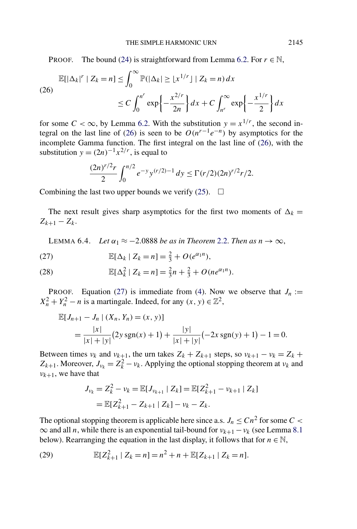<span id="page-27-0"></span>PROOF. The bound [\(24\)](#page-26-0) is straightforward from Lemma [6.2.](#page-26-0) For  $r \in \mathbb{N}$ ,

$$
\mathbb{E}[|\Delta_k|^r | Z_k = n] \le \int_0^\infty \mathbb{P}(|\Delta_k| \ge \lfloor x^{1/r} \rfloor | Z_k = n) dx
$$
  
(26)  

$$
\le C \int_0^{n^r} \exp\left\{-\frac{x^{2/r}}{2n}\right\} dx + C \int_{n^r}^\infty \exp\left\{-\frac{x^{1/r}}{2}\right\} dx
$$

for some  $C < \infty$ , by Lemma [6.2.](#page-26-0) With the substitution  $y = x^{1/r}$ , the second integral on the last line of (26) is seen to be  $O(n^{r-1}e^{-n})$  by asymptotics for the incomplete Gamma function. The first integral on the last line of (26), with the substitution  $y = (2n)^{-1}x^{2/r}$ , is equal to

$$
\frac{(2n)^{r/2}r}{2}\int_0^{n/2}e^{-y}y^{(r/2)-1}dy \leq \Gamma(r/2)(2n)^{r/2}r/2.
$$

Combining the last two upper bounds we verify [\(25\)](#page-26-0).  $\Box$ 

The next result gives sharp asymptotics for the first two moments of  $\Delta_k$  =  $Z_{k+1} - Z_k$ .

LEMMA 6.4. *Let*  $\alpha_1 \approx -2.0888$  *be as in Theorem [2.2.](#page-4-0) Then as*  $n \to \infty$ ,

(27) 
$$
\mathbb{E}[\Delta_k | Z_k = n] = \frac{2}{3} + O(e^{\alpha_1 n}),
$$

(28) 
$$
\mathbb{E}[\Delta_k^2 | Z_k = n] = \frac{2}{3}n + \frac{2}{3} + O(n e^{\alpha_1 n}).
$$

PROOF. Equation (27) is immediate from [\(4\)](#page-4-0). Now we observe that  $J_n :=$  $X_n^2 + Y_n^2 - n$  is a martingale. Indeed, for any  $(x, y) \in \mathbb{Z}^2$ ,

$$
\mathbb{E}[J_{n+1} - J_n | (X_n, Y_n) = (x, y)]
$$
  
= 
$$
\frac{|x|}{|x| + |y|} (2y \operatorname{sgn}(x) + 1) + \frac{|y|}{|x| + |y|} (-2x \operatorname{sgn}(y) + 1) - 1 = 0.
$$

Between times  $v_k$  and  $v_{k+1}$ , the urn takes  $Z_k + Z_{k+1}$  steps, so  $v_{k+1} - v_k = Z_k +$  $Z_{k+1}$ . Moreover,  $J_{\nu_k} = Z_k^2 - \nu_k$ . Applying the optional stopping theorem at  $\nu_k$  and *νk*+1, we have that

$$
J_{\nu_k} = Z_k^2 - \nu_k = \mathbb{E}[J_{\nu_{k+1}} | Z_k] = \mathbb{E}[Z_{k+1}^2 - \nu_{k+1} | Z_k]
$$
  
=  $\mathbb{E}[Z_{k+1}^2 - Z_{k+1} | Z_k] - \nu_k - Z_k$ .

The optional stopping theorem is applicable here since a.s.  $J_n \leq Cn^2$  for some  $C <$  $\infty$  and all *n*, while there is an exponential tail-bound for  $v_{k+1} - v_k$  (see Lemma [8.1](#page-35-0)) below). Rearranging the equation in the last display, it follows that for  $n \in \mathbb{N}$ ,

(29) 
$$
\mathbb{E}[Z_{k+1}^2 | Z_k = n] = n^2 + n + \mathbb{E}[Z_{k+1} | Z_k = n].
$$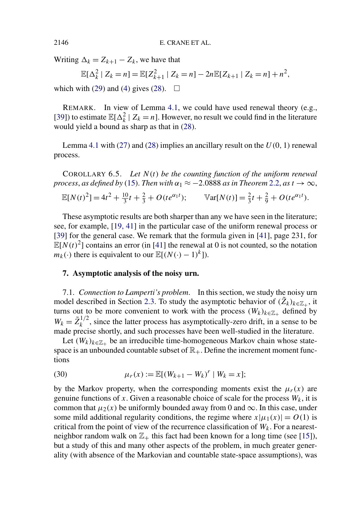Writing  $\Delta_k = Z_{k+1} - Z_k$ , we have that

$$
\mathbb{E}[\Delta_k^2 | Z_k = n] = \mathbb{E}[Z_{k+1}^2 | Z_k = n] - 2n \mathbb{E}[Z_{k+1} | Z_k = n] + n^2,
$$

which with [\(29\)](#page-27-0) and [\(4\)](#page-4-0) gives [\(28\)](#page-27-0).  $\Box$ 

REMARK. In view of Lemma [4.1,](#page-20-0) we could have used renewal theory (e.g., [\[39\]](#page-59-0)) to estimate  $\mathbb{E}[\Delta_k^2 | Z_k = n]$ . However, no result we could find in the literature would yield a bound as sharp as that in [\(28\)](#page-27-0).

Lemma [4.1](#page-20-0) with [\(27\)](#page-27-0) and [\(28\)](#page-27-0) implies an ancillary result on the  $U(0, 1)$  renewal process.

COROLLARY 6.5. *Let N(t) be the counting function of the uniform renewal process, as defined by* [\(15\)](#page-20-0). *Then with*  $\alpha_1 \approx -2.0888$  *as in Theorem* [2.2,](#page-4-0) *as*  $t \to \infty$ ,

$$
\mathbb{E}[N(t)^2] = 4t^2 + \frac{10}{3}t + \frac{2}{3} + O(te^{\alpha_1 t}); \qquad \mathbb{V}\text{ar}[N(t)] = \frac{2}{3}t + \frac{2}{9} + O(te^{\alpha_1 t}).
$$

These asymptotic results are both sharper than any we have seen in the literature; see, for example, [\[19, 41\]](#page-58-0) in the particular case of the uniform renewal process or [\[39\]](#page-59-0) for the general case. We remark that the formula given in [\[41\]](#page-59-0), page 231, for  $\mathbb{E}[N(t)^2]$  contains an error (in [\[41\]](#page-59-0) the renewal at 0 is not counted, so the notation *m<sub>k</sub>*(·*)* there is equivalent to our  $\mathbb{E}[(N(\cdot) - 1)^k]$ .

#### **7. Asymptotic analysis of the noisy urn.**

7.1. *Connection to Lamperti's problem*. In this section, we study the noisy urn model described in Section [2.3.](#page-6-0) To study the asymptotic behavior of  $(\tilde{Z}_k)_{k \in \mathbb{Z}_+}$ , it turns out to be more convenient to work with the process  $(W_k)_{k \in \mathbb{Z}_+}$  defined by  $W_k = \tilde{Z}_k^{1/2}$ , since the latter process has asymptotically-zero drift, in a sense to be made precise shortly, and such processes have been well-studied in the literature.

Let  $(W_k)_{k \in \mathbb{Z}_+}$  be an irreducible time-homogeneous Markov chain whose statespace is an unbounded countable subset of  $\mathbb{R}_+$ . Define the increment moment functions

(30) 
$$
\mu_r(x) := \mathbb{E}[(W_{k+1} - W_k)^r \mid W_k = x];
$$

by the Markov property, when the corresponding moments exist the  $\mu_r(x)$  are genuine functions of x. Given a reasonable choice of scale for the process  $W_k$ , it is common that  $\mu_2(x)$  be uniformly bounded away from 0 and  $\infty$ . In this case, under some mild additional regularity conditions, the regime where  $x|\mu_1(x)| = O(1)$  is critical from the point of view of the recurrence classification of  $W_k$ . For a nearestneighbor random walk on  $\mathbb{Z}_+$  this fact had been known for a long time (see [\[15\]](#page-58-0)), but a study of this and many other aspects of the problem, in much greater generality (with absence of the Markovian and countable state-space assumptions), was

<span id="page-28-0"></span>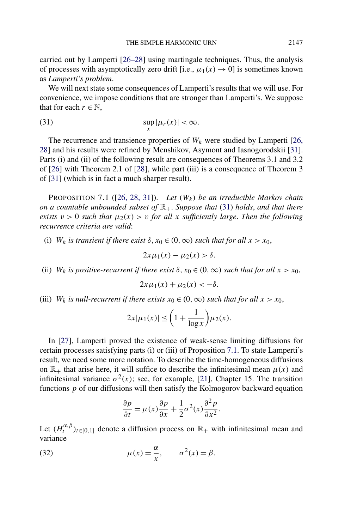<span id="page-29-0"></span>carried out by Lamperti [\[26–28\]](#page-58-0) using martingale techniques. Thus, the analysis of processes with asymptotically zero drift [i.e.,  $\mu_1(x) \rightarrow 0$ ] is sometimes known as *Lamperti's problem*.

We will next state some consequences of Lamperti's results that we will use. For convenience, we impose conditions that are stronger than Lamperti's. We suppose that for each  $r \in \mathbb{N}$ ,

$$
\sup_{x} |\mu_r(x)| < \infty.
$$

The recurrence and transience properties of  $W_k$  were studied by Lamperti [\[26,](#page-58-0) [28\]](#page-58-0) and his results were refined by Menshikov, Asymont and Iasnogorodskii [\[31\]](#page-58-0). Parts (i) and (ii) of the following result are consequences of Theorems 3.1 and 3.2 of [\[26\]](#page-58-0) with Theorem 2.1 of [\[28\]](#page-58-0), while part (iii) is a consequence of Theorem 3 of [\[31\]](#page-58-0) (which is in fact a much sharper result).

PROPOSITION 7.1 ([\[26, 28, 31\]](#page-58-0)). *Let (Wk) be an irreducible Markov chain on a countable unbounded subset of* R+. *Suppose that* (31) *holds*, *and that there exists*  $v > 0$  *such that*  $\mu_2(x) > v$  *for all x sufficiently large. Then the following recurrence criteria are valid*:

(i) *W<sub>k</sub> is transient if there exist*  $\delta$ ,  $x_0 \in (0, \infty)$  *such that for all*  $x > x_0$ ,

$$
2x\mu_1(x) - \mu_2(x) > \delta.
$$

(ii)  $W_k$  *is positive-recurrent if there exist*  $\delta$ ,  $x_0 \in (0, \infty)$  *such that for all*  $x > x_0$ ,

$$
2x\mu_1(x) + \mu_2(x) < -\delta.
$$

(iii) *W<sub>k</sub> is null-recurrent if there exists*  $x_0 \in (0, \infty)$  *such that for all*  $x > x_0$ ,

$$
2x|\mu_1(x)| \le \left(1 + \frac{1}{\log x}\right)\mu_2(x).
$$

In [\[27\]](#page-58-0), Lamperti proved the existence of weak-sense limiting diffusions for certain processes satisfying parts (i) or (iii) of Proposition 7.1. To state Lamperti's result, we need some more notation. To describe the time-homogeneous diffusions on  $\mathbb{R}_+$  that arise here, it will suffice to describe the infinitesimal mean  $\mu(x)$  and infinitesimal variance  $\sigma^2(x)$ ; see, for example, [\[21\]](#page-58-0), Chapter 15. The transition functions *p* of our diffusions will then satisfy the Kolmogorov backward equation

$$
\frac{\partial p}{\partial t} = \mu(x)\frac{\partial p}{\partial x} + \frac{1}{2}\sigma^2(x)\frac{\partial^2 p}{\partial x^2}.
$$

Let  $(H_t^{\alpha,\beta})_{t\in[0,1]}$  denote a diffusion process on  $\mathbb{R}_+$  with infinitesimal mean and variance

(32) 
$$
\mu(x) = \frac{\alpha}{x}, \qquad \sigma^2(x) = \beta.
$$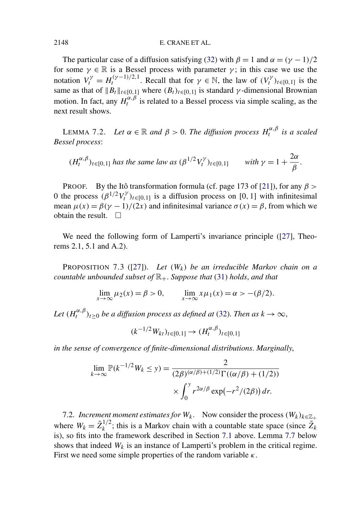#### <span id="page-30-0"></span>2148 E. CRANE ET AL.

The particular case of a diffusion satisfying [\(32\)](#page-29-0) with  $\beta = 1$  and  $\alpha = (\gamma - 1)/2$ for some  $\gamma \in \mathbb{R}$  is a Bessel process with parameter  $\gamma$ ; in this case we use the notation  $V_t^{\gamma} = H_t^{(\gamma - 1)/2,1}$ . Recall that for  $\gamma \in \mathbb{N}$ , the law of  $(V_t^{\gamma})_{t \in [0,1]}$  is the same as that of  $||B_t||_{t \in [0,1]}$  where  $(B_t)_{t \in [0,1]}$  is standard *γ*-dimensional Brownian motion. In fact, any  $H_t^{\alpha,\beta}$  is related to a Bessel process via simple scaling, as the next result shows.

LEMMA 7.2. *Let*  $\alpha \in \mathbb{R}$  *and*  $\beta > 0$ . *The diffusion process*  $H_t^{\alpha,\beta}$  *is a scaled Bessel process*:

$$
(H_t^{\alpha,\beta})_{t\in[0,1]}\text{ has the same law as }(\beta^{1/2}V_t^{\gamma})_{t\in[0,1]}\qquad\text{with }\gamma=1+\frac{2\alpha}{\beta}.
$$

PROOF. By the Itô transformation formula (cf. page 173 of [\[21\]](#page-58-0)), for any *β >* 0 the process  $(\beta^{1/2}V_t^{\gamma})_{t \in [0,1]}$  is a diffusion process on [0, 1] with infinitesimal mean  $\mu(x) = \beta(\gamma - 1)/(2x)$  and infinitesimal variance  $\sigma(x) = \beta$ , from which we obtain the result.  $\Box$ 

We need the following form of Lamperti's invariance principle ([\[27\]](#page-58-0), Theorems 2.1, 5.1 and A.2).

PROPOSITION 7.3 ([\[27\]](#page-58-0)). *Let (Wk) be an irreducible Markov chain on a countable unbounded subset of* R+. *Suppose that* [\(31\)](#page-29-0) *holds*, *and that*

$$
\lim_{x \to \infty} \mu_2(x) = \beta > 0, \qquad \lim_{x \to \infty} x \mu_1(x) = \alpha > -(\beta/2).
$$

Let  $(H_t^{\alpha,\beta})_{t\geq 0}$  *be a diffusion process as defined at* [\(32\)](#page-29-0). *Then as k*  $\rightarrow \infty$ ,

$$
(k^{-1/2}W_{kt})_{t\in[0,1]}\to (H_t^{\alpha,\beta})_{t\in[0,1]}
$$

*in the sense of convergence of finite-dimensional distributions*. *Marginally*,

$$
\lim_{k \to \infty} \mathbb{P}(k^{-1/2} W_k \le y) = \frac{2}{(2\beta)^{(\alpha/\beta)+(1/2)} \Gamma((\alpha/\beta)+(1/2))}
$$

$$
\times \int_0^y r^{2\alpha/\beta} \exp(-r^2/(2\beta)) dr.
$$

7.2. *Increment moment estimates for*  $W_k$ . Now consider the process  $(W_k)_{k \in \mathbb{Z}_+}$ where  $W_k = \tilde{Z}_k^{1/2}$ ; this is a Markov chain with a countable state space (since  $\tilde{Z}_k$ is), so fits into the framework described in Section [7.1](#page-28-0) above. Lemma [7.7](#page-32-0) below shows that indeed  $W_k$  is an instance of Lamperti's problem in the critical regime. First we need some simple properties of the random variable *κ*.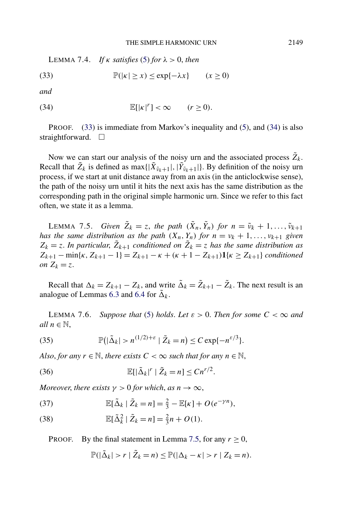<span id="page-31-0"></span>LEMMA 7.4. *If*  $\kappa$  *satisfies* [\(5\)](#page-6-0) *for*  $\lambda > 0$ *, then* 

(33) 
$$
\mathbb{P}(|\kappa| \ge x) \le \exp\{-\lambda x\} \qquad (x \ge 0)
$$

*and*

(34) 
$$
\mathbb{E}[\kappa|^{r}] < \infty \qquad (r \geq 0).
$$

PROOF. (33) is immediate from Markov's inequality and [\(5\)](#page-6-0), and (34) is also straightforward.  $\square$ 

Now we can start our analysis of the noisy urn and the associated process  $Z_k$ . Recall that  $\tilde{Z}_k$  is defined as max $\{|\tilde{X}_{\tilde{\nu}_k+1}|, |\tilde{Y}_{\tilde{\nu}_k+1}|\}$ . By definition of the noisy urn process, if we start at unit distance away from an axis (in the anticlockwise sense), the path of the noisy urn until it hits the next axis has the same distribution as the corresponding path in the original simple harmonic urn. Since we refer to this fact often, we state it as a lemma.

LEMMA 7.5. *Given*  $\tilde{Z}_k = z$ , the path  $(\tilde{X}_n, \tilde{Y}_n)$  for  $n = \tilde{v}_k + 1, \ldots, \tilde{v}_{k+1}$ *has the same distribution as the path*  $(X_n, Y_n)$  *for*  $n = v_k + 1, \ldots, v_{k+1}$  *given*  $Z_k = z$ . In particular,  $\tilde{Z}_{k+1}$  conditioned on  $\tilde{Z}_k = z$  has the same distribution as  $Z_{k+1}$  – min{ $\kappa$ ,  $Z_{k+1}$  – 1} =  $Z_{k+1}$  –  $\kappa$  +  $(\kappa + 1 - Z_{k+1})$ **1**{ $\kappa \ge Z_{k+1}$ } *conditioned on*  $Z_k = z$ .

Recall that  $\Delta_k = Z_{k+1} - Z_k$ , and write  $\tilde{\Delta}_k = \tilde{Z}_{k+1} - \tilde{Z}_k$ . The next result is an analogue of Lemmas [6.3](#page-26-0) and [6.4](#page-27-0) for  $\tilde{\Delta}_k$ .

**LEMMA 7.6.** *Suppose that* [\(5\)](#page-6-0) *holds. Let*  $\varepsilon > 0$ *. Then for some*  $C < \infty$  *and all*  $n \in \mathbb{N}$ ,

(35) 
$$
\mathbb{P}(|\tilde{\Delta}_k| > n^{(1/2)+\varepsilon} | \tilde{Z}_k = n) \leq C \exp\{-n^{\varepsilon/3}\}.
$$

*Also, for any*  $r \in \mathbb{N}$ *, there exists*  $C < \infty$  *such that for any*  $n \in \mathbb{N}$ *,* 

(36) 
$$
\mathbb{E}[\vert \tilde{\Delta}_k \vert^r \vert \tilde{Z}_k = n] \leq C n^{r/2}.
$$

*Moreover, there exists*  $\gamma > 0$  *for which, as*  $n \to \infty$ *,* 

(37) 
$$
\mathbb{E}[\tilde{\Delta}_k | \tilde{Z}_k = n] = \frac{2}{3} - \mathbb{E}[\kappa] + O(e^{-\gamma n}),
$$

(38) 
$$
\mathbb{E}[\tilde{\Delta}_k^2 | \tilde{Z}_k = n] = \frac{2}{3}n + O(1).
$$

PROOF. By the final statement in Lemma 7.5, for any  $r \geq 0$ ,

$$
\mathbb{P}(|\tilde{\Delta}_k| > r \mid \tilde{Z}_k = n) \le \mathbb{P}(|\Delta_k - \kappa| > r \mid Z_k = n).
$$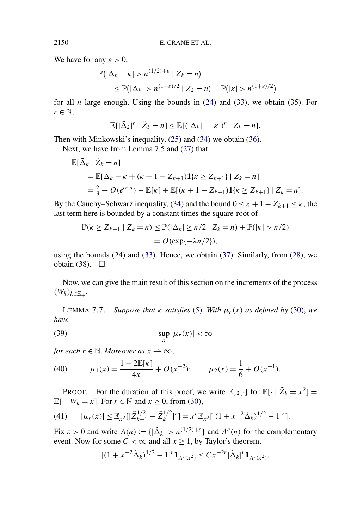We have for any  $\varepsilon > 0$ ,

$$
\mathbb{P}(|\Delta_k - \kappa| > n^{(1/2) + \varepsilon} | Z_k = n)
$$
  
\$\leq \mathbb{P}(|\Delta\_k| > n^{(1+\varepsilon)/2} | Z\_k = n) + \mathbb{P}(|\kappa| > n^{(1+\varepsilon)/2})\$

for all *n* large enough. Using the bounds in [\(24\)](#page-26-0) and [\(33\)](#page-31-0), we obtain [\(35\)](#page-31-0). For  $r \in \mathbb{N}$ ,

$$
\mathbb{E}[\left|\tilde{\Delta}_k\right|^r \mid \tilde{Z}_k = n] \leq \mathbb{E}[(\left|\Delta_k\right| + \left|\kappa\right|)^r \mid Z_k = n].
$$

Then with Minkowski's inequality, [\(25\)](#page-26-0) and [\(34\)](#page-31-0) we obtain [\(36\)](#page-31-0).

Next, we have from Lemma [7.5](#page-31-0) and [\(27\)](#page-27-0) that

$$
\mathbb{E}[\tilde{\Delta}_k | \tilde{Z}_k = n]
$$
  
=  $\mathbb{E}[\Delta_k - \kappa + (\kappa + 1 - Z_{k+1})\mathbf{1}\{\kappa \ge Z_{k+1}\} | Z_k = n]$   
=  $\frac{2}{3} + O(e^{\alpha_1 n}) - \mathbb{E}[\kappa] + \mathbb{E}[(\kappa + 1 - Z_{k+1})\mathbf{1}\{\kappa \ge Z_{k+1}\} | Z_k = n].$ 

By the Cauchy–Schwarz inequality, [\(34\)](#page-31-0) and the bound  $0 \le \kappa + 1 - Z_{k+1} \le \kappa$ , the last term here is bounded by a constant times the square-root of

$$
\mathbb{P}(\kappa \ge Z_{k+1} \mid Z_k = n) \le \mathbb{P}(|\Delta_k| \ge n/2 \mid Z_k = n) + \mathbb{P}(|\kappa| > n/2) \\
= O(\exp\{-\lambda n/2\}),
$$

using the bounds [\(24\)](#page-26-0) and [\(33\)](#page-31-0). Hence, we obtain [\(37\)](#page-31-0). Similarly, from [\(28\)](#page-27-0), we obtain [\(38\)](#page-31-0).  $\Box$ 

Now, we can give the main result of this section on the increments of the process  $(W_k)_{k\in\mathbb{Z}_+}$ .

**LEMMA 7.7.** *Suppose that*  $\kappa$  *satisfies* [\(5\)](#page-6-0). With  $\mu_r(x)$  *as defined by* [\(30\)](#page-28-0), *we have*

$$
\sup_{x} |\mu_r(x)| < \infty
$$

*for each*  $r \in \mathbb{N}$ *. Moreover as*  $x \to \infty$ *,* 

(40) 
$$
\mu_1(x) = \frac{1 - 2\mathbb{E}[\kappa]}{4x} + O(x^{-2}); \qquad \mu_2(x) = \frac{1}{6} + O(x^{-1}).
$$

PROOF. For the duration of this proof, we write  $\mathbb{E}_{x^2}[\cdot]$  for  $\mathbb{E}[\cdot | \tilde{Z}_k = x^2] =$  $\mathbb{E}[\cdot | W_k = x]$ . For  $r \in \mathbb{N}$  and  $x \ge 0$ , from [\(30\)](#page-28-0),

(41) 
$$
|\mu_r(x)| \leq \mathbb{E}_{x^2}[\|\tilde{Z}_{k+1}^{1/2} - \tilde{Z}_k^{1/2}|^r] = x^r \mathbb{E}_{x^2}[(1 + x^{-2}\tilde{\Delta}_k)^{1/2} - 1]^r].
$$

Fix  $\varepsilon > 0$  and write  $A(n) := \{|\tilde{\Delta}_k| > n^{(1/2)+\varepsilon}\}\$ and  $A^c(n)$  for the complementary event. Now for some  $C < \infty$  and all  $x \ge 1$ , by Taylor's theorem,

$$
|(1+x^{-2}\tilde{\Delta}_k)^{1/2}-1|^r\mathbf{1}_{A^c(x^2)}\leq Cx^{-2r}|\tilde{\Delta}_k|^r\mathbf{1}_{A^c(x^2)}.
$$

<span id="page-32-0"></span>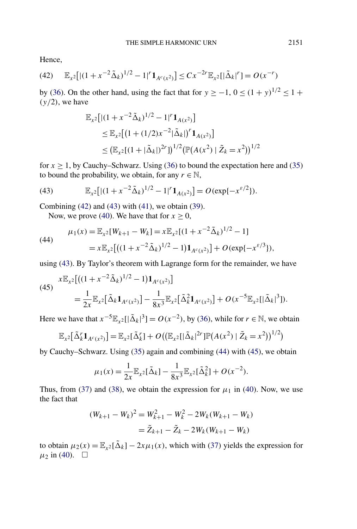Hence,

(42) 
$$
\mathbb{E}_{x^2}[(1+x^{-2}\tilde{\Delta}_k)^{1/2}-1]^r \mathbf{1}_{A^c(x^2)}] \leq C x^{-2r} \mathbb{E}_{x^2}[\|\tilde{\Delta}_k|^r] = O(x^{-r})
$$

by [\(36\)](#page-31-0). On the other hand, using the fact that for  $y \ge -1$ ,  $0 \le (1 + y)^{1/2} \le 1 +$ *(y/*2*)*, we have

$$
\mathbb{E}_{x^2}[(1 + x^{-2}\tilde{\Delta}_k)^{1/2} - 1]^r \mathbf{1}_{A(x^2)}]
$$
\n
$$
\leq \mathbb{E}_{x^2}[(1 + (1/2)x^{-2}|\tilde{\Delta}_k|)^r \mathbf{1}_{A(x^2)}]
$$
\n
$$
\leq (\mathbb{E}_{x^2}[(1 + |\tilde{\Delta}_k|)^{2r}])^{1/2} (\mathbb{P}(A(x^2) | \tilde{Z}_k = x^2))^{1/2}
$$

for  $x \ge 1$ , by Cauchy–Schwarz. Using [\(36\)](#page-31-0) to bound the expectation here and [\(35\)](#page-31-0) to bound the probability, we obtain, for any  $r \in \mathbb{N}$ ,

(43) 
$$
\mathbb{E}_{x^2}[(1+x^{-2}\tilde{\Delta}_k)^{1/2}-1]^r \mathbf{1}_{A(x^2)}] = O(\exp\{-x^{\varepsilon/2}\}).
$$

Combining  $(42)$  and  $(43)$  with  $(41)$ , we obtain  $(39)$ .

Now, we prove [\(40\)](#page-32-0). We have that for  $x \ge 0$ ,

(44) 
$$
\mu_1(x) = \mathbb{E}_{x^2} [W_{k+1} - W_k] = x \mathbb{E}_{x^2} [(1 + x^{-2} \tilde{\Delta}_k)^{1/2} - 1] \n= x \mathbb{E}_{x^2} [((1 + x^{-2} \tilde{\Delta}_k)^{1/2} - 1) \mathbf{1}_{A^c(x^2)}] + O(\exp\{-x^{\epsilon/3}\}),
$$

using (43). By Taylor's theorem with Lagrange form for the remainder, we have

(45) 
$$
x \mathbb{E}_{x^2} [((1 + x^{-2} \tilde{\Delta}_k)^{1/2} - 1) \mathbf{1}_{A^c(x^2)}] = \frac{1}{2x} \mathbb{E}_{x^2} [\tilde{\Delta}_k \mathbf{1}_{A^c(x^2)}] - \frac{1}{8x^3} \mathbb{E}_{x^2} [\tilde{\Delta}_k^2 \mathbf{1}_{A^c(x^2)}] + O(x^{-5} \mathbb{E}_{x^2} [|\tilde{\Delta}_k|^3]).
$$

Here we have that  $x^{-5} \mathbb{E}_{x^2} [|\tilde{\Delta}_k|^3] = O(x^{-2})$ , by [\(36\)](#page-31-0), while for  $r \in \mathbb{N}$ , we obtain

$$
\mathbb{E}_{x^2}[\tilde{\Delta}_k^r \mathbf{1}_{A^c(x^2)}] = \mathbb{E}_{x^2}[\tilde{\Delta}_k^r] + O\left(\left(\mathbb{E}_{x^2}[\|\tilde{\Delta}_k\|^{2r}]\mathbb{P}(A(x^2) \mid \tilde{Z}_k = x^2)\right)^{1/2}\right)
$$

by Cauchy–Schwarz. Using [\(35\)](#page-31-0) again and combining (44) with (45), we obtain

$$
\mu_1(x) = \frac{1}{2x} \mathbb{E}_{x^2} [\tilde{\Delta}_k] - \frac{1}{8x^3} \mathbb{E}_{x^2} [\tilde{\Delta}_k^2] + O(x^{-2}).
$$

Thus, from [\(37\)](#page-31-0) and [\(38\)](#page-31-0), we obtain the expression for  $\mu_1$  in [\(40\)](#page-32-0). Now, we use the fact that

$$
(W_{k+1} - W_k)^2 = W_{k+1}^2 - W_k^2 - 2W_k(W_{k+1} - W_k)
$$
  
=  $\tilde{Z}_{k+1} - \tilde{Z}_k - 2W_k(W_{k+1} - W_k)$ 

to obtain  $\mu_2(x) = \mathbb{E}_{x^2}[\tilde{\Delta}_k] - 2x\mu_1(x)$ , which with [\(37\)](#page-31-0) yields the expression for  $\mu_2$  in [\(40\)](#page-32-0).  $\Box$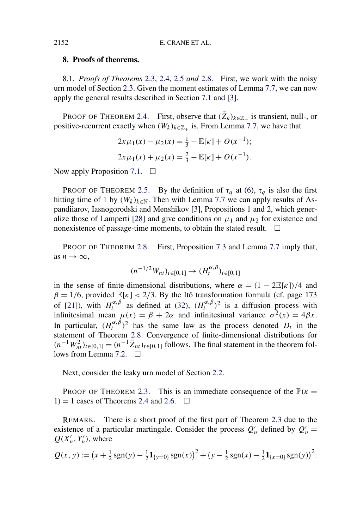#### <span id="page-34-0"></span>**8. Proofs of theorems.**

8.1. *Proofs of Theorems* [2.3,](#page-5-0) [2.4,](#page-7-0) [2.5](#page-7-0) *and* [2.8.](#page-8-0) First, we work with the noisy urn model of Section [2.3.](#page-6-0) Given the moment estimates of Lemma [7.7,](#page-32-0) we can now apply the general results described in Section [7.1](#page-28-0) and [\[3\]](#page-57-0).

PROOF OF THEOREM [2.4.](#page-7-0) First, observe that  $(\tilde{Z}_k)_{k \in \mathbb{Z}_+}$  is transient, null-, or positive-recurrent exactly when  $(W_k)_{k \in \mathbb{Z}_+}$  is. From Lemma [7.7,](#page-32-0) we have that

$$
2x\mu_1(x) - \mu_2(x) = \frac{1}{3} - \mathbb{E}[\kappa] + O(x^{-1});
$$
  

$$
2x\mu_1(x) + \mu_2(x) = \frac{2}{3} - \mathbb{E}[\kappa] + O(x^{-1}).
$$

Now apply Proposition [7.1.](#page-29-0)  $\Box$ 

PROOF OF THEOREM [2.5.](#page-7-0) By the definition of  $\tau_q$  at [\(6\)](#page-7-0),  $\tau_q$  is also the first hitting time of 1 by  $(W_k)_{k \in \mathbb{N}}$ . Then with Lemma [7.7](#page-32-0) we can apply results of Aspandiiarov, Iasnogorodski and Menshikov [\[3\]](#page-57-0), Propositions 1 and 2, which gener-alize those of Lamperti [\[28\]](#page-58-0) and give conditions on  $\mu_1$  and  $\mu_2$  for existence and nonexistence of passage-time moments, to obtain the stated result.  $\Box$ 

PROOF OF THEOREM [2.8.](#page-8-0) First, Proposition [7.3](#page-30-0) and Lemma [7.7](#page-32-0) imply that, as  $n \to \infty$ ,

$$
(n^{-1/2}W_{nt})_{t\in[0,1]}\to (H_t^{\alpha,\beta})_{t\in[0,1]}
$$

in the sense of finite-dimensional distributions, where  $\alpha = (1 - 2\mathbb{E}[k])/4$  and  $\beta = 1/6$ , provided  $\mathbb{E}[K] < 2/3$ . By the Itô transformation formula (cf. page 173 of [\[21\]](#page-58-0)), with  $H_t^{\alpha,\beta}$  as defined at [\(32\)](#page-29-0),  $(H_t^{\alpha,\beta})^2$  is a diffusion process with infinitesimal mean  $\mu(x) = \beta + 2\alpha$  and infinitesimal variance  $\sigma^2(x) = 4\beta x$ . In particular,  $(H_t^{\alpha,\beta})^2$  has the same law as the process denoted  $D_t$  in the statement of Theorem [2.8.](#page-8-0) Convergence of finite-dimensional distributions for  $(n^{-1}W_{nt}^2)_{t\in[0,1]} = (n^{-1}\tilde{Z}_{nt})_{t\in[0,1]}$  follows. The final statement in the theorem fol-lows from Lemma [7.2.](#page-30-0)  $\Box$ 

Next, consider the leaky urn model of Section [2.2.](#page-5-0)

PROOF OF THEOREM [2.3.](#page-5-0) This is an immediate consequence of the  $\mathbb{P}(\kappa =$ 1) = 1 cases of Theorems [2.4](#page-7-0) and [2.6.](#page-8-0)  $\Box$ 

REMARK. There is a short proof of the first part of Theorem [2.3](#page-5-0) due to the existence of a particular martingale. Consider the process  $Q'_n$  defined by  $Q'_n =$  $Q(X'_n, Y'_n)$ , where

$$
Q(x, y) := (x + \frac{1}{2}sgn(y) - \frac{1}{2}\mathbf{1}_{\{y=0\}}sgn(x))^2 + (y - \frac{1}{2}sgn(x) - \frac{1}{2}\mathbf{1}_{\{x=0\}}sgn(y))^2.
$$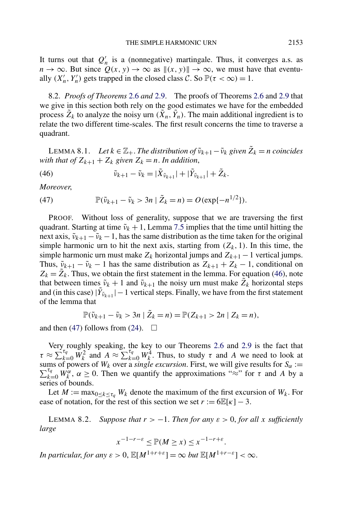<span id="page-35-0"></span>It turns out that  $Q'_n$  is a (nonnegative) martingale. Thus, it converges a.s. as  $n \to \infty$ . But since  $Q(x, y) \to \infty$  as  $\|(x, y)\| \to \infty$ , we must have that eventually  $(X'_n, Y'_n)$  gets trapped in the closed class  $\mathcal{C}$ . So  $\mathbb{P}(\tau < \infty) = 1$ .

8.2. *Proofs of Theorems* [2.6](#page-8-0) *and* [2.9.](#page-8-0) The proofs of Theorems [2.6](#page-8-0) and [2.9](#page-8-0) that we give in this section both rely on the good estimates we have for the embedded process  $\tilde{Z}_k$  to analyze the noisy urn  $(\tilde{X}_n, \tilde{Y}_n)$ . The main additional ingredient is to relate the two different time-scales. The first result concerns the time to traverse a quadrant.

LEMMA 8.1. *Let*  $k \in \mathbb{Z}_+$ . *The distribution of*  $\tilde{\nu}_{k+1} - \tilde{\nu}_k$  *given*  $\tilde{Z}_k = n$  *coincides with that of*  $Z_{k+1} + Z_k$  *given*  $Z_k = n$ . *In addition*,

(46) 
$$
\tilde{\nu}_{k+1} - \tilde{\nu}_k = |\tilde{X}_{\tilde{\nu}_{k+1}}| + |\tilde{Y}_{\tilde{\nu}_{k+1}}| + \tilde{Z}_k.
$$

*Moreover*,

(47) 
$$
\mathbb{P}(\tilde{\nu}_{k+1} - \tilde{\nu}_k > 3n \mid \tilde{Z}_k = n) = O(\exp\{-n^{1/2}\}).
$$

PROOF. Without loss of generality, suppose that we are traversing the first quadrant. Starting at time  $\tilde{v}_k + 1$ , Lemma [7.5](#page-31-0) implies that the time until hitting the next axis,  $\tilde{\nu}_{k+1} - \tilde{\nu}_k - 1$ , has the same distribution as the time taken for the original simple harmonic urn to hit the next axis, starting from  $(Z_k, 1)$ . In this time, the simple harmonic urn must make  $Z_k$  horizontal jumps and  $Z_{k+1} - 1$  vertical jumps. Thus,  $\tilde{\nu}_{k+1} - \tilde{\nu}_k - 1$  has the same distribution as  $Z_{k+1} + Z_k - 1$ , conditional on  $Z_k = Z_k$ . Thus, we obtain the first statement in the lemma. For equation (46), note that between times  $\tilde{v}_k + 1$  and  $\tilde{v}_{k+1}$  the noisy urn must make  $Z_k$  horizontal steps and (in this case)  $|\tilde{Y}_{\tilde{\nu}_{k+1}}| - 1$  vertical steps. Finally, we have from the first statement of the lemma that

$$
\mathbb{P}(\tilde{\nu}_{k+1} - \tilde{\nu}_k > 3n \mid \tilde{Z}_k = n) = \mathbb{P}(Z_{k+1} > 2n \mid Z_k = n),
$$

and then (47) follows from [\(24\)](#page-26-0).  $\Box$ 

Very roughly speaking, the key to our Theorems [2.6](#page-8-0) and [2.9](#page-8-0) is the fact that  $\tau \approx \sum_{k=0}^{\tau_q} \frac{W_k^2}{W_k^2}$  and  $A \approx \sum_{k=0}^{\tau_q} W_k^4$ . Thus, to study  $\tau$  and *A* we need to look at  $\sum_{k=0}^{\tau_q} W_k^{\alpha}$ ,  $\alpha \ge 0$ . Then we quantify the approximations "≈" for *τ* and *A* by a sums of powers of  $W_k$  over a *single excursion*. First, we will give results for  $S_\alpha :=$ series of bounds.

Let  $M := \max_{0 \le k \le \tau_a} W_k$  denote the maximum of the first excursion of  $W_k$ . For ease of notation, for the rest of this section we set  $r := 6E[k] - 3$ .

**LEMMA 8.2.** Suppose that  $r > -1$ . Then for any  $\varepsilon > 0$ , for all x sufficiently *large*

$$
x^{-1-r-\varepsilon} \leq \mathbb{P}(M \geq x) \leq x^{-1-r+\varepsilon}.
$$

*In particular, for any*  $\varepsilon > 0$ ,  $\mathbb{E}[M^{1+r+\varepsilon}] = \infty$  *but*  $\mathbb{E}[M^{1+r-\varepsilon}] < \infty$ .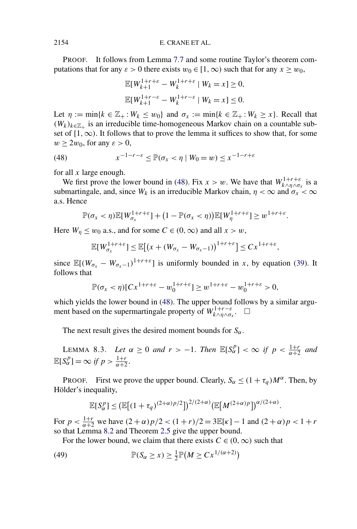<span id="page-36-0"></span>PROOF. It follows from Lemma [7.7](#page-32-0) and some routine Taylor's theorem computations that for any  $\varepsilon > 0$  there exists  $w_0 \in [1, \infty)$  such that for any  $x \geq w_0$ ,

$$
\mathbb{E}[W_{k+1}^{1+r+\varepsilon} - W_k^{1+r+\varepsilon} | W_k = x] \ge 0,
$$
  

$$
\mathbb{E}[W_{k+1}^{1+r-\varepsilon} - W_k^{1+r-\varepsilon} | W_k = x] \le 0.
$$

Let  $\eta := \min\{k \in \mathbb{Z}_+ : W_k \leq w_0\}$  and  $\sigma_x := \min\{k \in \mathbb{Z}_+ : W_k \geq x\}$ . Recall that  $(W_k)_{k∈\mathbb{Z}_+}$  is an irreducible time-homogeneous Markov chain on a countable subset of  $[1, \infty)$ . It follows that to prove the lemma it suffices to show that, for some  $w \geq 2w_0$ , for any  $\varepsilon > 0$ ,

(48) 
$$
x^{-1-r-\varepsilon} \leq \mathbb{P}(\sigma_x < \eta \mid W_0 = w) \leq x^{-1-r+\varepsilon}
$$

for all *x* large enough.

We first prove the lower bound in (48). Fix  $x > w$ . We have that  $W_{k \wedge \eta \wedge \sigma_x}^{1+r+\varepsilon}$  is a submartingale, and, since  $W_k$  is an irreducible Markov chain,  $\eta < \infty$  and  $\sigma_x < \infty$ a.s. Hence

$$
\mathbb{P}(\sigma_x < \eta) \mathbb{E}[W_{\sigma_x}^{1+r+\varepsilon}] + (1 - \mathbb{P}(\sigma_x < \eta)) \mathbb{E}[W_{\eta}^{1+r+\varepsilon}] \geq w^{1+r+\varepsilon}.
$$

Here  $W_\eta \leq w_0$  a.s., and for some  $C \in (0, \infty)$  and all  $x > w$ ,

$$
\mathbb{E}[W_{\sigma_x}^{1+r+\varepsilon}] \leq \mathbb{E}[(x+(W_{\sigma_x}-W_{\sigma_x-1}))^{1+r+\varepsilon}] \leq Cx^{1+r+\varepsilon},
$$

since  $\mathbb{E}[(W_{\sigma_x} - W_{\sigma_x-1})^{1+r+\epsilon}]$  is uniformly bounded in *x*, by equation [\(39\)](#page-32-0). It follows that

$$
\mathbb{P}(\sigma_x < \eta)[Cx^{1+r+\varepsilon} - w_0^{1+r+\varepsilon}] \ge w^{1+r+\varepsilon} - w_0^{1+r+\varepsilon} > 0,
$$

which yields the lower bound in (48). The upper bound follows by a similar argument based on the supermartingale property of  $W_{k \wedge \eta \wedge \sigma_r}^{1+r-\varepsilon}$ .  $\Box$ 

The next result gives the desired moment bounds for  $S_\alpha$ .

LEMMA 8.3. *Let*  $\alpha \ge 0$  *and*  $r > -1$ . *Then*  $\mathbb{E}[S_\alpha^p] < \infty$  *if*  $p < \frac{1+r}{\alpha+2}$  *and*  $\mathbb{E}[S_{\alpha}^p] = \infty$  *if*  $p > \frac{1+r}{\alpha+2}$ .

PROOF. First we prove the upper bound. Clearly,  $S_\alpha \leq (1 + \tau_q) M^\alpha$ . Then, by Hölder's inequality,

$$
\mathbb{E}[S_{\alpha}^p] \leq \left(\mathbb{E}[(1+\tau_q)^{(2+\alpha)p/2}]\right)^{2/(2+\alpha)} \left(\mathbb{E}[M^{(2+\alpha)p}]\right)^{\alpha/(2+\alpha)}.
$$

For  $p < \frac{1+r}{\alpha+2}$  we have  $(2+\alpha)p/2 < (1+r)/2 = 3\mathbb{E}[\kappa] - 1$  and  $(2+\alpha)p < 1+r$ so that Lemma [8.2](#page-35-0) and Theorem [2.5](#page-7-0) give the upper bound.

For the lower bound, we claim that there exists  $C \in (0, \infty)$  such that

(49) 
$$
\mathbb{P}(S_{\alpha} \geq x) \geq \frac{1}{2} \mathbb{P}(M \geq C x^{1/(\alpha+2)})
$$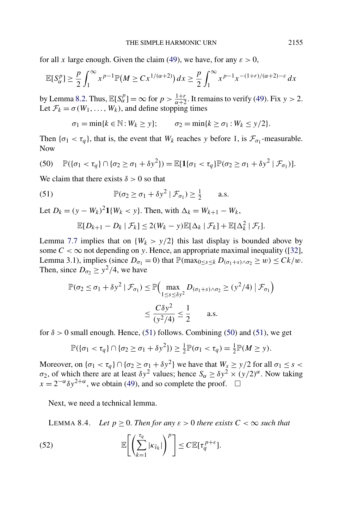<span id="page-37-0"></span>for all *x* large enough. Given the claim [\(49\)](#page-36-0), we have, for any  $\varepsilon > 0$ ,

$$
\mathbb{E}[S_{\alpha}^p] \geq \frac{p}{2} \int_1^{\infty} x^{p-1} \mathbb{P}(M \geq C x^{1/(\alpha+2)}) dx \geq \frac{p}{2} \int_1^{\infty} x^{p-1} x^{-(1+r)/(\alpha+2)-\varepsilon} dx
$$

by Lemma [8.2.](#page-35-0) Thus,  $\mathbb{E}[S_\alpha^p] = \infty$  for  $p > \frac{1+r}{\alpha+2}$ . It remains to verify [\(49\)](#page-36-0). Fix  $y > 2$ . Let  $\mathcal{F}_k = \sigma(W_1, \ldots, W_k)$ , and define stopping times

$$
\sigma_1 = \min\{k \in \mathbb{N} : W_k \geq y\}; \qquad \sigma_2 = \min\{k \geq \sigma_1 : W_k \leq y/2\}.
$$

Then  $\{\sigma_1 < \tau_q\}$ , that is, the event that  $W_k$  reaches *y* before 1, is  $\mathcal{F}_{\sigma_1}$ -measurable. Now

$$
(50) \quad \mathbb{P}(\{\sigma_1 < \tau_q\} \cap \{\sigma_2 \geq \sigma_1 + \delta y^2\}) = \mathbb{E}[\mathbf{1}\{\sigma_1 < \tau_q\} \mathbb{P}(\sigma_2 \geq \sigma_1 + \delta y^2 \mid \mathcal{F}_{\sigma_1})].
$$

We claim that there exists  $\delta > 0$  so that

(51) 
$$
\mathbb{P}(\sigma_2 \ge \sigma_1 + \delta y^2 \mid \mathcal{F}_{\sigma_1}) \ge \frac{1}{2} \quad \text{a.s.}
$$

Let  $D_k = (y - W_k)^2 \mathbf{1}\{W_k < y\}$ . Then, with  $\Delta_k = W_{k+1} - W_k$ ,

$$
\mathbb{E}[D_{k+1}-D_k | \mathcal{F}_k] \leq 2(W_k - y)\mathbb{E}[\Delta_k | \mathcal{F}_k] + \mathbb{E}[\Delta_k^2 | \mathcal{F}_t].
$$

Lemma [7.7](#page-32-0) implies that on  ${W_k > y/2}$  this last display is bounded above by some  $C < \infty$  not depending on *y*. Hence, an appropriate maximal inequality ([\[32\]](#page-58-0), Lemma 3.1), implies (since  $D_{\sigma_1} = 0$ ) that  $\mathbb{P}(\max_{0 \le s \le k} D_{(\sigma_1+s) \wedge \sigma_2} \ge w) \le Ck/w$ . Then, since  $D_{\sigma_2} \ge y^2/4$ , we have

$$
\mathbb{P}(\sigma_2 \le \sigma_1 + \delta y^2 \mid \mathcal{F}_{\sigma_1}) \le \mathbb{P}\Big(\max_{1 \le s \le \delta y^2} D_{(\sigma_1 + s) \land \sigma_2} \ge (y^2/4) \mid \mathcal{F}_{\sigma_1}\Big)
$$

$$
\le \frac{C\delta y^2}{(y^2/4)} \le \frac{1}{2} \qquad \text{a.s.}
$$

for  $\delta > 0$  small enough. Hence, (51) follows. Combining (50) and (51), we get

$$
\mathbb{P}(\{\sigma_1 < \tau_q\} \cap \{\sigma_2 \geq \sigma_1 + \delta y^2\}) \geq \frac{1}{2} \mathbb{P}(\sigma_1 < \tau_q) = \frac{1}{2} \mathbb{P}(M \geq y).
$$

Moreover, on  $\{\sigma_1 < \tau_q\} \cap \{\sigma_2 \ge \sigma_1 + \delta y^2\}$  we have that  $W_s \ge y/2$  for all  $\sigma_1 \le s <$ *σ*<sub>2</sub>, of which there are at least  $\delta y^2$  values; hence  $S_\alpha \ge \delta y^2 \times (y/2)^\alpha$ . Now taking  $x = 2^{-\alpha} \delta y^{2+\alpha}$ , we obtain [\(49\)](#page-36-0), and so complete the proof.  $\Box$ 

Next, we need a technical lemma.

LEMMA 8.4. *Let*  $p \ge 0$ . *Then for any*  $\varepsilon > 0$  *there exists*  $C < \infty$  *such that* 

(52) 
$$
\mathbb{E}\bigg[\bigg(\sum_{k=1}^{\tau_q}|\kappa_{\tilde{\nu}_k}|\bigg)^p\bigg] \leq C \mathbb{E}[\tau_q^{p+\varepsilon}].
$$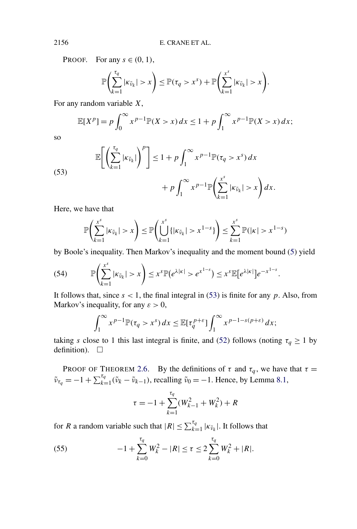PROOF. For any  $s \in (0, 1)$ ,

$$
\mathbb{P}\left(\sum_{k=1}^{\tau_q}|\kappa_{\tilde{\nu}_k}|>x\right)\leq \mathbb{P}(\tau_q>x^s)+\mathbb{P}\left(\sum_{k=1}^{x^s}|\kappa_{\tilde{\nu}_k}|>x\right).
$$

For any random variable *X*,

$$
\mathbb{E}[X^p] = p \int_0^\infty x^{p-1} \mathbb{P}(X > x) dx \le 1 + p \int_1^\infty x^{p-1} \mathbb{P}(X > x) dx;
$$

so

(53)  

$$
\mathbb{E}\bigg[\bigg(\sum_{k=1}^{\tau_q}|\kappa_{\tilde{\nu}_k}|\bigg)^p\bigg] \leq 1 + p \int_1^{\infty} x^{p-1} \mathbb{P}(\tau_q > x^s) dx + p \int_1^{\infty} x^{p-1} \mathbb{P}\bigg(\sum_{k=1}^{x^s}|\kappa_{\tilde{\nu}_k}| > x\bigg) dx.
$$

Here, we have that

$$
\mathbb{P}\left(\sum_{k=1}^{x^s} |\kappa_{\tilde{\nu}_k}| > x\right) \le \mathbb{P}\left(\bigcup_{k=1}^{x^s} {|\kappa_{\tilde{\nu}_k}| > x^{1-s}}\right) \le \sum_{k=1}^{x^s} \mathbb{P}(|\kappa| > x^{1-s})
$$

by Boole's inequality. Then Markov's inequality and the moment bound [\(5\)](#page-6-0) yield

(54) 
$$
\mathbb{P}\left(\sum_{k=1}^{x^s}|\kappa_{\tilde{\nu}_k}|>x\right)\leq x^s\mathbb{P}(e^{\lambda|\kappa|}>e^{x^{1-s}})\leq x^s\mathbb{E}[e^{\lambda|\kappa|}]e^{-x^{1-s}}.
$$

It follows that, since  $s < 1$ , the final integral in (53) is finite for any  $p$ . Also, from Markov's inequality, for any  $\varepsilon > 0$ ,

$$
\int_1^{\infty} x^{p-1} \mathbb{P}(\tau_q > x^s) dx \leq \mathbb{E}[\tau_q^{p+\varepsilon}] \int_1^{\infty} x^{p-1-s(p+\varepsilon)} dx;
$$

taking *s* close to 1 this last integral is finite, and [\(52\)](#page-37-0) follows (noting  $\tau_q \ge 1$  by definition).  $\Box$ 

PROOF OF THEOREM [2.6.](#page-8-0) By the definitions of  $\tau$  and  $\tau_q$ , we have that  $\tau =$  $\tilde{v}_{\tau q} = -1 + \sum_{k=1}^{\tau q} (\tilde{v}_k - \tilde{v}_{k-1})$ , recalling  $\tilde{v}_0 = -1$ . Hence, by Lemma [8.1,](#page-35-0)

$$
\tau = -1 + \sum_{k=1}^{\tau_q} (W_{k-1}^2 + W_k^2) + R
$$

for *R* a random variable such that  $|R| \leq \sum_{k=1}^{\tau_q} |\kappa_{\tilde{\nu}_k}|$ . It follows that

(55) 
$$
-1 + \sum_{k=0}^{\tau_q} W_k^2 - |R| \leq \tau \leq 2 \sum_{k=0}^{\tau_q} W_k^2 + |R|.
$$

<span id="page-38-0"></span>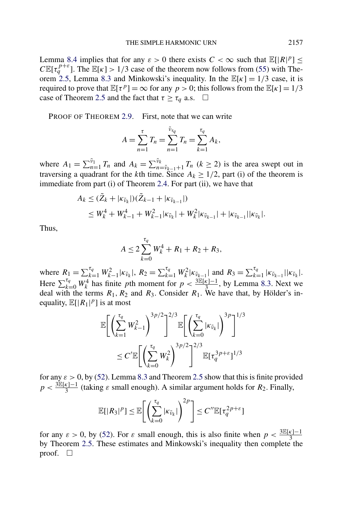Lemma [8.4](#page-37-0) implies that for any  $\varepsilon > 0$  there exists  $C < \infty$  such that  $\mathbb{E}[|R|^p] \le$  $C\mathbb{E}[\tau_a^{p+\varepsilon}]$ . The  $\mathbb{E}[\kappa] > 1/3$  case of the theorem now follows from [\(55\)](#page-38-0) with The-orem [2.5,](#page-7-0) Lemma [8.3](#page-36-0) and Minkowski's inequality. In the  $\mathbb{E}[\kappa] = 1/3$  case, it is required to prove that  $\mathbb{E}[\tau^p] = \infty$  for any  $p > 0$ ; this follows from the  $\mathbb{E}[\kappa] = 1/3$ case of Theorem [2.5](#page-7-0) and the fact that  $\tau \ge \tau_q$  a.s.  $\Box$ 

PROOF OF THEOREM [2.9.](#page-8-0) First, note that we can write

$$
A = \sum_{n=1}^{\tau} T_n = \sum_{n=1}^{\tilde{\nu}_{\tau_q}} T_n = \sum_{k=1}^{\tau_q} A_k,
$$

where  $A_1 = \sum_{n=1}^{\tilde{\nu}_1} T_n$  and  $A_k = \sum_{n=\tilde{\nu}_{k-1}+1}^{\tilde{\nu}_k} T_n$  ( $k \ge 2$ ) is the area swept out in traversing a quadrant for the *k*th time. Since  $A_k \geq 1/2$ , part (i) of the theorem is immediate from part (i) of Theorem [2.4.](#page-7-0) For part (ii), we have that

$$
A_k \leq (\tilde{Z}_k + |\kappa_{\tilde{\nu}_k}|)(\tilde{Z}_{k-1} + |\kappa_{\tilde{\nu}_{k-1}}|)
$$
  
\$\leq W\_k^4 + W\_{k-1}^4 + W\_{k-1}^2 |\kappa\_{\tilde{\nu}\_k}| + W\_k^2 |\kappa\_{\tilde{\nu}\_{k-1}}| + |\kappa\_{\tilde{\nu}\_{k-1}}| |\kappa\_{\tilde{\nu}\_k}|.

Thus,

$$
A \le 2\sum_{k=0}^{\tau_q} W_k^4 + R_1 + R_2 + R_3,
$$

where  $R_1 = \sum_{k=1}^{\tau_q} W_{k-1}^2 |\kappa_{\tilde{\nu}_k}|$ ,  $R_2 = \sum_{k=1}^{\tau_q} W_k^2 |\kappa_{\tilde{\nu}_{k-1}}|$  and  $R_3 = \sum_{k=1}^{\tau_q} |\kappa_{\tilde{\nu}_{k-1}}||\kappa_{\tilde{\nu}_k}|$ . Here  $\sum_{k=0}^{\tau_q} W_k^4$  has finite *p*th moment for  $p < \frac{3 \mathbb{E}[k]-1}{3}$ , by Lemma [8.3.](#page-36-0) Next we deal with the terms  $R_1, R_2$  and  $R_3$ . Consider  $R_1$ . We have that, by Hölder's inequality,  $\mathbb{E}[|R_1|^p]$  is at most

$$
\mathbb{E}\bigg[\bigg(\sum_{k=1}^{\tau_q} W_{k-1}^2\bigg)^{3p/2}\bigg]^{2/3}\mathbb{E}\bigg[\bigg(\sum_{k=0}^{\tau_q} |\kappa_{\tilde{\nu}_k}|\bigg)^{3p}\bigg]^{1/3} \n\leq C' \mathbb{E}\bigg[\bigg(\sum_{k=0}^{\tau_q} W_k^2\bigg)^{3p/2}\bigg]^{2/3}\mathbb{E}[\tau_q^{3p+\varepsilon}]^{1/3}
$$

for any  $\varepsilon > 0$ , by [\(52\)](#page-37-0). Lemma [8.3](#page-36-0) and Theorem [2.5](#page-7-0) show that this is finite provided  $p < \frac{3 \mathbb{E}[k]-1}{3}$  (taking  $\varepsilon$  small enough). A similar argument holds for *R*<sub>2</sub>. Finally,

$$
\mathbb{E}[|R_3|^p] \le \mathbb{E}\Bigg[\Bigg(\sum_{k=0}^{\tau_q}|\kappa_{\tilde{\nu}_k}|\Bigg)^{2p}\Bigg] \le C'' \mathbb{E}[\tau_q^{2p+\varepsilon}]
$$

for any  $\varepsilon > 0$ , by [\(52\)](#page-37-0). For  $\varepsilon$  small enough, this is also finite when  $p < \frac{3\mathbb{E}[\kappa]-1}{3}$ by Theorem [2.5.](#page-7-0) These estimates and Minkowski's inequality then complete the proof.  $\Box$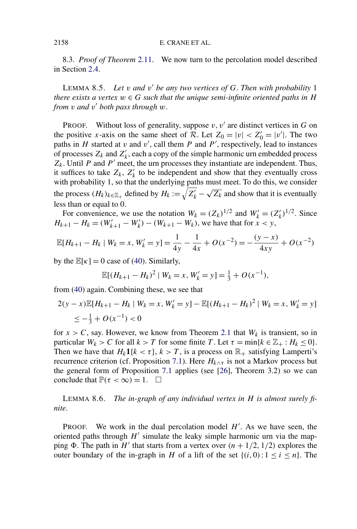#### 2158 E. CRANE ET AL.

8.3. *Proof of Theorem* [2.11.](#page-11-0) We now turn to the percolation model described in Section [2.4.](#page-9-0)

LEMMA 8.5. *Let v and v be any two vertices of G*. *Then with probability* 1 *there exists a vertex*  $w \in G$  *such that the unique semi-infinite oriented paths in H from v and v both pass through w*.

**PROOF.** Without loss of generality, suppose  $v, v'$  are distinct vertices in G on the positive *x*-axis on the same sheet of  $\hat{\mathcal{R}}$ . Let  $Z_0 = |v| < Z'_0 = |v'|$ . The two paths in  $H$  started at  $v$  and  $v'$ , call them  $P$  and  $P'$ , respectively, lead to instances of processes  $Z_k$  and  $Z'_k$ , each a copy of the simple harmonic urn embedded process  $Z_k$ . Until *P* and *P'* meet, the urn processes they instantiate are independent. Thus, it suffices to take  $Z_k$ ,  $Z'_k$  to be independent and show that they eventually cross with probability 1, so that the underlying paths must meet. To do this, we consider the process  $(H_k)_{k \in \mathbb{Z}_+}$  defined by  $H_k := \sqrt{Z'_k} - \sqrt{Z_k}$  and show that it is eventually less than or equal to 0.

For convenience, we use the notation  $W_k = (Z_k)^{1/2}$  and  $W'_k = (Z'_k)^{1/2}$ . Since *H<sub>k+1</sub>* − *H<sub>k</sub>* =  $(W'_{k+1} - W'_k) - (W_{k+1} - W_k)$ , we have that for  $\hat{x} < y$ ,

$$
\mathbb{E}[H_{k+1} - H_k \mid W_k = x, W'_k = y] = \frac{1}{4y} - \frac{1}{4x} + O(x^{-2}) = -\frac{(y-x)}{4xy} + O(x^{-2})
$$

by the  $\mathbb{E}[\kappa] = 0$  case of [\(40\)](#page-32-0). Similarly,

$$
\mathbb{E}[(H_{k+1} - H_k)^2 \mid W_k = x, W'_k = y] = \frac{1}{3} + O(x^{-1}),
$$

from [\(40\)](#page-32-0) again. Combining these, we see that

$$
2(y - x) \mathbb{E}[H_{k+1} - H_k | W_k = x, W'_k = y] - \mathbb{E}[(H_{k+1} - H_k)^2 | W_k = x, W'_k = y]
$$
  
 
$$
\leq -\frac{1}{3} + O(x^{-1}) < 0
$$

for  $x > C$ , say. However, we know from Theorem [2.1](#page-4-0) that  $W_k$  is transient, so in particular  $W_k > C$  for all  $k > T$  for some finite *T*. Let  $\tau = \min\{k \in \mathbb{Z}_+ : H_k \leq 0\}.$ Then we have that  $H_k \mathbf{1}\{k < \tau\}$ ,  $k > T$ , is a process on  $\mathbb{R}_+$  satisfying Lamperti's recurrence criterion (cf. Proposition [7.1\)](#page-29-0). Here  $H_{k \wedge \tau}$  is not a Markov process but the general form of Proposition [7.1](#page-29-0) applies (see [\[26\]](#page-58-0), Theorem 3.2) so we can conclude that  $\mathbb{P}(\tau < \infty) = 1$ .  $\Box$ 

LEMMA 8.6. *The in-graph of any individual vertex in H is almost surely finite*.

PROOF. We work in the dual percolation model *H* . As we have seen, the oriented paths through  $H'$  simulate the leaky simple harmonic urn via the mapping  $\Phi$ . The path in *H'* that starts from a vertex over  $(n + 1/2, 1/2)$  explores the outer boundary of the in-graph in *H* of a lift of the set  $\{(i, 0): 1 \le i \le n\}$ . The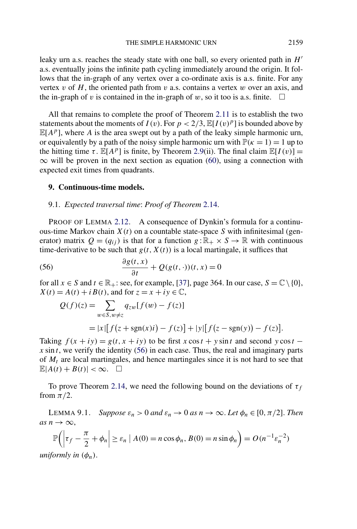<span id="page-41-0"></span>leaky urn a.s. reaches the steady state with one ball, so every oriented path in *H* a.s. eventually joins the infinite path cycling immediately around the origin. It follows that the in-graph of any vertex over a co-ordinate axis is a.s. finite. For any vertex *v* of *H*, the oriented path from *v* a.s. contains a vertex *w* over an axis, and the in-graph of *v* is contained in the in-graph of *w*, so it too is a.s. finite.  $\Box$ 

All that remains to complete the proof of Theorem [2.11](#page-11-0) is to establish the two statements about the moments of  $I(v)$ . For  $p < 2/3$ ,  $\mathbb{E}[I(v)^p]$  is bounded above by  $\mathbb{E}[A^p]$ , where *A* is the area swept out by a path of the leaky simple harmonic urn, or equivalently by a path of the noisy simple harmonic urn with  $P(k = 1) = 1$  up to the hitting time  $\tau$ .  $\mathbb{E}[A^p]$  is finite, by Theorem [2.9\(](#page-8-0)ii). The final claim  $\mathbb{E}[I(v)] =$  $\infty$  will be proven in the next section as equation [\(60\)](#page-46-0), using a connection with expected exit times from quadrants.

### **9. Continuous-time models.**

#### 9.1. *Expected traversal time*: *Proof of Theorem* [2.14.](#page-12-0)

PROOF OF LEMMA [2.12.](#page-12-0) A consequence of Dynkin's formula for a continuous-time Markov chain  $X(t)$  on a countable state-space  $S$  with infinitesimal (generator) matrix  $Q = (q_{ij})$  is that for a function  $g : \mathbb{R}_+ \times S \to \mathbb{R}$  with continuous time-derivative to be such that  $g(t, X(t))$  is a local martingale, it suffices that

(56) 
$$
\frac{\partial g(t,x)}{\partial t} + Q(g(t,\cdot))(t,x) = 0
$$

for all  $x \in S$  and  $t \in \mathbb{R}_+$ : see, for example, [\[37\]](#page-59-0), page 364. In our case,  $S = \mathbb{C} \setminus \{0\}$ ,  $X(t) = A(t) + iB(t)$ , and for  $z = x + iy \in \mathbb{C}$ ,

$$
Q(f)(z) = \sum_{w \in S, w \neq z} q_{zw}[f(w) - f(z)]
$$
  
=  $|x| [f(z + sgn(x)i) - f(z)] + |y| [f(z - sgn(y)) - f(z)].$ 

Taking  $f(x + iy) = g(t, x + iy)$  to be first  $x \cos t + y \sin t$  and second  $y \cos t$  $x \sin t$ , we verify the identity (56) in each case. Thus, the real and imaginary parts of *Mt* are local martingales, and hence martingales since it is not hard to see that  $\mathbb{E}|A(t) + B(t)| < \infty.$   $\Box$ 

To prove Theorem [2.14,](#page-12-0) we need the following bound on the deviations of  $\tau_f$ from  $\pi/2$ .

**LEMMA 9.1.** *Suppose*  $\varepsilon_n > 0$  *and*  $\varepsilon_n \to 0$  *as*  $n \to \infty$ *. Let*  $\phi_n \in [0, \pi/2]$ *. Then*  $as n \rightarrow \infty$ ,

$$
\mathbb{P}\left(\left|\tau_f - \frac{\pi}{2} + \phi_n\right| \ge \varepsilon_n \mid A(0) = n\cos\phi_n, B(0) = n\sin\phi_n\right) = O(n^{-1}\varepsilon_n^{-2})
$$

*uniformly in*  $(\phi_n)$ .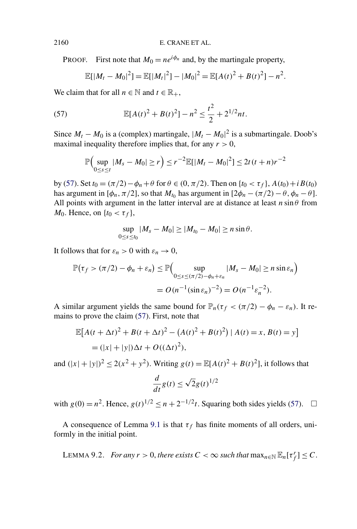PROOF. First note that  $M_0 = ne^{i\phi_n}$  and, by the martingale property,

$$
\mathbb{E}[|M_t - M_0|^2] = \mathbb{E}[|M_t|^2] - |M_0|^2 = \mathbb{E}[A(t)^2 + B(t)^2] - n^2.
$$

We claim that for all  $n \in \mathbb{N}$  and  $t \in \mathbb{R}_+$ ,

(57) 
$$
\mathbb{E}[A(t)^{2} + B(t)^{2}] - n^{2} \leq \frac{t^{2}}{2} + 2^{1/2}nt.
$$

Since  $M_t - M_0$  is a (complex) martingale,  $|M_t - M_0|^2$  is a submartingale. Doob's maximal inequality therefore implies that, for any  $r > 0$ ,

$$
\mathbb{P}\Big(\sup_{0\leq s\leq t}|M_s-M_0|\geq r\Big)\leq r^{-2}\mathbb{E}[|M_t-M_0|^2]\leq 2t(t+n)r^{-2}
$$

by (57). Set *t*<sup>0</sup> = *(π/*2*)*−*φn*+*θ* for *θ* ∈ *(*0*,π/*2*)*. Then on {*t*<sup>0</sup> *< τf* }, *A(t*0*)*+*iB(t*0*)* has argument in  $[\phi_n, \pi/2]$ , so that  $M_{t_0}$  has argument in  $[2\phi_n - (\pi/2) - \theta, \phi_n - \theta]$ . All points with argument in the latter interval are at distance at least  $n \sin \theta$  from *M*<sub>0</sub>. Hence, on  $\{t_0 < \tau_f\}$ ,

$$
\sup_{0 \le s \le t_0} |M_s - M_0| \ge |M_{t_0} - M_0| \ge n \sin \theta.
$$

It follows that for  $\varepsilon_n > 0$  with  $\varepsilon_n \to 0$ ,

$$
\mathbb{P}(\tau_f > (\pi/2) - \phi_n + \varepsilon_n) \le \mathbb{P}\Big(\sup_{0 \le s \le (\pi/2) - \phi_n + \varepsilon_n} |M_s - M_0| \ge n \sin \varepsilon_n\Big)
$$
  
=  $O(n^{-1}(\sin \varepsilon_n)^{-2}) = O(n^{-1} \varepsilon_n^{-2}).$ 

A similar argument yields the same bound for  $\mathbb{P}_n(\tau_f < (\pi/2) - \phi_n - \varepsilon_n)$ . It remains to prove the claim (57). First, note that

$$
\mathbb{E}[A(t + \Delta t)^2 + B(t + \Delta t)^2 - (A(t)^2 + B(t)^2) | A(t) = x, B(t) = y]
$$
  
= (|x| + |y|)\Delta t + O((\Delta t)^2),

and  $(|x| + |y|)^2 \le 2(x^2 + y^2)$ . Writing  $g(t) = \mathbb{E}[A(t)^2 + B(t)^2]$ , it follows that

$$
\frac{d}{dt}g(t) \le \sqrt{2}g(t)^{1/2}
$$

with *g*(0*)* =  $n^2$ . Hence, *g*(*t*)<sup>1/2</sup> ≤  $n + 2^{-1/2}$ *t*. Squaring both sides yields (57).  $\Box$ 

A consequence of Lemma [9.1](#page-41-0) is that  $\tau_f$  has finite moments of all orders, uniformly in the initial point.

LEMMA 9.2. *For any*  $r > 0$ , there exists  $C < \infty$  such that  $\max_{n \in \mathbb{N}} \mathbb{E}_n[\tau_f^r] \leq C$ .

<span id="page-42-0"></span>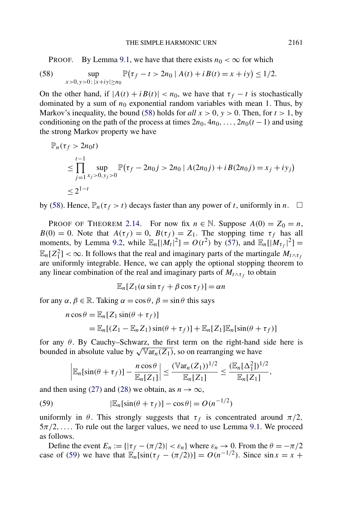<span id="page-43-0"></span>PROOF. By Lemma [9.1,](#page-41-0) we have that there exists  $n_0 < \infty$  for which

(58) 
$$
\sup_{x>0, y>0:\, |x+iy|\ge n_0} \mathbb{P}(\tau_f - t > 2n_0 \mid A(t) + i B(t) = x + iy) \le 1/2.
$$

On the other hand, if  $|A(t) + iB(t)| < n_0$ , we have that  $\tau_f - t$  is stochastically dominated by a sum of  $n_0$  exponential random variables with mean 1. Thus, by Markov's inequality, the bound (58) holds for *all*  $x > 0$ ,  $y > 0$ . Then, for  $t > 1$ , by conditioning on the path of the process at times  $2n_0$ ,  $4n_0$ ,  $\dots$ ,  $2n_0(t-1)$  and using the strong Markov property we have

$$
\mathbb{P}_n(\tau_f > 2n_0 t)
$$
\n
$$
\leq \prod_{j=1}^{t-1} \sup_{x_j > 0, y_j > 0} \mathbb{P}(\tau_f - 2n_0 j > 2n_0 | A(2n_0 j) + i B(2n_0 j) = x_j + iy_j)
$$
\n
$$
\leq 2^{1-t}
$$

by (58). Hence,  $\mathbb{P}_n(\tau_f > t)$  decays faster than any power of *t*, uniformly in *n*.  $\Box$ 

PROOF OF THEOREM [2.14.](#page-12-0) For now fix  $n \in \mathbb{N}$ . Suppose  $A(0) = Z_0 = n$ ,  $B(0) = 0$ . Note that  $A(\tau_f) = 0$ ,  $B(\tau_f) = Z_1$ . The stopping time  $\tau_f$  has all moments, by Lemma [9.2,](#page-42-0) while  $\mathbb{E}_n[|\tilde{M}_t|^2] = O(t^2)$  by [\(57\)](#page-42-0), and  $\mathbb{E}_n[|\tilde{M}_{\tau_f}|^2] =$  $\mathbb{E}_n[Z_1^2] < \infty$ . It follows that the real and imaginary parts of the martingale  $M_{t \wedge \tau_f}$ are uniformly integrable. Hence, we can apply the optional stopping theorem to any linear combination of the real and imaginary parts of  $M_{t \wedge \tau_f}$  to obtain

$$
\mathbb{E}_n[Z_1(\alpha \sin \tau_f + \beta \cos \tau_f)] = \alpha n
$$

for any  $\alpha$ ,  $\beta \in \mathbb{R}$ . Taking  $\alpha = \cos \theta$ ,  $\beta = \sin \theta$  this says

$$
n\cos\theta = \mathbb{E}_n[Z_1\sin(\theta + \tau_f)]
$$
  
=  $\mathbb{E}_n[(Z_1 - \mathbb{E}_n Z_1)\sin(\theta + \tau_f)] + \mathbb{E}_n[Z_1]\mathbb{E}_n[\sin(\theta + \tau_f)]$ 

for any *θ*. By Cauchy–Schwarz, the first term on the right-hand side here is bounded in absolute value by  $\sqrt{Var_n(Z_1)}$ , so on rearranging we have

$$
\left|\mathbb{E}_n[\sin(\theta+\tau_f)]-\frac{n\cos\theta}{\mathbb{E}_n[Z_1]}\right|\leq \frac{(\mathbb{V}\text{ar}_n(Z_1))^{1/2}}{\mathbb{E}_n[Z_1]}\leq \frac{(\mathbb{E}_n[\Delta_1^2])^{1/2}}{\mathbb{E}_n[Z_1]},
$$

and then using [\(27\)](#page-27-0) and [\(28\)](#page-27-0) we obtain, as  $n \to \infty$ ,

(59) 
$$
|\mathbb{E}_n[\sin(\theta + \tau_f)] - \cos \theta| = O(n^{-1/2})
$$

uniformly in  $\theta$ . This strongly suggests that  $\tau_f$  is concentrated around  $\pi/2$ , 5*π/*2*,....* To rule out the larger values, we need to use Lemma [9.1.](#page-41-0) We proceed as follows.

Define the event  $E_n := \{ |\tau_f - (\pi/2)| < \varepsilon_n \}$  where  $\varepsilon_n \to 0$ . From the  $\theta = -\pi/2$ case of (59) we have that  $\mathbb{E}_n[\sin(\tau_f - (\pi/2))] = O(n^{-1/2})$ . Since  $\sin x = x +$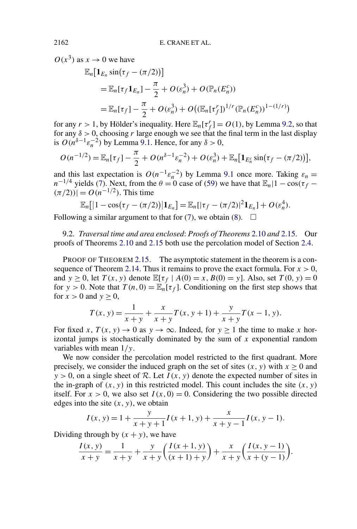$Q(x^3)$  as  $x \to 0$  we have

$$
\mathbb{E}_n[\mathbf{1}_{E_n} \sin(\tau_f - (\pi/2))]
$$
  
= 
$$
\mathbb{E}_n[\tau_f \mathbf{1}_{E_n}] - \frac{\pi}{2} + O(\varepsilon_n^3) + O(\mathbb{P}_n(E_n^c))
$$
  
= 
$$
\mathbb{E}_n[\tau_f] - \frac{\pi}{2} + O(\varepsilon_n^3) + O((\mathbb{E}_n[\tau_f^r])^{1/r} (\mathbb{P}_n(E_n^c))^{1-(1/r)})
$$

for any  $r > 1$ , by Hölder's inequality. Here  $\mathbb{E}_n[\tau_f^r] = O(1)$ , by Lemma [9.2,](#page-42-0) so that for any  $\delta > 0$ , choosing *r* large enough we see that the final term in the last display is  $O(n^{\delta-1} \varepsilon_n^{-2})$  by Lemma [9.1.](#page-41-0) Hence, for any  $\delta > 0$ ,

$$
O(n^{-1/2}) = \mathbb{E}_n[\tau_f] - \frac{\pi}{2} + O(n^{\delta-1} \varepsilon_n^{-2}) + O(\varepsilon_n^3) + \mathbb{E}_n[\mathbf{1}_{E_n^c} \sin(\tau_f - (\pi/2))],
$$

and this last expectation is  $O(n^{-1} \varepsilon_n^{-2})$  by Lemma [9.1](#page-41-0) once more. Taking  $\varepsilon_n =$  $n^{-1/4}$  yields [\(7\)](#page-12-0). Next, from the  $\theta = 0$  case of [\(59\)](#page-43-0) we have that  $\mathbb{E}_n | 1 - \cos(\tau_f - \tau_f)|$  $(\pi/2)$ )| =  $O(n^{-1/2})$ . This time

$$
\mathbb{E}_n[|1-\cos(\tau_f - (\pi/2))| \mathbf{1}_{E_n}] = \mathbb{E}_n[|\tau_f - (\pi/2)|^2 \mathbf{1}_{E_n}] + O(\varepsilon_n^4).
$$

Following a similar argument to that for  $(7)$ , we obtain  $(8)$ .  $\Box$ 

9.2. *Traversal time and area enclosed*: *Proofs of Theorems* [2.10](#page-9-0) *and* [2.15.](#page-13-0) Our proofs of Theorems [2.10](#page-9-0) and [2.15](#page-13-0) both use the percolation model of Section [2.4.](#page-9-0)

PROOF OF THEOREM [2.15.](#page-13-0) The asymptotic statement in the theorem is a con-sequence of Theorem [2.14.](#page-12-0) Thus it remains to prove the exact formula. For  $x > 0$ , and  $y \ge 0$ , let  $T(x, y)$  denote  $\mathbb{E}[\tau_f | A(0) = x, B(0) = y]$ . Also, set  $T(0, y) = 0$ for  $y > 0$ . Note that  $T(n, 0) = \mathbb{E}_n[\tau_f]$ . Conditioning on the first step shows that for  $x > 0$  and  $y \ge 0$ ,

$$
T(x, y) = \frac{1}{x + y} + \frac{x}{x + y}T(x, y + 1) + \frac{y}{x + y}T(x - 1, y).
$$

For fixed *x*,  $T(x, y) \rightarrow 0$  as  $y \rightarrow \infty$ . Indeed, for  $y \ge 1$  the time to make *x* horizontal jumps is stochastically dominated by the sum of *x* exponential random variables with mean 1*/y*.

We now consider the percolation model restricted to the first quadrant. More precisely, we consider the induced graph on the set of sites  $(x, y)$  with  $x \ge 0$  and  $y > 0$ , on a single sheet of R. Let  $I(x, y)$  denote the expected number of sites in the in-graph of  $(x, y)$  in this restricted model. This count includes the site  $(x, y)$ itself. For  $x > 0$ , we also set  $I(x, 0) = 0$ . Considering the two possible directed edges into the site  $(x, y)$ , we obtain

$$
I(x, y) = 1 + \frac{y}{x + y + 1} I(x + 1, y) + \frac{x}{x + y - 1} I(x, y - 1).
$$

Dividing through by  $(x + y)$ , we have

$$
\frac{I(x, y)}{x + y} = \frac{1}{x + y} + \frac{y}{x + y} \left( \frac{I(x + 1, y)}{(x + 1) + y} \right) + \frac{x}{x + y} \left( \frac{I(x, y - 1)}{x + (y - 1)} \right).
$$

<span id="page-44-0"></span>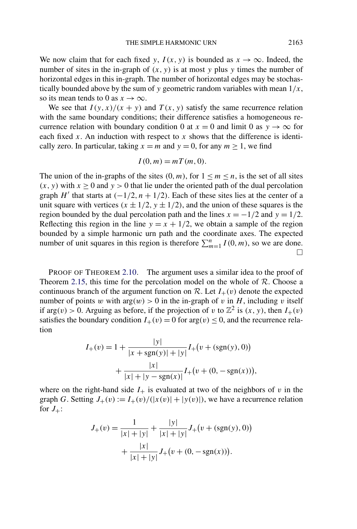We now claim that for each fixed *y*,  $I(x, y)$  is bounded as  $x \to \infty$ . Indeed, the number of sites in the in-graph of  $(x, y)$  is at most *y* plus *y* times the number of horizontal edges in this in-graph. The number of horizontal edges may be stochastically bounded above by the sum of *y* geometric random variables with mean 1*/x*, so its mean tends to 0 as  $x \to \infty$ .

We see that  $I(y, x)/(x + y)$  and  $T(x, y)$  satisfy the same recurrence relation with the same boundary conditions; their difference satisfies a homogeneous recurrence relation with boundary condition 0 at  $x = 0$  and limit 0 as  $y \to \infty$  for each fixed *x*. An induction with respect to *x* shows that the difference is identically zero. In particular, taking  $x = m$  and  $y = 0$ , for any  $m \ge 1$ , we find

$$
I(0,m) = mT(m,0).
$$

The union of the in-graphs of the sites  $(0, m)$ , for  $1 \le m \le n$ , is the set of all sites  $(x, y)$  with  $x \ge 0$  and  $y > 0$  that lie under the oriented path of the dual percolation graph *H'* that starts at  $(-1/2, n + 1/2)$ . Each of these sites lies at the center of a unit square with vertices  $(x \pm 1/2, y \pm 1/2)$ , and the union of these squares is the region bounded by the dual percolation path and the lines  $x = -1/2$  and  $y = 1/2$ . Reflecting this region in the line  $y = x + \frac{1}{2}$ , we obtain a sample of the region bounded by a simple harmonic urn path and the coordinate axes. The expected number of unit squares in this region is therefore  $\sum_{m=1}^{n} I(0, m)$ , so we are done.  $\Box$ 

PROOF OF THEOREM [2.10.](#page-9-0) The argument uses a similar idea to the proof of Theorem [2.15,](#page-13-0) this time for the percolation model on the whole of  $R$ . Choose a continuous branch of the argument function on  $\mathcal{R}$ . Let  $I_+(v)$  denote the expected number of points *w* with  $arg(w) > 0$  in the in-graph of *v* in *H*, including *v* itself if  $arg(v) > 0$ . Arguing as before, if the projection of *v* to  $\mathbb{Z}^2$  is  $(x, y)$ , then  $I_+(v)$ satisfies the boundary condition  $I_+(v) = 0$  for arg $(v) \le 0$ , and the recurrence relation

$$
I_{+}(v) = 1 + \frac{|y|}{|x + \text{sgn}(y)| + |y|} I_{+}(v + (\text{sgn}(y), 0))
$$
  
+ 
$$
\frac{|x|}{|x| + |y - \text{sgn}(x)|} I_{+}(v + (0, -\text{sgn}(x))),
$$

where on the right-hand side  $I_+$  is evaluated at two of the neighbors of  $v$  in the graph *G*. Setting  $J_+(v) := I_+(v) / (|x(v)| + |y(v)|)$ , we have a recurrence relation for  $J_{+}$ :

$$
J_{+}(v) = \frac{1}{|x| + |y|} + \frac{|y|}{|x| + |y|} J_{+}(v + (sgn(y), 0)) + \frac{|x|}{|x| + |y|} J_{+}(v + (0, -sgn(x))).
$$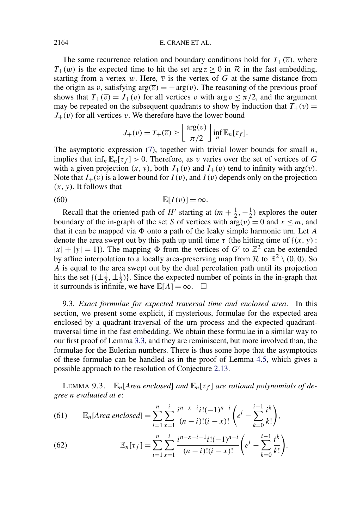#### <span id="page-46-0"></span>2164 E. CRANE ET AL.

The same recurrence relation and boundary conditions hold for  $T_+(\overline{v})$ , where  $T_+(w)$  is the expected time to hit the set arg  $z \ge 0$  in  $R$  in the fast embedding, starting from a vertex *w*. Here,  $\overline{v}$  is the vertex of *G* at the same distance from the origin as *v*, satisfying  $\arg(\overline{v}) = -\arg(v)$ . The reasoning of the previous proof shows that  $T_+(\overline{v}) = J_+(v)$  for all vertices *v* with arg  $v \le \pi/2$ , and the argument may be repeated on the subsequent quadrants to show by induction that  $T_+(\overline{v}) =$  $J_{+}(v)$  for all vertices *v*. We therefore have the lower bound

$$
J_{+}(v) = T_{+}(\overline{v}) \ge \left\lfloor \frac{\arg(v)}{\pi/2} \right\rfloor \inf_{n} \mathbb{E}_{n}[\tau_{f}].
$$

The asymptotic expression [\(7\)](#page-12-0), together with trivial lower bounds for small *n*, implies that  $\inf_n \mathbb{E}_n[\tau_f] > 0$ . Therefore, as *v* varies over the set of vertices of *G* with a given projection  $(x, y)$ , both  $J_+(v)$  and  $I_+(v)$  tend to infinity with arg $(v)$ . Note that  $I_+(v)$  is a lower bound for  $I(v)$ , and  $I(v)$  depends only on the projection *(x,y)*. It follows that

(60) 
$$
\mathbb{E}[I(v)] = \infty.
$$

Recall that the oriented path of *H'* starting at  $(m + \frac{1}{2}, -\frac{1}{2})$  explores the outer boundary of the in-graph of the set *S* of vertices with  $arg(v) = 0$  and  $x \le m$ , and that it can be mapped via  $\Phi$  onto a path of the leaky simple harmonic urn. Let  $A$ denote the area swept out by this path up until time  $\tau$  (the hitting time of  $\{(x, y)$ :  $|x| + |y| = 1$ ). The mapping  $\Phi$  from the vertices of *G'* to  $\mathbb{Z}^2$  can be extended by affine interpolation to a locally area-preserving map from  $\mathcal{R}$  to  $\mathbb{R}^2 \setminus (0,0)$ . So *A* is equal to the area swept out by the dual percolation path until its projection hits the set  $\{(\pm \frac{1}{2}, \pm \frac{1}{2})\}$ . Since the expected number of points in the in-graph that it surrounds is infinite, we have  $\mathbb{E}[A] = \infty$ .  $\Box$ 

9.3. *Exact formulae for expected traversal time and enclosed area*. In this section, we present some explicit, if mysterious, formulae for the expected area enclosed by a quadrant-traversal of the urn process and the expected quadranttraversal time in the fast embedding. We obtain these formulae in a similar way to our first proof of Lemma [3.3,](#page-16-0) and they are reminiscent, but more involved than, the formulae for the Eulerian numbers. There is thus some hope that the asymptotics of these formulae can be handled as in the proof of Lemma [4.5,](#page-22-0) which gives a possible approach to the resolution of Conjecture [2.13.](#page-12-0)

LEMMA 9.3.  $\mathbb{E}_n$ [Area enclosed] and  $\mathbb{E}_n[\tau_f]$  are rational polynomials of de*gree n evaluated at e*:

(61) 
$$
\mathbb{E}_n[Area\ enclosed] = \sum_{i=1}^n \sum_{x=1}^i \frac{i^{n-x-i}i!(-1)^{n-i}}{(n-i)!(i-x)!} \left(e^i - \sum_{k=0}^{i-1} \frac{i^k}{k!}\right),
$$

(62) 
$$
\mathbb{E}_n[\tau_f] = \sum_{i=1}^n \sum_{x=1}^i \frac{i^{n-x-i-1}i!(-1)^{n-i}}{(n-i)!(i-x)!} \left(e^i - \sum_{k=0}^{i-1} \frac{i^k}{k!}\right).
$$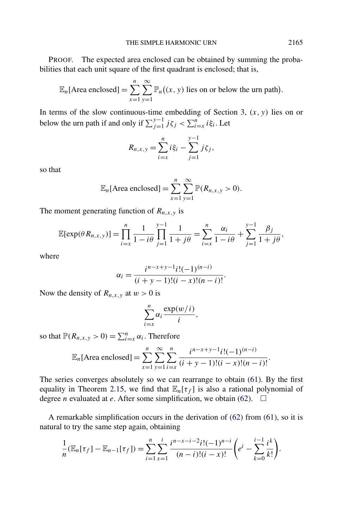PROOF. The expected area enclosed can be obtained by summing the probabilities that each unit square of the first quadrant is enclosed; that is,

$$
\mathbb{E}_n[\text{Area enclosed}] = \sum_{x=1}^n \sum_{y=1}^\infty \mathbb{P}_n((x, y) \text{ lies on or below the urn path}).
$$

In terms of the slow continuous-time embedding of Section [3,](#page-14-0)  $(x, y)$  lies on or below the urn path if and only if  $\sum_{j=1}^{y-1} j\zeta_j < \sum_{i=x}^{n} i\xi_i$ . Let

$$
R_{n,x,y} = \sum_{i=x}^{n} i \xi_i - \sum_{j=1}^{y-1} j \zeta_j,
$$

so that

$$
\mathbb{E}_n[\text{Area enclosed}] = \sum_{x=1}^n \sum_{y=1}^\infty \mathbb{P}(R_{n,x,y} > 0).
$$

The moment generating function of  $R_{n,x,y}$  is

$$
\mathbb{E}[\exp(\theta R_{n,x,y})] = \prod_{i=x}^{n} \frac{1}{1-i\theta} \prod_{j=1}^{y-1} \frac{1}{1+j\theta} = \sum_{i=x}^{n} \frac{\alpha_i}{1-i\theta} + \sum_{j=1}^{y-1} \frac{\beta_j}{1+j\theta},
$$

where

$$
\alpha_i = \frac{i^{n-x+y-1}i!(-1)^{(n-i)}}{(i+y-1)!(i-x)!(n-i)!}.
$$

Now the density of  $R_{n,x,y}$  at  $w > 0$  is

$$
\sum_{i=x}^{n} \alpha_i \frac{\exp(w/i)}{i},
$$

so that  $\mathbb{P}(R_{n,x,y} > 0) = \sum_{i=x}^{n} \alpha_i$ . Therefore

$$
\mathbb{E}_n[\text{Area enclosed}] = \sum_{x=1}^n \sum_{y=1}^\infty \sum_{i=x}^n \frac{i^{n-x+y-1}i!(-1)^{(n-i)}}{(i+y-1)!(i-x)!(n-i)!}.
$$

The series converges absolutely so we can rearrange to obtain [\(61\)](#page-46-0). By the first equality in Theorem [2.15,](#page-13-0) we find that  $\mathbb{E}_n[\tau_f]$  is also a rational polynomial of degree *n* evaluated at *e*. After some simplification, we obtain [\(62\)](#page-46-0).  $\Box$ 

A remarkable simplification occurs in the derivation of [\(62\)](#page-46-0) from [\(61\)](#page-46-0), so it is natural to try the same step again, obtaining

$$
\frac{1}{n}(\mathbb{E}_n[\tau_f] - \mathbb{E}_{n-1}[\tau_f]) = \sum_{i=1}^n \sum_{x=1}^i \frac{i^{n-x-i-2}i!(-1)^{n-i}}{(n-i)!(i-x)!} \left(e^i - \sum_{k=0}^{i-1} \frac{i^k}{k!}\right).
$$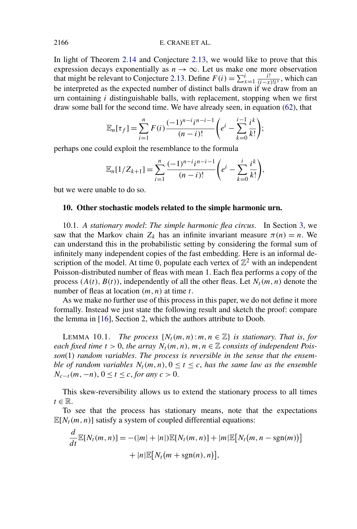<span id="page-48-0"></span>In light of Theorem [2.14](#page-12-0) and Conjecture [2.13,](#page-12-0) we would like to prove that this expression decays exponentially as  $n \to \infty$ . Let us make one more observation that might be relevant to Conjecture [2.13.](#page-12-0) Define  $F(i) = \sum_{x=1}^{i} \frac{i!}{(i-x)!i^x}$ , which can be interpreted as the expected number of distinct balls drawn if we draw from an urn containing *i* distinguishable balls, with replacement, stopping when we first draw some ball for the second time. We have already seen, in equation [\(62\)](#page-46-0), that

$$
\mathbb{E}_n[\tau_f] = \sum_{i=1}^n F(i) \frac{(-1)^{n-i} i^{n-i-1}}{(n-i)!} \left(e^i - \sum_{k=0}^{i-1} \frac{i^k}{k!}\right);
$$

perhaps one could exploit the resemblance to the formula

$$
\mathbb{E}_n[1/Z_{k+1}] = \sum_{i=1}^n \frac{(-1)^{n-i} i^{n-i-1}}{(n-i)!} \left(e^i - \sum_{k=0}^i \frac{i^k}{k!}\right),
$$

but we were unable to do so.

### **10. Other stochastic models related to the simple harmonic urn.**

10.1. *A stationary model*: *The simple harmonic flea circus*. In Section [3,](#page-14-0) we saw that the Markov chain  $Z_k$  has an infinite invariant measure  $\pi(n) = n$ . We can understand this in the probabilistic setting by considering the formal sum of infinitely many independent copies of the fast embedding. Here is an informal description of the model. At time 0, populate each vertex of  $\mathbb{Z}^2$  with an independent Poisson-distributed number of fleas with mean 1. Each flea performs a copy of the process  $(A(t), B(t))$ , independently of all the other fleas. Let  $N_t(m, n)$  denote the number of fleas at location *(m,n)* at time *t*.

As we make no further use of this process in this paper, we do not define it more formally. Instead we just state the following result and sketch the proof: compare the lemma in [\[16\]](#page-58-0), Section 2, which the authors attribute to Doob.

LEMMA 10.1. *The process*  $\{N_t(m,n): m, n \in \mathbb{Z}\}\$ is stationary. *That is, for each fixed time*  $t > 0$ , the array  $N_t(m, n)$ ,  $m, n \in \mathbb{Z}$  consists of independent Pois*son*(1) *random variables*. *The process is reversible in the sense that the ensemble of random variables*  $N_t(m, n)$ ,  $0 \le t \le c$ , *has the same law as the ensemble N<sub>c−t</sub>*(*m*,−*n*), 0 ≤ *t* ≤ *c*, *for any c* > 0.

This skew-reversibility allows us to extend the stationary process to all times  $t \in \mathbb{R}$ .

To see that the process has stationary means, note that the expectations  $\mathbb{E}[N_t(m,n)]$  satisfy a system of coupled differential equations:

$$
\frac{d}{dt}\mathbb{E}[N_t(m,n)] = -(|m|+|n|)\mathbb{E}[N_t(m,n)] + |m|\mathbb{E}[N_t(m,n-\text{sgn}(m))]
$$

$$
+ |n|\mathbb{E}[N_t(m+\text{sgn}(n),n)],
$$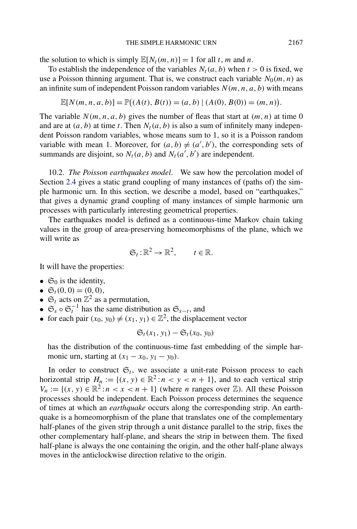the solution to which is simply  $\mathbb{E}[N_t(m,n)] = 1$  for all *t*, *m* and *n*.

To establish the independence of the variables  $N_t(a, b)$  when  $t > 0$  is fixed, we use a Poisson thinning argument. That is, we construct each variable  $N_0(m, n)$  as an infinite sum of independent Poisson random variables  $N(m, n, a, b)$  with means

$$
\mathbb{E}[N(m, n, a, b)] = \mathbb{P}((A(t), B(t)) = (a, b) | (A(0), B(0)) = (m, n)).
$$

The variable  $N(m, n, a, b)$  gives the number of fleas that start at  $(m, n)$  at time 0 and are at  $(a, b)$  at time *t*. Then  $N_t(a, b)$  is also a sum of infinitely many independent Poisson random variables, whose means sum to 1, so it is a Poisson random variable with mean 1. Moreover, for  $(a, b) \neq (a', b')$ , the corresponding sets of summands are disjoint, so  $N_t(a, b)$  and  $N_t(a', b')$  are independent.

10.2. *The Poisson earthquakes model*. We saw how the percolation model of Section [2.4](#page-9-0) gives a static grand coupling of many instances of (paths of) the simple harmonic urn. In this section, we describe a model, based on "earthquakes," that gives a dynamic grand coupling of many instances of simple harmonic urn processes with particularly interesting geometrical properties.

The earthquakes model is defined as a continuous-time Markov chain taking values in the group of area-preserving homeomorphisms of the plane, which we will write as

$$
\mathfrak{S}_t:\mathbb{R}^2\to\mathbb{R}^2,\qquad t\in\mathbb{R}.
$$

It will have the properties:

- $\mathfrak{S}_0$  is the identity,
- $\mathfrak{S}_t(0,0) = (0,0),$
- $\mathfrak{S}_t$  acts on  $\mathbb{Z}^2$  as a permutation,
- $\mathfrak{S}_s \circ \mathfrak{S}_t^{-1}$  has the same distribution as  $\mathfrak{S}_{s-t}$ , and
- for each pair  $(x_0, y_0) \neq (x_1, y_1) \in \mathbb{Z}^2$ , the displacement vector

$$
\mathfrak{S}_t(x_1,y_1)-\mathfrak{S}_t(x_0,y_0)
$$

has the distribution of the continuous-time fast embedding of the simple harmonic urn, starting at  $(x_1 - x_0, y_1 - y_0)$ .

In order to construct  $\mathfrak{S}_t$ , we associate a unit-rate Poisson process to each horizontal strip  $H_n := \{(x, y) \in \mathbb{R}^2 : n < y < n + 1\}$ , and to each vertical strip  $V_n := \{(x, y) \in \mathbb{R}^2 : n < x < n + 1\}$  (where *n* ranges over  $\mathbb{Z}$ ). All these Poisson processes should be independent. Each Poisson process determines the sequence of times at which an *earthquake* occurs along the corresponding strip. An earthquake is a homeomorphism of the plane that translates one of the complementary half-planes of the given strip through a unit distance parallel to the strip, fixes the other complementary half-plane, and shears the strip in between them. The fixed half-plane is always the one containing the origin, and the other half-plane always moves in the anticlockwise direction relative to the origin.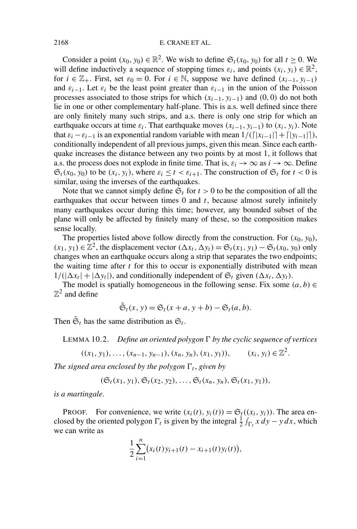Consider a point  $(x_0, y_0) \in \mathbb{R}^2$ . We wish to define  $\mathfrak{S}_t(x_0, y_0)$  for all  $t \ge 0$ . We will define inductively a sequence of stopping times  $\varepsilon_i$ , and points  $(x_i, y_i) \in \mathbb{R}^2$ , for  $i \in \mathbb{Z}_+$ . First, set  $\varepsilon_0 = 0$ . For  $i \in \mathbb{N}$ , suppose we have defined  $(x_{i-1}, y_{i-1})$ and  $\varepsilon_{i-1}$ . Let  $\varepsilon_i$  be the least point greater than  $\varepsilon_{i-1}$  in the union of the Poisson processes associated to those strips for which  $(x_{i-1}, y_{i-1})$  and  $(0, 0)$  do not both lie in one or other complementary half-plane. This is a.s. well defined since there are only finitely many such strips, and a.s. there is only one strip for which an earthquake occurs at time  $\varepsilon_i$ . That earthquake moves  $(x_{i-1}, y_{i-1})$  to  $(x_i, y_i)$ . Note that  $\varepsilon_i - \varepsilon_{i-1}$  is an exponential random variable with mean  $1/(\lfloor x_{i-1} \rfloor + \lfloor y_{i-1} \rfloor)$ , conditionally independent of all previous jumps, given this mean. Since each earthquake increases the distance between any two points by at most 1, it follows that a.s. the process does not explode in finite time. That is,  $\varepsilon_i \to \infty$  as  $i \to \infty$ . Define  $\mathfrak{S}_t(x_0, y_0)$  to be  $(x_i, y_i)$ , where  $\varepsilon_i \le t < \varepsilon_{i+1}$ . The construction of  $\mathfrak{S}_t$  for  $t < 0$  is similar, using the inverses of the earthquakes.

Note that we cannot simply define  $\mathfrak{S}_t$  for  $t > 0$  to be the composition of all the earthquakes that occur between times 0 and *t*, because almost surely infinitely many earthquakes occur during this time; however, any bounded subset of the plane will only be affected by finitely many of these, so the composition makes sense locally.

The properties listed above follow directly from the construction. For  $(x_0, y_0)$ ,  $(x_1, y_1) \in \mathbb{Z}^2$ , the displacement vector  $(\Delta x_t, \Delta y_t) = \mathfrak{S}_t(x_1, y_1) - \mathfrak{S}_t(x_0, y_0)$  only changes when an earthquake occurs along a strip that separates the two endpoints; the waiting time after  $t$  for this to occur is exponentially distributed with mean  $1/(|\Delta x_t|+|\Delta y_t|)$ , and conditionally independent of  $\mathfrak{S}_t$  given  $(\Delta x_t, \Delta y_t)$ .

The model is spatially homogeneous in the following sense. Fix some  $(a, b) \in$  $\mathbb{Z}^2$  and define

$$
\tilde{\mathfrak{S}}_t(x, y) = \mathfrak{S}_t(x + a, y + b) - \mathfrak{S}_t(a, b).
$$

Then  $\tilde{\mathfrak{S}}_t$  has the same distribution as  $\mathfrak{S}_t$ .

LEMMA 10.2. *Define an oriented polygon by the cyclic sequence of vertices*

 $((x_1, y_1), \ldots, (x_{n-1}, y_{n-1}), (x_n, y_n), (x_1, y_1)), \quad (x_i, y_i) \in \mathbb{Z}^2.$ 

*The signed area enclosed by the polygon*  $\Gamma_t$ , *given by* 

 $(\mathfrak{S}_t(x_1, y_1), \mathfrak{S}_t(x_2, y_2), \ldots, \mathfrak{S}_t(x_n, y_n), \mathfrak{S}_t(x_1, y_1)),$ 

*is a martingale*.

PROOF. For convenience, we write  $(x_i(t), y_i(t)) = \mathfrak{S}_t((x_i, y_i))$ . The area enclosed by the oriented polygon  $\Gamma_t$  is given by the integral  $\frac{1}{2} \int_{\Gamma_t} x \, dy - y \, dx$ , which we can write as

$$
\frac{1}{2}\sum_{i=1}^n (x_i(t)y_{i+1}(t)-x_{i+1}(t)y_i(t)),
$$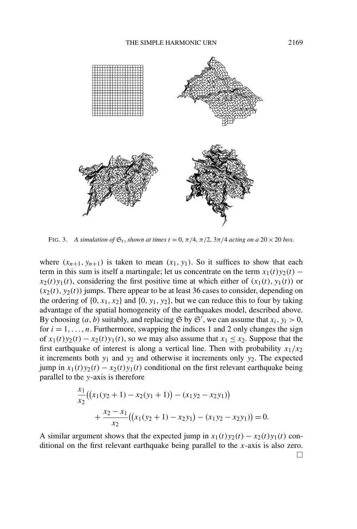

FIG. 3. *A simulation of*  $\mathfrak{S}_t$ , *shown at times*  $t = 0$ ,  $\pi/4$ ,  $\pi/2$ ,  $3\pi/4$  *acting on a* 20  $\times$  20 *box*.

where  $(x_{n+1}, y_{n+1})$  is taken to mean  $(x_1, y_1)$ . So it suffices to show that each term in this sum is itself a martingale; let us concentrate on the term  $x_1(t)y_2(t)$  −  $x_2(t)y_1(t)$ , considering the first positive time at which either of  $(x_1(t), y_1(t))$  or  $(x_2(t), y_2(t))$  jumps. There appear to be at least 36 cases to consider, depending on the ordering of  $\{0, x_1, x_2\}$  and  $\{0, y_1, y_2\}$ , but we can reduce this to four by taking advantage of the spatial homogeneity of the earthquakes model, described above. By choosing  $(a, b)$  suitably, and replacing  $\mathfrak{S}$  by  $\mathfrak{S}'$ , we can assume that  $x_i, y_i > 0$ , for  $i = 1, \ldots, n$ . Furthermore, swapping the indices 1 and 2 only changes the sign of  $x_1(t)y_2(t) - x_2(t)y_1(t)$ , so we may also assume that  $x_1 \le x_2$ . Suppose that the first earthquake of interest is along a vertical line. Then with probability  $x_1/x_2$ it increments both *y*<sup>1</sup> and *y*<sup>2</sup> and otherwise it increments only *y*2. The expected jump in  $x_1(t)y_2(t) - x_2(t)y_1(t)$  conditional on the first relevant earthquake being parallel to the *y*-axis is therefore

$$
\frac{x_1}{x_2}((x_1(y_2+1)-x_2(y_1+1))-(x_1y_2-x_2y_1))
$$
  
+ 
$$
\frac{x_2-x_1}{x_2}((x_1(y_2+1)-x_2y_1)-(x_1y_2-x_2y_1))=0.
$$

A similar argument shows that the expected jump in  $x_1(t)y_2(t) - x_2(t)y_1(t)$  conditional on the first relevant earthquake being parallel to the *x*-axis is also zero.

 $\Box$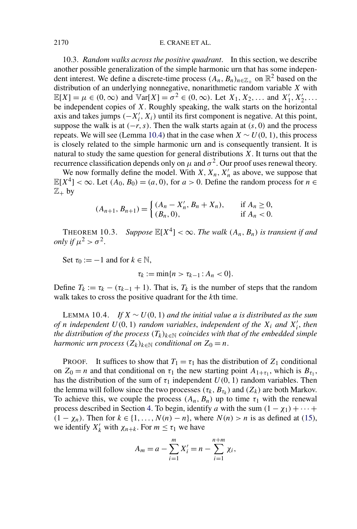#### <span id="page-52-0"></span>2170 E. CRANE ET AL.

10.3. *Random walks across the positive quadrant*. In this section, we describe another possible generalization of the simple harmonic urn that has some independent interest. We define a discrete-time process  $(A_n, B_n)_{n \in \mathbb{Z}_+}$  on  $\mathbb{R}^2$  based on the distribution of an underlying nonnegative, nonarithmetic random variable *X* with  $\mathbb{E}[X] = \mu \in (0, \infty)$  and  $\mathbb{V}\text{ar}[X] = \sigma^2 \in (0, \infty)$ . Let  $X_1, X_2, \dots$  and  $X'_1, X'_2, \dots$ be independent copies of *X*. Roughly speaking, the walk starts on the horizontal axis and takes jumps  $(-X_i', X_i)$  until its first component is negative. At this point, suppose the walk is at  $(-r, s)$ . Then the walk starts again at  $(s, 0)$  and the process repeats. We will see (Lemma 10.4) that in the case when  $X \sim U(0, 1)$ , this process is closely related to the simple harmonic urn and is consequently transient. It is natural to study the same question for general distributions *X*. It turns out that the recurrence classification depends only on *μ* and  $\sigma^2$ . Our proof uses renewal theory.

We now formally define the model. With  $X, X_n, X'_n$  as above, we suppose that  $\mathbb{E}[X^4] < \infty$ . Let  $(A_0, B_0) = (a, 0)$ , for  $a > 0$ . Define the random process for  $n \in \mathbb{E}[X^4]$  $\mathbb{Z}_+$  by

$$
(A_{n+1}, B_{n+1}) = \begin{cases} (A_n - X'_n, B_n + X_n), & \text{if } A_n \ge 0, \\ (B_n, 0), & \text{if } A_n < 0. \end{cases}
$$

THEOREM 10.3. *Suppose*  $\mathbb{E}[X^4] < \infty$ . *The walk*  $(A_n, B_n)$  *is transient if and only if*  $\mu^2 > \sigma^2$ .

Set  $\tau_0 := -1$  and for  $k \in \mathbb{N}$ ,

$$
\tau_k := \min\{n > \tau_{k-1} : A_n < 0\}.
$$

Define  $T_k := \tau_k - (\tau_{k-1} + 1)$ . That is,  $T_k$  is the number of steps that the random walk takes to cross the positive quadrant for the *k*th time.

LEMMA 10.4. *If X* ∼ *U(*0*,* 1*) and the initial value a is distributed as the sum of n independent*  $U(0, 1)$  *random variables, independent of the*  $X_i$  *and*  $X'_i$ *, then the distribution of the process*  $(T_k)_{k \in \mathbb{N}}$  *coincides with that of the embedded simple harmonic urn process*  $(Z_k)_{k \in \mathbb{N}}$  *conditional on*  $Z_0 = n$ .

**PROOF.** It suffices to show that  $T_1 = \tau_1$  has the distribution of  $Z_1$  conditional on  $Z_0 = n$  and that conditional on  $\tau_1$  the new starting point  $A_{1+\tau_1}$ , which is  $B_{\tau_1}$ , has the distribution of the sum of  $\tau_1$  independent  $U(0, 1)$  random variables. Then the lemma will follow since the two processes  $(\tau_k, B_{\tau_k})$  and  $(Z_k)$  are both Markov. To achieve this, we couple the process  $(A_n, B_n)$  up to time  $\tau_1$  with the renewal process described in Section [4.](#page-20-0) To begin, identify *a* with the sum  $(1 - \chi_1) + \cdots$  $(1 - \chi_n)$ . Then for  $k \in \{1, ..., N(n) - n\}$ , where  $N(n) > n$  is as defined at [\(15\)](#page-20-0), we identify  $X'_k$  with  $\chi_{n+k}$ . For  $m \leq \tau_1$  we have

$$
A_m = a - \sum_{i=1}^m X'_i = n - \sum_{i=1}^{n+m} \chi_i,
$$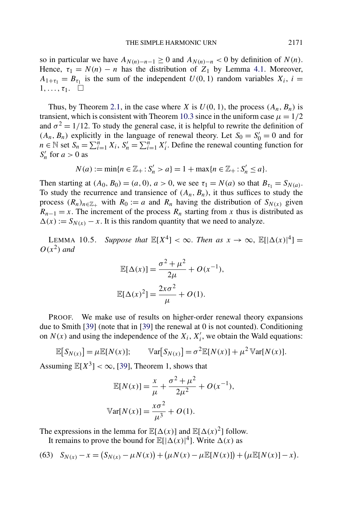<span id="page-53-0"></span>so in particular we have  $A_{N(n)-n-1} \geq 0$  and  $A_{N(n)-n} < 0$  by definition of  $N(n)$ . Hence,  $\tau_1 = N(n) - n$  has the distribution of  $Z_1$  by Lemma [4.1.](#page-20-0) Moreover,  $A_{1+\tau_1} = B_{\tau_1}$  is the sum of the independent  $U(0, 1)$  random variables  $X_i$ ,  $i =$  $1, \ldots, \tau_1$ .  $\Box$ 

Thus, by Theorem [2.1,](#page-4-0) in the case where *X* is  $U(0, 1)$ , the process  $(A_n, B_n)$  is transient, which is consistent with Theorem [10.3](#page-52-0) since in the uniform case  $\mu = 1/2$ and  $\sigma^2 = 1/12$ . To study the general case, it is helpful to rewrite the definition of  $(A_n, B_n)$  explicitly in the language of renewal theory. Let  $S_0 = S'_0 = 0$  and for  $n \in \mathbb{N}$  set  $S_n = \sum_{i=1}^n X_i$ ,  $S'_n = \sum_{i=1}^n X'_i$ . Define the renewal counting function for  $S'_n$  for  $a > 0$  as

$$
N(a) := \min\{n \in \mathbb{Z}_+ : S'_n > a\} = 1 + \max\{n \in \mathbb{Z}_+ : S'_n \leq a\}.
$$

Then starting at  $(A_0, B_0) = (a, 0), a > 0$ , we see  $\tau_1 = N(a)$  so that  $B_{\tau_1} = S_{N(a)}$ . To study the recurrence and transience of  $(A_n, B_n)$ , it thus suffices to study the process  $(R_n)_{n \in \mathbb{Z}_+}$  with  $R_0 := a$  and  $R_n$  having the distribution of  $S_{N(x)}$  given  $R_{n-1} = x$ . The increment of the process  $R_n$  starting from *x* thus is distributed as  $\Delta(x) := S_{N(x)} - x$ . It is this random quantity that we need to analyze.

LEMMA 10.5. *Suppose that*  $\mathbb{E}[X^4] < \infty$ . *Then as*  $x \to \infty$ ,  $\mathbb{E}[|\Delta(x)|^4] =$  $O(x^2)$  *and* 

$$
\mathbb{E}[\Delta(x)] = \frac{\sigma^2 + \mu^2}{2\mu} + O(x^{-1}),
$$

$$
\mathbb{E}[\Delta(x)^2] = \frac{2x\sigma^2}{\mu} + O(1).
$$

PROOF. We make use of results on higher-order renewal theory expansions due to Smith [\[39\]](#page-59-0) (note that in [\[39\]](#page-59-0) the renewal at 0 is not counted). Conditioning on  $N(x)$  and using the independence of the  $X_i$ ,  $X'_i$ , we obtain the Wald equations:

$$
\mathbb{E}[S_{N(x)}] = \mu \mathbb{E}[N(x)]; \qquad \mathbb{V}\text{ar}[S_{N(x)}] = \sigma^2 \mathbb{E}[N(x)] + \mu^2 \mathbb{V}\text{ar}[N(x)].
$$

Assuming  $\mathbb{E}[X^3] < \infty$ , [\[39\]](#page-59-0), Theorem 1, shows that

$$
\mathbb{E}[N(x)] = \frac{x}{\mu} + \frac{\sigma^2 + \mu^2}{2\mu^2} + O(x^{-1}),
$$
  
 
$$
\mathbb{V}\text{ar}[N(x)] = \frac{x\sigma^2}{\mu^3} + O(1).
$$

The expressions in the lemma for  $\mathbb{E}[\Delta(x)]$  and  $\mathbb{E}[\Delta(x)^2]$  follow.

It remains to prove the bound for  $\mathbb{E}[|\Delta(x)|^4]$ . Write  $\Delta(x)$  as

(63) 
$$
S_{N(x)} - x = (S_{N(x)} - \mu N(x)) + (\mu N(x) - \mu \mathbb{E}[N(x)]) + (\mu \mathbb{E}[N(x)] - x).
$$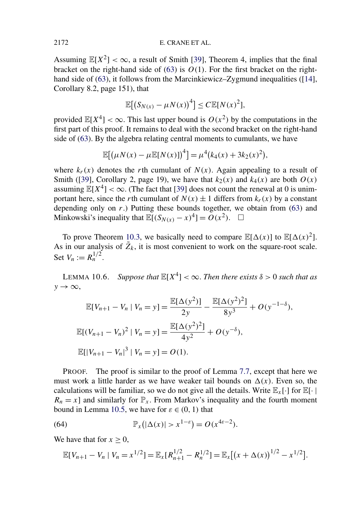<span id="page-54-0"></span>Assuming  $\mathbb{E}[X^2] < \infty$ , a result of Smith [\[39\]](#page-59-0), Theorem 4, implies that the final bracket on the right-hand side of [\(63\)](#page-53-0) is  $O(1)$ . For the first bracket on the right-hand side of [\(63\)](#page-53-0), it follows from the Marcinkiewicz–Zygmund inequalities ([\[14\]](#page-58-0), Corollary 8.2, page 151), that

$$
\mathbb{E}[(S_{N(x)} - \mu N(x))^{4}] \leq C \mathbb{E}[N(x)^{2}],
$$

provided  $\mathbb{E}[X^4] < \infty$ . This last upper bound is  $O(x^2)$  by the computations in the first part of this proof. It remains to deal with the second bracket on the right-hand side of [\(63\)](#page-53-0). By the algebra relating central moments to cumulants, we have

$$
\mathbb{E}[(\mu N(x) - \mu \mathbb{E}[N(x)])^4] = \mu^4 (k_4(x) + 3k_2(x)^2),
$$

where  $k_r(x)$  denotes the *r*th cumulant of  $N(x)$ . Again appealing to a result of Smith ([\[39\]](#page-59-0), Corollary 2, page 19), we have that  $k_2(x)$  and  $k_4(x)$  are both  $O(x)$ assuming  $\mathbb{E}[X^4] < \infty$ . (The fact that [\[39\]](#page-59-0) does not count the renewal at 0 is unimportant here, since the *r*th cumulant of  $N(x) \pm 1$  differs from  $k_r(x)$  by a constant depending only on  $r$ .) Putting these bounds together, we obtain from  $(63)$  and Minkowski's inequality that  $\mathbb{E}[(S_{N(x)} - x)^4] = O(x^2)$ .  $\Box$ 

To prove Theorem [10.3,](#page-52-0) we basically need to compare  $\mathbb{E}[\Delta(x)]$  to  $\mathbb{E}[\Delta(x)^2]$ . As in our analysis of  $\tilde{Z}_k$ , it is most convenient to work on the square-root scale. Set  $V_n := R_n^{1/2}$ .

LEMMA 10.6. *Suppose that*  $\mathbb{E}[X^4] < \infty$ . *Then there exists*  $\delta > 0$  *such that as y* → ∞,

$$
\mathbb{E}[V_{n+1} - V_n | V_n = y] = \frac{\mathbb{E}[\Delta(y^2)]}{2y} - \frac{\mathbb{E}[\Delta(y^2)^2]}{8y^3} + O(y^{-1-\delta}),
$$
  

$$
\mathbb{E}[(V_{n+1} - V_n)^2 | V_n = y] = \frac{\mathbb{E}[\Delta(y^2)^2]}{4y^2} + O(y^{-\delta}),
$$
  

$$
\mathbb{E}[|V_{n+1} - V_n|^3 | V_n = y] = O(1).
$$

PROOF. The proof is similar to the proof of Lemma [7.7,](#page-32-0) except that here we must work a little harder as we have weaker tail bounds on  $\Delta(x)$ . Even so, the calculations will be familiar, so we do not give all the details. Write  $\mathbb{E}_x[\cdot]$  for  $\mathbb{E}[\cdot]$  $R_n = x$  and similarly for  $\mathbb{P}_x$ . From Markov's inequality and the fourth moment bound in Lemma [10.5,](#page-53-0) we have for  $\varepsilon \in (0, 1)$  that

(64) 
$$
\mathbb{P}_x(|\Delta(x)| > x^{1-\epsilon}) = O(x^{4\epsilon-2}).
$$

We have that for  $x \geq 0$ ,

$$
\mathbb{E}[V_{n+1}-V_n | V_n = x^{1/2}] = \mathbb{E}_x[R_{n+1}^{1/2} - R_n^{1/2}] = \mathbb{E}_x[(x + \Delta(x))^{1/2} - x^{1/2}].
$$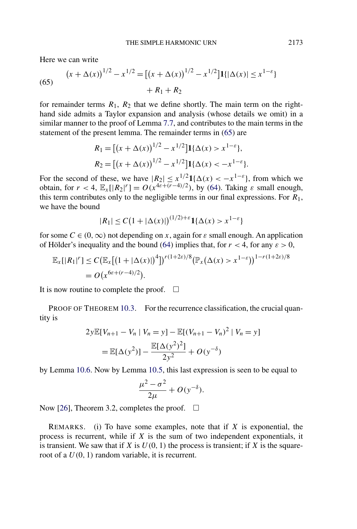Here we can write

(65) 
$$
(x + \Delta(x))^{1/2} - x^{1/2} = [(x + \Delta(x))^{1/2} - x^{1/2}]1\{|\Delta(x)| \le x^{1-\epsilon}\}\n+ R_1 + R_2
$$

for remainder terms  $R_1$ ,  $R_2$  that we define shortly. The main term on the righthand side admits a Taylor expansion and analysis (whose details we omit) in a similar manner to the proof of Lemma [7.7,](#page-32-0) and contributes to the main terms in the statement of the present lemma. The remainder terms in (65) are

$$
R_1 = [(x + \Delta(x))^{1/2} - x^{1/2}] \mathbf{1} \{\Delta(x) > x^{1-\epsilon}\},
$$
  
\n
$$
R_2 = [(x + \Delta(x))^{1/2} - x^{1/2}] \mathbf{1} \{\Delta(x) < -x^{1-\epsilon}\}.
$$

For the second of these, we have  $|R_2| \leq x^{1/2} \mathbf{1}\{\Delta(x) < -x^{1-\epsilon}\}\)$ , from which we obtain, for  $r < 4$ ,  $\mathbb{E}_x[|R_2|^r] = O(x^{4\epsilon + (r-4)/2})$ , by [\(64\)](#page-54-0). Taking  $\epsilon$  small enough, this term contributes only to the negligible terms in our final expressions. For  $R_1$ , we have the bound

$$
|R_1| \le C \big(1 + |\Delta(x)|\big)^{(1/2) + \varepsilon} \mathbf{1}\{\Delta(x) > x^{1-\varepsilon}\}
$$

for some  $C \in (0, \infty)$  not depending on *x*, again for *ε* small enough. An application of Hölder's inequality and the bound [\(64\)](#page-54-0) implies that, for  $r < 4$ , for any  $\varepsilon > 0$ ,

$$
\mathbb{E}_x[|R_1|^r] \le C \big(\mathbb{E}_x[(1+|\Delta(x)|)^4]\big)^{r(1+2\varepsilon)/8} \big(\mathbb{P}_x(\Delta(x) > x^{1-\varepsilon})\big)^{1-r(1+2\varepsilon)/8} \\ = O(x^{6\varepsilon + (r-4)/2}).
$$

It is now routine to complete the proof.  $\Box$ 

PROOF OF THEOREM [10.3.](#page-52-0) For the recurrence classification, the crucial quantity is

$$
2y \mathbb{E}[V_{n+1} - V_n | V_n = y] - \mathbb{E}[(V_{n+1} - V_n)^2 | V_n = y]
$$
  
=  $\mathbb{E}[\Delta(y^2)] - \frac{\mathbb{E}[\Delta(y^2)^2]}{2y^2} + O(y^{-\delta})$ 

by Lemma [10.6.](#page-54-0) Now by Lemma [10.5,](#page-53-0) this last expression is seen to be equal to

$$
\frac{\mu^2-\sigma^2}{2\mu}+O(y^{-\delta}).
$$

Now [\[26\]](#page-58-0), Theorem 3.2, completes the proof.  $\Box$ 

REMARKS. (i) To have some examples, note that if *X* is exponential, the process is recurrent, while if *X* is the sum of two independent exponentials, it is transient. We saw that if *X* is  $U(0, 1)$  the process is transient; if *X* is the squareroot of a *U(*0*,* 1*)* random variable, it is recurrent.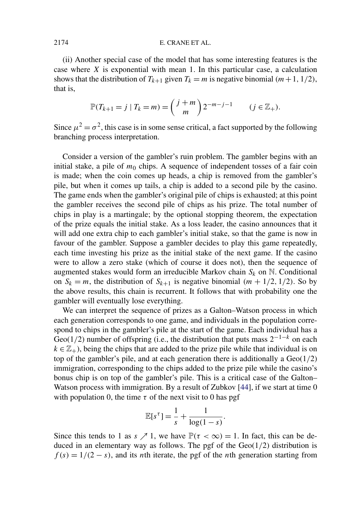#### 2174 E. CRANE ET AL.

(ii) Another special case of the model that has some interesting features is the case where *X* is exponential with mean 1. In this particular case, a calculation shows that the distribution of  $T_{k+1}$  given  $T_k = m$  is negative binomial  $(m+1, 1/2)$ , that is,

$$
\mathbb{P}(T_{k+1} = j \mid T_k = m) = \binom{j+m}{m} 2^{-m-j-1} \qquad (j \in \mathbb{Z}_+).
$$

Since  $\mu^2 = \sigma^2$ , this case is in some sense critical, a fact supported by the following branching process interpretation.

Consider a version of the gambler's ruin problem. The gambler begins with an initial stake, a pile of  $m_0$  chips. A sequence of independent tosses of a fair coin is made; when the coin comes up heads, a chip is removed from the gambler's pile, but when it comes up tails, a chip is added to a second pile by the casino. The game ends when the gambler's original pile of chips is exhausted; at this point the gambler receives the second pile of chips as his prize. The total number of chips in play is a martingale; by the optional stopping theorem, the expectation of the prize equals the initial stake. As a loss leader, the casino announces that it will add one extra chip to each gambler's initial stake, so that the game is now in favour of the gambler. Suppose a gambler decides to play this game repeatedly, each time investing his prize as the initial stake of the next game. If the casino were to allow a zero stake (which of course it does not), then the sequence of augmented stakes would form an irreducible Markov chain  $S_k$  on  $\mathbb N$ . Conditional on  $S_k = m$ , the distribution of  $S_{k+1}$  is negative binomial  $(m + 1/2, 1/2)$ . So by the above results, this chain is recurrent. It follows that with probability one the gambler will eventually lose everything.

We can interpret the sequence of prizes as a Galton–Watson process in which each generation corresponds to one game, and individuals in the population correspond to chips in the gambler's pile at the start of the game. Each individual has a Geo(1*/*2) number of offspring (i.e., the distribution that puts mass 2−1−*<sup>k</sup>* on each  $k \in \mathbb{Z}_+$ ), being the chips that are added to the prize pile while that individual is on top of the gambler's pile, and at each generation there is additionally a Geo(1*/*2) immigration, corresponding to the chips added to the prize pile while the casino's bonus chip is on top of the gambler's pile. This is a critical case of the Galton– Watson process with immigration. By a result of Zubkov [\[44\]](#page-59-0), if we start at time 0 with population 0, the time  $\tau$  of the next visit to 0 has pgf

$$
\mathbb{E}[s^{\tau}] = \frac{1}{s} + \frac{1}{\log(1-s)}.
$$

Since this tends to 1 as  $s \nearrow 1$ , we have  $\mathbb{P}(\tau < \infty) = 1$ . In fact, this can be deduced in an elementary way as follows. The pgf of the Geo(1*/*2) distribution is  $f(s) = 1/(2 - s)$ , and its *n*th iterate, the pgf of the *n*th generation starting from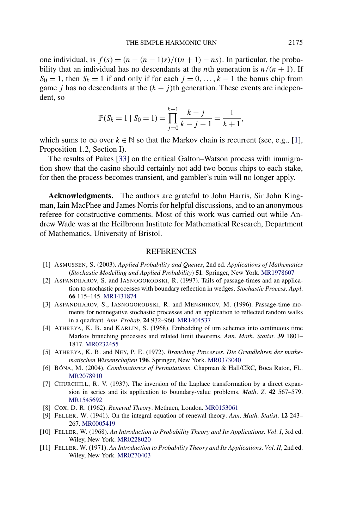<span id="page-57-0"></span>one individual, is  $f(s) = (n - (n-1)s)/((n+1) - ns)$ . In particular, the probability that an individual has no descendants at the *n*th generation is  $n/(n + 1)$ . If  $S_0 = 1$ , then  $S_k = 1$  if and only if for each  $j = 0, \ldots, k - 1$  the bonus chip from game *j* has no descendants at the  $(k - j)$ th generation. These events are independent, so

$$
\mathbb{P}(S_k = 1 \mid S_0 = 1) = \prod_{j=0}^{k-1} \frac{k-j}{k-j-1} = \frac{1}{k+1},
$$

which sums to  $\infty$  over  $k \in \mathbb{N}$  so that the Markov chain is recurrent (see, e.g., [1], Proposition 1.2, Section I).

The results of Pakes [\[33\]](#page-58-0) on the critical Galton–Watson process with immigration show that the casino should certainly not add two bonus chips to each stake, for then the process becomes transient, and gambler's ruin will no longer apply.

**Acknowledgments.** The authors are grateful to John Harris, Sir John Kingman, Iain MacPhee and James Norris for helpful discussions, and to an anonymous referee for constructive comments. Most of this work was carried out while Andrew Wade was at the Heilbronn Institute for Mathematical Research, Department of Mathematics, University of Bristol.

### **REFERENCES**

- [1] ASMUSSEN, S. (2003). *Applied Probability and Queues*, 2nd ed. *Applications of Mathematics* (*Stochastic Modelling and Applied Probability*) **51**. Springer, New York. [MR1978607](http://www.ams.org/mathscinet-getitem?mr=1978607)
- [2] ASPANDIIAROV, S. and IASNOGORODSKI, R. (1997). Tails of passage-times and an application to stochastic processes with boundary reflection in wedges. *Stochastic Process*. *Appl*. **66** 115–145. [MR1431874](http://www.ams.org/mathscinet-getitem?mr=1431874)
- [3] ASPANDIIAROV, S., IASNOGORODSKI, R. and MENSHIKOV, M. (1996). Passage-time moments for nonnegative stochastic processes and an application to reflected random walks in a quadrant. *Ann*. *Probab*. **24** 932–960. [MR1404537](http://www.ams.org/mathscinet-getitem?mr=1404537)
- [4] ATHREYA, K. B. and KARLIN, S. (1968). Embedding of urn schemes into continuous time Markov branching processes and related limit theorems. *Ann*. *Math*. *Statist*. **39** 1801– 1817. [MR0232455](http://www.ams.org/mathscinet-getitem?mr=0232455)
- [5] ATHREYA, K. B. and NEY, P. E. (1972). *Branching Processes*. *Die Grundlehren der mathematischen Wissenschaften* **196**. Springer, New York. [MR0373040](http://www.ams.org/mathscinet-getitem?mr=0373040)
- [6] BÓNA, M. (2004). *Combinatorics of Permutations*. Chapman & Hall/CRC, Boca Raton, FL. [MR2078910](http://www.ams.org/mathscinet-getitem?mr=2078910)
- [7] CHURCHILL, R. V. (1937). The inversion of the Laplace transformation by a direct expansion in series and its application to boundary-value problems. *Math*. *Z*. **42** 567–579. [MR1545692](http://www.ams.org/mathscinet-getitem?mr=1545692)
- [8] COX, D. R. (1962). *Renewal Theory*. Methuen, London. [MR0153061](http://www.ams.org/mathscinet-getitem?mr=0153061)
- [9] FELLER, W. (1941). On the integral equation of renewal theory. *Ann*. *Math*. *Statist*. **12** 243– 267. [MR0005419](http://www.ams.org/mathscinet-getitem?mr=0005419)
- [10] FELLER, W. (1968). *An Introduction to Probability Theory and Its Applications*. *Vol*. *I*, 3rd ed. Wiley, New York. [MR0228020](http://www.ams.org/mathscinet-getitem?mr=0228020)
- [11] FELLER, W. (1971). *An Introduction to Probability Theory and Its Applications*. *Vol*. *II*, 2nd ed. Wiley, New York. [MR0270403](http://www.ams.org/mathscinet-getitem?mr=0270403)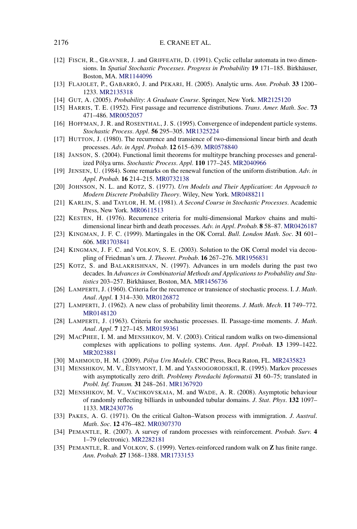- <span id="page-58-0"></span>[12] FISCH, R., GRAVNER, J. and GRIFFEATH, D. (1991). Cyclic cellular automata in two dimensions. In *Spatial Stochastic Processes*. *Progress in Probability* **19** 171–185. Birkhäuser, Boston, MA. [MR1144096](http://www.ams.org/mathscinet-getitem?mr=1144096)
- [13] FLAJOLET, P., GABARRÓ, J. and PEKARI, H. (2005). Analytic urns. *Ann*. *Probab*. **33** 1200– 1233. [MR2135318](http://www.ams.org/mathscinet-getitem?mr=2135318)
- [14] GUT, A. (2005). *Probability*: *A Graduate Course*. Springer, New York. [MR2125120](http://www.ams.org/mathscinet-getitem?mr=2125120)
- [15] HARRIS, T. E. (1952). First passage and recurrence distributions. *Trans*. *Amer*. *Math*. *Soc*. **73** 471–486. [MR0052057](http://www.ams.org/mathscinet-getitem?mr=0052057)
- [16] HOFFMAN, J. R. and ROSENTHAL, J. S. (1995). Convergence of independent particle systems. *Stochastic Process*. *Appl*. **56** 295–305. [MR1325224](http://www.ams.org/mathscinet-getitem?mr=1325224)
- [17] HUTTON, J. (1980). The recurrence and transience of two-dimensional linear birth and death processes. *Adv*. *in Appl*. *Probab*. **12** 615–639. [MR0578840](http://www.ams.org/mathscinet-getitem?mr=0578840)
- [18] JANSON, S. (2004). Functional limit theorems for multitype branching processes and generalized Pólya urns. *Stochastic Process*. *Appl*. **110** 177–245. [MR2040966](http://www.ams.org/mathscinet-getitem?mr=2040966)
- [19] JENSEN, U. (1984). Some remarks on the renewal function of the uniform distribution. *Adv*. *in Appl*. *Probab*. **16** 214–215. [MR0732138](http://www.ams.org/mathscinet-getitem?mr=0732138)
- [20] JOHNSON, N. L. and KOTZ, S. (1977). *Urn Models and Their Application*: *An Approach to Modern Discrete Probability Theory*. Wiley, New York. [MR0488211](http://www.ams.org/mathscinet-getitem?mr=0488211)
- [21] KARLIN, S. and TAYLOR, H. M. (1981). *A Second Course in Stochastic Processes*. Academic Press, New York. [MR0611513](http://www.ams.org/mathscinet-getitem?mr=0611513)
- [22] KESTEN, H. (1976). Recurrence criteria for multi-dimensional Markov chains and multidimensional linear birth and death processes. *Adv*. *in Appl*. *Probab*. **8** 58–87. [MR0426187](http://www.ams.org/mathscinet-getitem?mr=0426187)
- [23] KINGMAN, J. F. C. (1999). Martingales in the OK Corral. *Bull*. *London Math*. *Soc*. **31** 601– 606. [MR1703841](http://www.ams.org/mathscinet-getitem?mr=1703841)
- [24] KINGMAN, J. F. C. and VOLKOV, S. E. (2003). Solution to the OK Corral model via decoupling of Friedman's urn. *J*. *Theoret*. *Probab*. **16** 267–276. [MR1956831](http://www.ams.org/mathscinet-getitem?mr=1956831)
- [25] KOTZ, S. and BALAKRISHNAN, N. (1997). Advances in urn models during the past two decades. In *Advances in Combinatorial Methods and Applications to Probability and Statistics* 203–257. Birkhäuser, Boston, MA. [MR1456736](http://www.ams.org/mathscinet-getitem?mr=1456736)
- [26] LAMPERTI, J. (1960). Criteria for the recurrence or transience of stochastic process. I. *J*. *Math*. *Anal*. *Appl*. **1** 314–330. [MR0126872](http://www.ams.org/mathscinet-getitem?mr=0126872)
- [27] LAMPERTI, J. (1962). A new class of probability limit theorems. *J*. *Math*. *Mech*. **11** 749–772. [MR0148120](http://www.ams.org/mathscinet-getitem?mr=0148120)
- [28] LAMPERTI, J. (1963). Criteria for stochastic processes. II. Passage-time moments. *J*. *Math*. *Anal*. *Appl*. **7** 127–145. [MR0159361](http://www.ams.org/mathscinet-getitem?mr=0159361)
- [29] MACPHEE, I. M. and MENSHIKOV, M. V. (2003). Critical random walks on two-dimensional complexes with applications to polling systems. *Ann*. *Appl*. *Probab*. **13** 1399–1422. [MR2023881](http://www.ams.org/mathscinet-getitem?mr=2023881)
- [30] MAHMOUD, H. M. (2009). *Pólya Urn Models*. CRC Press, Boca Raton, FL. [MR2435823](http://www.ams.org/mathscinet-getitem?mr=2435823)
- [31] MENSHIKOV, M. V., EISYMONT, I. M. and YASNOGORODSKII, R. (1995). Markov processes with asymptotically zero drift. *Problemy Peredachi Informatsii* **31** 60–75; translated in *Probl. Inf. Transm.* **31** 248–261. [MR1367920](http://www.ams.org/mathscinet-getitem?mr=1367920)
- [32] MENSHIKOV, M. V., VACHKOVSKAIA, M. and WADE, A. R. (2008). Asymptotic behaviour of randomly reflecting billiards in unbounded tubular domains. *J*. *Stat*. *Phys*. **132** 1097– 1133. [MR2430776](http://www.ams.org/mathscinet-getitem?mr=2430776)
- [33] PAKES, A. G. (1971). On the critical Galton–Watson process with immigration. *J*. *Austral*. *Math*. *Soc*. **12** 476–482. [MR0307370](http://www.ams.org/mathscinet-getitem?mr=0307370)
- [34] PEMANTLE, R. (2007). A survey of random processes with reinforcement. *Probab*. *Surv*. **4** 1–79 (electronic). [MR2282181](http://www.ams.org/mathscinet-getitem?mr=2282181)
- [35] PEMANTLE, R. and VOLKOV, S. (1999). Vertex-reinforced random walk on **Z** has finite range. *Ann*. *Probab*. **27** 1368–1388. [MR1733153](http://www.ams.org/mathscinet-getitem?mr=1733153)